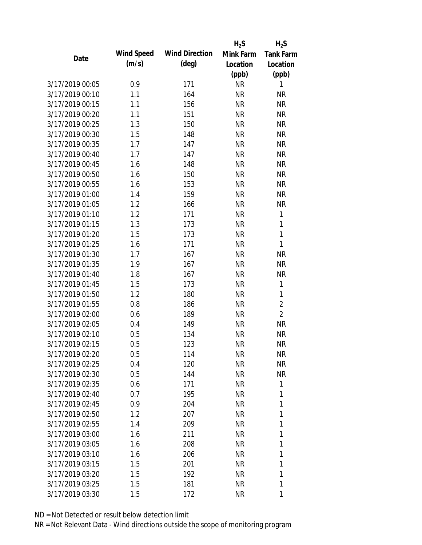|                 |      |            |                       | $H_2S$    | $H_2S$           |
|-----------------|------|------------|-----------------------|-----------|------------------|
|                 |      | Wind Speed | <b>Wind Direction</b> | Mink Farm | <b>Tank Farm</b> |
|                 | Date | (m/s)      | $(\text{deg})$        | Location  | Location         |
|                 |      |            |                       | (ppb)     | (ppb)            |
| 3/17/2019 00:05 |      | 0.9        | 171                   | <b>NR</b> | 1                |
| 3/17/2019 00:10 |      | 1.1        | 164                   | <b>NR</b> | <b>NR</b>        |
| 3/17/2019 00:15 |      | 1.1        | 156                   | <b>NR</b> | <b>NR</b>        |
| 3/17/2019 00:20 |      | 1.1        | 151                   | <b>NR</b> | <b>NR</b>        |
| 3/17/2019 00:25 |      | 1.3        | 150                   | <b>NR</b> | <b>NR</b>        |
| 3/17/2019 00:30 |      | 1.5        | 148                   | <b>NR</b> | <b>NR</b>        |
| 3/17/2019 00:35 |      | 1.7        | 147                   | <b>NR</b> | <b>NR</b>        |
| 3/17/2019 00:40 |      | 1.7        | 147                   | <b>NR</b> | <b>NR</b>        |
| 3/17/2019 00:45 |      | 1.6        | 148                   | <b>NR</b> | <b>NR</b>        |
| 3/17/2019 00:50 |      | 1.6        | 150                   | <b>NR</b> | <b>NR</b>        |
| 3/17/2019 00:55 |      | 1.6        | 153                   | <b>NR</b> | <b>NR</b>        |
| 3/17/2019 01:00 |      | 1.4        | 159                   | <b>NR</b> | <b>NR</b>        |
| 3/17/2019 01:05 |      | 1.2        | 166                   | <b>NR</b> | <b>NR</b>        |
| 3/17/2019 01:10 |      | 1.2        | 171                   | <b>NR</b> | 1                |
| 3/17/2019 01:15 |      | 1.3        | 173                   | <b>NR</b> | 1                |
| 3/17/2019 01:20 |      | 1.5        | 173                   | <b>NR</b> | 1                |
| 3/17/2019 01:25 |      | 1.6        | 171                   | <b>NR</b> | 1                |
| 3/17/2019 01:30 |      | 1.7        | 167                   | <b>NR</b> | <b>NR</b>        |
| 3/17/2019 01:35 |      | 1.9        | 167                   | <b>NR</b> | <b>NR</b>        |
| 3/17/2019 01:40 |      | 1.8        | 167                   | <b>NR</b> | <b>NR</b>        |
| 3/17/2019 01:45 |      | 1.5        | 173                   | <b>NR</b> | 1                |
| 3/17/2019 01:50 |      | 1.2        | 180                   | <b>NR</b> | 1                |
| 3/17/2019 01:55 |      | 0.8        | 186                   | <b>NR</b> | $\overline{2}$   |
| 3/17/2019 02:00 |      | 0.6        | 189                   | <b>NR</b> | $\overline{2}$   |
| 3/17/2019 02:05 |      | 0.4        | 149                   | <b>NR</b> | <b>NR</b>        |
| 3/17/2019 02:10 |      | 0.5        | 134                   | <b>NR</b> | <b>NR</b>        |
| 3/17/2019 02:15 |      | 0.5        | 123                   | <b>NR</b> | <b>NR</b>        |
| 3/17/2019 02:20 |      | 0.5        | 114                   | <b>NR</b> | <b>NR</b>        |
| 3/17/2019 02:25 |      | 0.4        | 120                   | <b>NR</b> | <b>NR</b>        |
| 3/17/2019 02:30 |      | 0.5        | 144                   | <b>NR</b> | <b>NR</b>        |
| 3/17/2019 02:35 |      | 0.6        | 171                   | <b>NR</b> | 1                |
| 3/17/2019 02:40 |      | 0.7        | 195                   | <b>NR</b> | 1                |
| 3/17/2019 02:45 |      | 0.9        | 204                   | <b>NR</b> | 1                |
| 3/17/2019 02:50 |      | 1.2        | 207                   | <b>NR</b> | 1                |
| 3/17/2019 02:55 |      | 1.4        | 209                   | <b>NR</b> | 1                |
| 3/17/2019 03:00 |      | 1.6        | 211                   | <b>NR</b> | 1                |
| 3/17/2019 03:05 |      | 1.6        | 208                   | <b>NR</b> | 1                |
| 3/17/2019 03:10 |      | 1.6        | 206                   | <b>NR</b> | 1                |
| 3/17/2019 03:15 |      | 1.5        | 201                   | <b>NR</b> | 1                |
| 3/17/2019 03:20 |      | 1.5        | 192                   | <b>NR</b> | 1                |
| 3/17/2019 03:25 |      | 1.5        | 181                   | <b>NR</b> | 1                |
| 3/17/2019 03:30 |      | 1.5        | 172                   | <b>NR</b> | 1                |
|                 |      |            |                       |           |                  |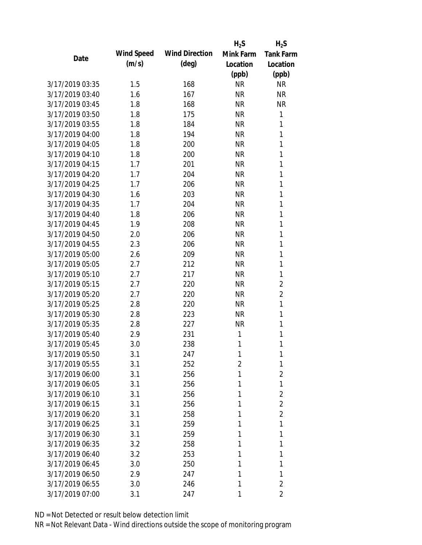|                 |            |                       | $H_2S$    | $H_2S$           |
|-----------------|------------|-----------------------|-----------|------------------|
| Date            | Wind Speed | <b>Wind Direction</b> | Mink Farm | <b>Tank Farm</b> |
|                 | (m/s)      | $(\text{deg})$        | Location  | Location         |
|                 |            |                       | (ppb)     | (ppb)            |
| 3/17/2019 03:35 | 1.5        | 168                   | <b>NR</b> | <b>NR</b>        |
| 3/17/2019 03:40 | 1.6        | 167                   | <b>NR</b> | <b>NR</b>        |
| 3/17/2019 03:45 | 1.8        | 168                   | <b>NR</b> | <b>NR</b>        |
| 3/17/2019 03:50 | 1.8        | 175                   | <b>NR</b> | $\mathbf{1}$     |
| 3/17/2019 03:55 | 1.8        | 184                   | <b>NR</b> | 1                |
| 3/17/2019 04:00 | 1.8        | 194                   | <b>NR</b> | 1                |
| 3/17/2019 04:05 | 1.8        | 200                   | <b>NR</b> | 1                |
| 3/17/2019 04:10 | 1.8        | 200                   | <b>NR</b> | 1                |
| 3/17/2019 04:15 | 1.7        | 201                   | <b>NR</b> | 1                |
| 3/17/2019 04:20 | 1.7        | 204                   | <b>NR</b> | 1                |
| 3/17/2019 04:25 | 1.7        | 206                   | <b>NR</b> | 1                |
| 3/17/2019 04:30 | 1.6        | 203                   | <b>NR</b> | 1                |
| 3/17/2019 04:35 | 1.7        | 204                   | <b>NR</b> | 1                |
| 3/17/2019 04:40 | 1.8        | 206                   | <b>NR</b> | 1                |
| 3/17/2019 04:45 | 1.9        | 208                   | <b>NR</b> | 1                |
| 3/17/2019 04:50 | 2.0        | 206                   | <b>NR</b> | 1                |
| 3/17/2019 04:55 | 2.3        | 206                   | <b>NR</b> | 1                |
| 3/17/2019 05:00 | 2.6        | 209                   | <b>NR</b> | 1                |
| 3/17/2019 05:05 | 2.7        | 212                   | <b>NR</b> | 1                |
| 3/17/2019 05:10 | 2.7        | 217                   | <b>NR</b> | 1                |
| 3/17/2019 05:15 | 2.7        | 220                   | <b>NR</b> | $\overline{2}$   |
| 3/17/2019 05:20 | 2.7        | 220                   | <b>NR</b> | $\overline{2}$   |
| 3/17/2019 05:25 | 2.8        | 220                   | <b>NR</b> | $\mathbf{1}$     |
| 3/17/2019 05:30 | 2.8        | 223                   | <b>NR</b> | 1                |
| 3/17/2019 05:35 | 2.8        | 227                   | <b>NR</b> | 1                |
| 3/17/2019 05:40 | 2.9        | 231                   | 1         | 1                |
| 3/17/2019 05:45 | 3.0        | 238                   | 1         | 1                |
| 3/17/2019 05:50 | 3.1        | 247                   | 1         | 1                |
| 3/17/2019 05:55 | 3.1        | 252                   | 2         | 1                |
| 3/17/2019 06:00 | 3.1        | 256                   | 1         | $\overline{2}$   |
| 3/17/2019 06:05 | 3.1        | 256                   | 1         | 1                |
| 3/17/2019 06:10 | 3.1        | 256                   | 1         | $\overline{2}$   |
| 3/17/2019 06:15 | 3.1        | 256                   | 1         | $\overline{2}$   |
| 3/17/2019 06:20 | 3.1        | 258                   | 1         | $\overline{2}$   |
| 3/17/2019 06:25 | 3.1        | 259                   | 1         | 1                |
| 3/17/2019 06:30 | 3.1        | 259                   | 1         | 1                |
| 3/17/2019 06:35 | 3.2        | 258                   | 1         | 1                |
| 3/17/2019 06:40 | 3.2        | 253                   | 1         | 1                |
| 3/17/2019 06:45 | 3.0        | 250                   | 1         | 1                |
| 3/17/2019 06:50 | 2.9        | 247                   | 1         | 1                |
| 3/17/2019 06:55 | 3.0        | 246                   | 1         | $\overline{2}$   |
| 3/17/2019 07:00 | 3.1        | 247                   | 1         | 2                |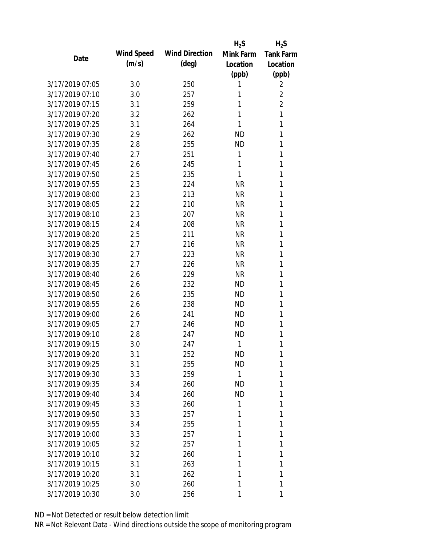|                 |            |                       | $H_2S$    | $H_2S$           |
|-----------------|------------|-----------------------|-----------|------------------|
| Date            | Wind Speed | <b>Wind Direction</b> | Mink Farm | <b>Tank Farm</b> |
|                 | (m/s)      | $(\text{deg})$        | Location  | Location         |
|                 |            |                       | (ppb)     | (ppb)            |
| 3/17/2019 07:05 | 3.0        | 250                   | 1         | 2                |
| 3/17/2019 07:10 | 3.0        | 257                   | 1         | $\overline{2}$   |
| 3/17/2019 07:15 | 3.1        | 259                   | 1         | $\overline{2}$   |
| 3/17/2019 07:20 | 3.2        | 262                   | 1         | $\mathbf{1}$     |
| 3/17/2019 07:25 | 3.1        | 264                   | 1         | 1                |
| 3/17/2019 07:30 | 2.9        | 262                   | <b>ND</b> | 1                |
| 3/17/2019 07:35 | 2.8        | 255                   | <b>ND</b> | 1                |
| 3/17/2019 07:40 | 2.7        | 251                   | 1         | 1                |
| 3/17/2019 07:45 | 2.6        | 245                   | 1         | 1                |
| 3/17/2019 07:50 | 2.5        | 235                   | 1         | 1                |
| 3/17/2019 07:55 | 2.3        | 224                   | <b>NR</b> | 1                |
| 3/17/2019 08:00 | 2.3        | 213                   | <b>NR</b> | 1                |
| 3/17/2019 08:05 | 2.2        | 210                   | <b>NR</b> | 1                |
| 3/17/2019 08:10 | 2.3        | 207                   | <b>NR</b> | 1                |
| 3/17/2019 08:15 | 2.4        | 208                   | <b>NR</b> | 1                |
| 3/17/2019 08:20 | 2.5        | 211                   | <b>NR</b> | 1                |
| 3/17/2019 08:25 | 2.7        | 216                   | <b>NR</b> | 1                |
| 3/17/2019 08:30 | 2.7        | 223                   | <b>NR</b> | 1                |
| 3/17/2019 08:35 | 2.7        | 226                   | <b>NR</b> | 1                |
| 3/17/2019 08:40 | 2.6        | 229                   | <b>NR</b> | 1                |
| 3/17/2019 08:45 | 2.6        | 232                   | <b>ND</b> | 1                |
| 3/17/2019 08:50 | 2.6        | 235                   | <b>ND</b> | 1                |
| 3/17/2019 08:55 | 2.6        | 238                   | <b>ND</b> | 1                |
| 3/17/2019 09:00 | 2.6        | 241                   | <b>ND</b> | 1                |
| 3/17/2019 09:05 | 2.7        | 246                   | <b>ND</b> | 1                |
| 3/17/2019 09:10 | 2.8        | 247                   | <b>ND</b> | 1                |
| 3/17/2019 09:15 | 3.0        | 247                   | 1         | 1                |
| 3/17/2019 09:20 | 3.1        | 252                   | <b>ND</b> | 1                |
| 3/17/2019 09:25 | 3.1        | 255                   | <b>ND</b> | 1                |
| 3/17/2019 09:30 | 3.3        | 259                   | 1         | 1                |
| 3/17/2019 09:35 | 3.4        | 260                   | <b>ND</b> | 1                |
| 3/17/2019 09:40 | 3.4        | 260                   | <b>ND</b> | 1                |
| 3/17/2019 09:45 | 3.3        | 260                   | 1         | 1                |
| 3/17/2019 09:50 | 3.3        | 257                   | 1         | 1                |
| 3/17/2019 09:55 | 3.4        | 255                   | 1         | 1                |
| 3/17/2019 10:00 | 3.3        | 257                   | 1         | 1                |
| 3/17/2019 10:05 | 3.2        | 257                   | 1         | 1                |
| 3/17/2019 10:10 | 3.2        | 260                   | 1         | 1                |
| 3/17/2019 10:15 | 3.1        | 263                   | 1         | 1                |
| 3/17/2019 10:20 | 3.1        | 262                   | 1         | 1                |
| 3/17/2019 10:25 | 3.0        | 260                   | 1         | 1                |
| 3/17/2019 10:30 | 3.0        | 256                   | 1         | 1                |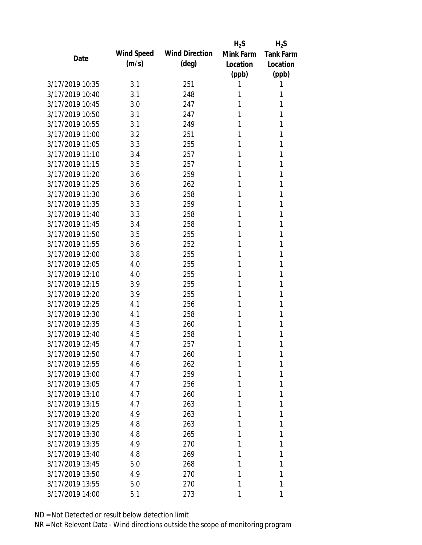|                 |            |                       | $H_2S$    | $H_2S$           |
|-----------------|------------|-----------------------|-----------|------------------|
| Date            | Wind Speed | <b>Wind Direction</b> | Mink Farm | <b>Tank Farm</b> |
|                 | (m/s)      | $(\text{deg})$        | Location  | Location         |
|                 |            |                       | (ppb)     | (ppb)            |
| 3/17/2019 10:35 | 3.1        | 251                   | 1         | 1                |
| 3/17/2019 10:40 | 3.1        | 248                   | 1         | 1                |
| 3/17/2019 10:45 | 3.0        | 247                   | 1         | 1                |
| 3/17/2019 10:50 | 3.1        | 247                   | 1         | 1                |
| 3/17/2019 10:55 | 3.1        | 249                   | 1         | 1                |
| 3/17/2019 11:00 | 3.2        | 251                   | 1         | 1                |
| 3/17/2019 11:05 | 3.3        | 255                   | 1         | 1                |
| 3/17/2019 11:10 | 3.4        | 257                   | 1         | 1                |
| 3/17/2019 11:15 | 3.5        | 257                   | 1         | 1                |
| 3/17/2019 11:20 | 3.6        | 259                   | 1         | 1                |
| 3/17/2019 11:25 | 3.6        | 262                   | 1         | 1                |
| 3/17/2019 11:30 | 3.6        | 258                   | 1         | 1                |
| 3/17/2019 11:35 | 3.3        | 259                   | 1         | 1                |
| 3/17/2019 11:40 | 3.3        | 258                   | 1         | 1                |
| 3/17/2019 11:45 | 3.4        | 258                   | 1         | 1                |
| 3/17/2019 11:50 | 3.5        | 255                   | 1         | 1                |
| 3/17/2019 11:55 | 3.6        | 252                   | 1         | 1                |
| 3/17/2019 12:00 | 3.8        | 255                   | 1         | 1                |
| 3/17/2019 12:05 | 4.0        | 255                   | 1         | 1                |
| 3/17/2019 12:10 | 4.0        | 255                   | 1         | 1                |
| 3/17/2019 12:15 | 3.9        | 255                   | 1         | 1                |
| 3/17/2019 12:20 | 3.9        | 255                   | 1         | 1                |
| 3/17/2019 12:25 | 4.1        | 256                   | 1         | 1                |
| 3/17/2019 12:30 | 4.1        | 258                   | 1         | 1                |
| 3/17/2019 12:35 | 4.3        | 260                   | 1         | 1                |
| 3/17/2019 12:40 | 4.5        | 258                   | 1         | 1                |
| 3/17/2019 12:45 | 4.7        | 257                   | 1         | 1                |
| 3/17/2019 12:50 | 4.7        | 260                   | 1         | 1                |
| 3/17/2019 12:55 | 4.6        | 262                   | 1         | 1                |
| 3/17/2019 13:00 | 4.7        | 259                   | 1         | 1                |
| 3/17/2019 13:05 | 4.7        | 256                   | 1         | 1                |
| 3/17/2019 13:10 | 4.7        | 260                   | 1         | 1                |
| 3/17/2019 13:15 | 4.7        | 263                   | 1         | 1                |
| 3/17/2019 13:20 | 4.9        | 263                   | 1         | 1                |
| 3/17/2019 13:25 | 4.8        | 263                   | 1         | 1                |
| 3/17/2019 13:30 | 4.8        | 265                   | 1         | 1                |
| 3/17/2019 13:35 | 4.9        | 270                   | 1         | 1                |
| 3/17/2019 13:40 | 4.8        | 269                   | 1         | 1                |
| 3/17/2019 13:45 | 5.0        | 268                   | 1         | 1                |
| 3/17/2019 13:50 | 4.9        | 270                   | 1         | 1                |
| 3/17/2019 13:55 | 5.0        | 270                   | 1         | 1                |
| 3/17/2019 14:00 | 5.1        | 273                   | 1         | 1                |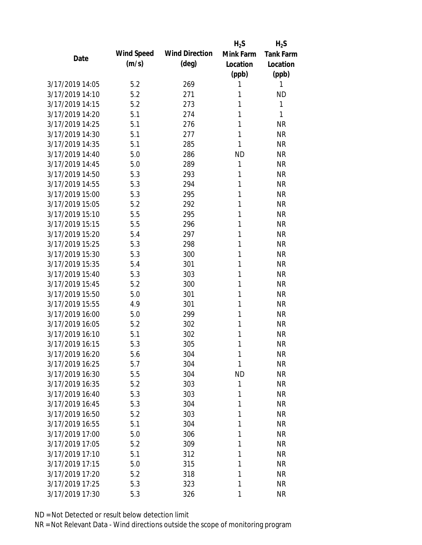|                 |            |                       | $H_2S$    | $H_2S$           |
|-----------------|------------|-----------------------|-----------|------------------|
| Date            | Wind Speed | <b>Wind Direction</b> | Mink Farm | <b>Tank Farm</b> |
|                 | (m/s)      | $(\text{deg})$        | Location  | Location         |
|                 |            |                       | (ppb)     | (ppb)            |
| 3/17/2019 14:05 | 5.2        | 269                   | 1         | 1                |
| 3/17/2019 14:10 | 5.2        | 271                   | 1         | <b>ND</b>        |
| 3/17/2019 14:15 | 5.2        | 273                   | 1         | 1                |
| 3/17/2019 14:20 | 5.1        | 274                   | 1         | 1                |
| 3/17/2019 14:25 | 5.1        | 276                   | 1         | <b>NR</b>        |
| 3/17/2019 14:30 | 5.1        | 277                   | 1         | <b>NR</b>        |
| 3/17/2019 14:35 | 5.1        | 285                   | 1         | <b>NR</b>        |
| 3/17/2019 14:40 | 5.0        | 286                   | <b>ND</b> | <b>NR</b>        |
| 3/17/2019 14:45 | 5.0        | 289                   | 1         | <b>NR</b>        |
| 3/17/2019 14:50 | 5.3        | 293                   | 1         | <b>NR</b>        |
| 3/17/2019 14:55 | 5.3        | 294                   | 1         | <b>NR</b>        |
| 3/17/2019 15:00 | 5.3        | 295                   | 1         | <b>NR</b>        |
| 3/17/2019 15:05 | 5.2        | 292                   | 1         | <b>NR</b>        |
| 3/17/2019 15:10 | 5.5        | 295                   | 1         | <b>NR</b>        |
| 3/17/2019 15:15 | 5.5        | 296                   | 1         | <b>NR</b>        |
| 3/17/2019 15:20 | 5.4        | 297                   | 1         | <b>NR</b>        |
| 3/17/2019 15:25 | 5.3        | 298                   | 1         | <b>NR</b>        |
| 3/17/2019 15:30 | 5.3        | 300                   | 1         | <b>NR</b>        |
| 3/17/2019 15:35 | 5.4        | 301                   | 1         | <b>NR</b>        |
| 3/17/2019 15:40 | 5.3        | 303                   | 1         | <b>NR</b>        |
| 3/17/2019 15:45 | 5.2        | 300                   | 1         | <b>NR</b>        |
| 3/17/2019 15:50 | 5.0        | 301                   | 1         | <b>NR</b>        |
| 3/17/2019 15:55 | 4.9        | 301                   | 1         | <b>NR</b>        |
| 3/17/2019 16:00 | 5.0        | 299                   | 1         | <b>NR</b>        |
| 3/17/2019 16:05 | 5.2        | 302                   | 1         | <b>NR</b>        |
| 3/17/2019 16:10 | 5.1        | 302                   | 1         | <b>NR</b>        |
| 3/17/2019 16:15 | 5.3        | 305                   | 1         | <b>NR</b>        |
| 3/17/2019 16:20 | 5.6        | 304                   | 1         | <b>NR</b>        |
| 3/17/2019 16:25 | 5.7        | 304                   | 1         | <b>NR</b>        |
| 3/17/2019 16:30 | 5.5        | 304                   | ND        | <b>NR</b>        |
| 3/17/2019 16:35 | 5.2        | 303                   | 1         | <b>NR</b>        |
| 3/17/2019 16:40 | 5.3        | 303                   | 1         | <b>NR</b>        |
| 3/17/2019 16:45 | 5.3        | 304                   | 1         | <b>NR</b>        |
| 3/17/2019 16:50 | 5.2        | 303                   | 1         | <b>NR</b>        |
| 3/17/2019 16:55 | 5.1        | 304                   | 1         | <b>NR</b>        |
| 3/17/2019 17:00 | 5.0        | 306                   | 1         | <b>NR</b>        |
| 3/17/2019 17:05 | 5.2        | 309                   | 1         | <b>NR</b>        |
| 3/17/2019 17:10 | 5.1        | 312                   | 1         | <b>NR</b>        |
| 3/17/2019 17:15 | 5.0        | 315                   | 1         | <b>NR</b>        |
| 3/17/2019 17:20 | 5.2        | 318                   | 1         | <b>NR</b>        |
| 3/17/2019 17:25 | 5.3        | 323                   | 1         | <b>NR</b>        |
| 3/17/2019 17:30 | 5.3        | 326                   | 1         | <b>NR</b>        |
|                 |            |                       |           |                  |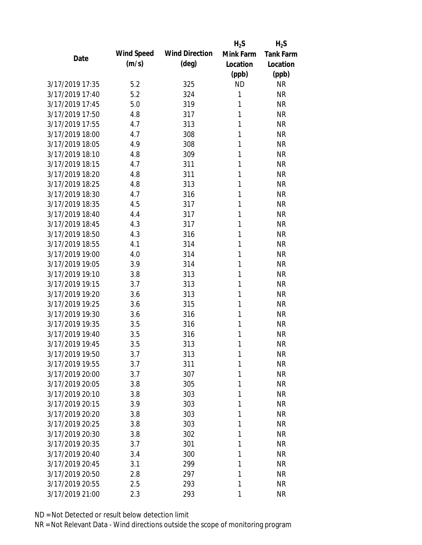|                 |            |                       | $H_2S$    | $H_2S$           |
|-----------------|------------|-----------------------|-----------|------------------|
| Date            | Wind Speed | <b>Wind Direction</b> | Mink Farm | <b>Tank Farm</b> |
|                 | (m/s)      | $(\text{deg})$        | Location  | Location         |
|                 |            |                       | (ppb)     | (ppb)            |
| 3/17/2019 17:35 | 5.2        | 325                   | <b>ND</b> | <b>NR</b>        |
| 3/17/2019 17:40 | 5.2        | 324                   | 1         | <b>NR</b>        |
| 3/17/2019 17:45 | 5.0        | 319                   | 1         | <b>NR</b>        |
| 3/17/2019 17:50 | 4.8        | 317                   | 1         | <b>NR</b>        |
| 3/17/2019 17:55 | 4.7        | 313                   | 1         | <b>NR</b>        |
| 3/17/2019 18:00 | 4.7        | 308                   | 1         | <b>NR</b>        |
| 3/17/2019 18:05 | 4.9        | 308                   | 1         | <b>NR</b>        |
| 3/17/2019 18:10 | 4.8        | 309                   | 1         | <b>NR</b>        |
| 3/17/2019 18:15 | 4.7        | 311                   | 1         | <b>NR</b>        |
| 3/17/2019 18:20 | 4.8        | 311                   | 1         | <b>NR</b>        |
| 3/17/2019 18:25 | 4.8        | 313                   | 1         | <b>NR</b>        |
| 3/17/2019 18:30 | 4.7        | 316                   | 1         | <b>NR</b>        |
| 3/17/2019 18:35 | 4.5        | 317                   | 1         | <b>NR</b>        |
| 3/17/2019 18:40 | 4.4        | 317                   | 1         | <b>NR</b>        |
| 3/17/2019 18:45 | 4.3        | 317                   | 1         | <b>NR</b>        |
| 3/17/2019 18:50 | 4.3        | 316                   | 1         | <b>NR</b>        |
| 3/17/2019 18:55 | 4.1        | 314                   | 1         | <b>NR</b>        |
| 3/17/2019 19:00 | 4.0        | 314                   | 1         | <b>NR</b>        |
| 3/17/2019 19:05 | 3.9        | 314                   | 1         | <b>NR</b>        |
| 3/17/2019 19:10 | 3.8        | 313                   | 1         | <b>NR</b>        |
| 3/17/2019 19:15 | 3.7        | 313                   | 1         | <b>NR</b>        |
| 3/17/2019 19:20 | 3.6        | 313                   | 1         | <b>NR</b>        |
| 3/17/2019 19:25 | 3.6        | 315                   | 1         | <b>NR</b>        |
| 3/17/2019 19:30 | 3.6        | 316                   | 1         | <b>NR</b>        |
| 3/17/2019 19:35 | 3.5        | 316                   | 1         | <b>NR</b>        |
| 3/17/2019 19:40 | 3.5        | 316                   | 1         | <b>NR</b>        |
| 3/17/2019 19:45 | 3.5        | 313                   | 1         | <b>NR</b>        |
| 3/17/2019 19:50 | 3.7        | 313                   | 1         | <b>NR</b>        |
| 3/17/2019 19:55 | 3.7        | 311                   | 1         | <b>NR</b>        |
| 3/17/2019 20:00 | 3.7        | 307                   | 1         | <b>NR</b>        |
| 3/17/2019 20:05 | 3.8        | 305                   | 1         | <b>NR</b>        |
| 3/17/2019 20:10 | 3.8        | 303                   | 1         | <b>NR</b>        |
| 3/17/2019 20:15 | 3.9        | 303                   | 1         | <b>NR</b>        |
| 3/17/2019 20:20 | 3.8        | 303                   | 1         | <b>NR</b>        |
| 3/17/2019 20:25 | 3.8        | 303                   | 1         | <b>NR</b>        |
| 3/17/2019 20:30 | 3.8        | 302                   | 1         | <b>NR</b>        |
| 3/17/2019 20:35 | 3.7        | 301                   | 1         | <b>NR</b>        |
| 3/17/2019 20:40 | 3.4        | 300                   | 1         | <b>NR</b>        |
| 3/17/2019 20:45 | 3.1        | 299                   | 1         | <b>NR</b>        |
| 3/17/2019 20:50 | 2.8        | 297                   | 1         | <b>NR</b>        |
| 3/17/2019 20:55 | 2.5        | 293                   | 1         | <b>NR</b>        |
| 3/17/2019 21:00 | 2.3        | 293                   | 1         | <b>NR</b>        |
|                 |            |                       |           |                  |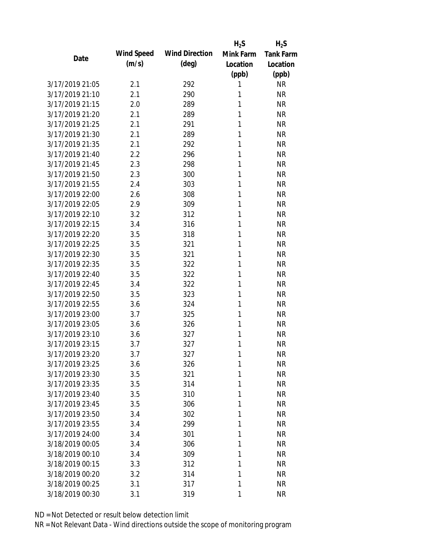|                 |            |                       | $H_2S$    | $H_2S$           |
|-----------------|------------|-----------------------|-----------|------------------|
| Date            | Wind Speed | <b>Wind Direction</b> | Mink Farm | <b>Tank Farm</b> |
|                 | (m/s)      | $(\text{deg})$        | Location  | Location         |
|                 |            |                       | (ppb)     | (ppb)            |
| 3/17/2019 21:05 | 2.1        | 292                   | 1         | <b>NR</b>        |
| 3/17/2019 21:10 | 2.1        | 290                   | 1         | <b>NR</b>        |
| 3/17/2019 21:15 | 2.0        | 289                   | 1         | <b>NR</b>        |
| 3/17/2019 21:20 | 2.1        | 289                   | 1         | <b>NR</b>        |
| 3/17/2019 21:25 | 2.1        | 291                   | 1         | <b>NR</b>        |
| 3/17/2019 21:30 | 2.1        | 289                   | 1         | <b>NR</b>        |
| 3/17/2019 21:35 | 2.1        | 292                   | 1         | <b>NR</b>        |
| 3/17/2019 21:40 | 2.2        | 296                   | 1         | <b>NR</b>        |
| 3/17/2019 21:45 | 2.3        | 298                   | 1         | <b>NR</b>        |
| 3/17/2019 21:50 | 2.3        | 300                   | 1         | <b>NR</b>        |
| 3/17/2019 21:55 | 2.4        | 303                   | 1         | <b>NR</b>        |
| 3/17/2019 22:00 | 2.6        | 308                   | 1         | <b>NR</b>        |
| 3/17/2019 22:05 | 2.9        | 309                   | 1         | <b>NR</b>        |
| 3/17/2019 22:10 | 3.2        | 312                   | 1         | <b>NR</b>        |
| 3/17/2019 22:15 | 3.4        | 316                   | 1         | <b>NR</b>        |
| 3/17/2019 22:20 | 3.5        | 318                   | 1         | <b>NR</b>        |
| 3/17/2019 22:25 | 3.5        | 321                   | 1         | <b>NR</b>        |
| 3/17/2019 22:30 | 3.5        | 321                   | 1         | <b>NR</b>        |
| 3/17/2019 22:35 | 3.5        | 322                   | 1         | <b>NR</b>        |
| 3/17/2019 22:40 | 3.5        | 322                   | 1         | <b>NR</b>        |
| 3/17/2019 22:45 | 3.4        | 322                   | 1         | <b>NR</b>        |
| 3/17/2019 22:50 | 3.5        | 323                   | 1         | <b>NR</b>        |
| 3/17/2019 22:55 | 3.6        | 324                   | 1         | <b>NR</b>        |
| 3/17/2019 23:00 | 3.7        | 325                   | 1         | <b>NR</b>        |
| 3/17/2019 23:05 | 3.6        | 326                   | 1         | <b>NR</b>        |
| 3/17/2019 23:10 | 3.6        | 327                   | 1         | <b>NR</b>        |
| 3/17/2019 23:15 | 3.7        | 327                   | 1         | <b>NR</b>        |
| 3/17/2019 23:20 | 3.7        | 327                   | 1         | <b>NR</b>        |
| 3/17/2019 23:25 | 3.6        | 326                   | 1         | <b>NR</b>        |
| 3/17/2019 23:30 | 3.5        | 321                   | 1         | <b>NR</b>        |
| 3/17/2019 23:35 | 3.5        | 314                   | 1         | <b>NR</b>        |
| 3/17/2019 23:40 | 3.5        | 310                   | 1         | <b>NR</b>        |
| 3/17/2019 23:45 | 3.5        | 306                   | 1         | <b>NR</b>        |
| 3/17/2019 23:50 | 3.4        | 302                   | 1         | <b>NR</b>        |
| 3/17/2019 23:55 | 3.4        | 299                   | 1         | <b>NR</b>        |
| 3/17/2019 24:00 | 3.4        | 301                   | 1         | <b>NR</b>        |
| 3/18/2019 00:05 | 3.4        | 306                   | 1         | <b>NR</b>        |
| 3/18/2019 00:10 | 3.4        | 309                   | 1         | <b>NR</b>        |
| 3/18/2019 00:15 | 3.3        | 312                   | 1         | <b>NR</b>        |
| 3/18/2019 00:20 | 3.2        | 314                   | 1         | <b>NR</b>        |
| 3/18/2019 00:25 | 3.1        | 317                   | 1         | <b>NR</b>        |
| 3/18/2019 00:30 | 3.1        | 319                   | 1         | <b>NR</b>        |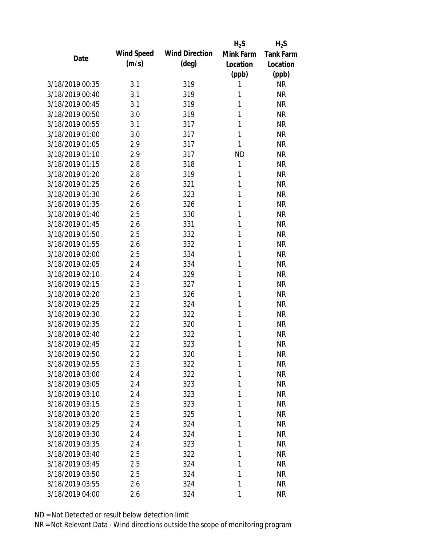|                 |            |                       | $H_2S$    | $H_2S$           |
|-----------------|------------|-----------------------|-----------|------------------|
| Date            | Wind Speed | <b>Wind Direction</b> | Mink Farm | <b>Tank Farm</b> |
|                 | (m/s)      | $(\text{deg})$        | Location  | Location         |
|                 |            |                       | (ppb)     | (ppb)            |
| 3/18/2019 00:35 | 3.1        | 319                   | 1         | <b>NR</b>        |
| 3/18/2019 00:40 | 3.1        | 319                   | 1         | <b>NR</b>        |
| 3/18/2019 00:45 | 3.1        | 319                   | 1         | <b>NR</b>        |
| 3/18/2019 00:50 | 3.0        | 319                   | 1         | <b>NR</b>        |
| 3/18/2019 00:55 | 3.1        | 317                   | 1         | <b>NR</b>        |
| 3/18/2019 01:00 | 3.0        | 317                   | 1         | <b>NR</b>        |
| 3/18/2019 01:05 | 2.9        | 317                   | 1         | <b>NR</b>        |
| 3/18/2019 01:10 | 2.9        | 317                   | <b>ND</b> | <b>NR</b>        |
| 3/18/2019 01:15 | 2.8        | 318                   | 1         | <b>NR</b>        |
| 3/18/2019 01:20 | 2.8        | 319                   | 1         | <b>NR</b>        |
| 3/18/2019 01:25 | 2.6        | 321                   | 1         | <b>NR</b>        |
| 3/18/2019 01:30 | 2.6        | 323                   | 1         | <b>NR</b>        |
| 3/18/2019 01:35 | 2.6        | 326                   | 1         | <b>NR</b>        |
| 3/18/2019 01:40 | 2.5        | 330                   | 1         | <b>NR</b>        |
| 3/18/2019 01:45 | 2.6        | 331                   | 1         | <b>NR</b>        |
| 3/18/2019 01:50 | 2.5        | 332                   | 1         | <b>NR</b>        |
| 3/18/2019 01:55 | 2.6        | 332                   | 1         | <b>NR</b>        |
| 3/18/2019 02:00 | 2.5        | 334                   | 1         | <b>NR</b>        |
| 3/18/2019 02:05 | 2.4        | 334                   | 1         | <b>NR</b>        |
| 3/18/2019 02:10 | 2.4        | 329                   | 1         | <b>NR</b>        |
| 3/18/2019 02:15 | 2.3        | 327                   | 1         | <b>NR</b>        |
| 3/18/2019 02:20 | 2.3        | 326                   | 1         | <b>NR</b>        |
| 3/18/2019 02:25 | 2.2        | 324                   | 1         | <b>NR</b>        |
| 3/18/2019 02:30 | 2.2        | 322                   | 1         | <b>NR</b>        |
| 3/18/2019 02:35 | 2.2        | 320                   | 1         | <b>NR</b>        |
| 3/18/2019 02:40 | 2.2        | 322                   | 1         | <b>NR</b>        |
| 3/18/2019 02:45 | 2.2        | 323                   | 1         | <b>NR</b>        |
| 3/18/2019 02:50 | 2.2        | 320                   | 1         | <b>NR</b>        |
| 3/18/2019 02:55 | 2.3        | 322                   | 1         | <b>NR</b>        |
| 3/18/2019 03:00 | 2.4        | 322                   | 1         | <b>NR</b>        |
| 3/18/2019 03:05 | 2.4        | 323                   | 1         | <b>NR</b>        |
| 3/18/2019 03:10 | 2.4        | 323                   | 1         | <b>NR</b>        |
| 3/18/2019 03:15 | 2.5        | 323                   | 1         | <b>NR</b>        |
| 3/18/2019 03:20 | 2.5        | 325                   | 1         | <b>NR</b>        |
| 3/18/2019 03:25 | 2.4        | 324                   | 1         | <b>NR</b>        |
| 3/18/2019 03:30 | 2.4        | 324                   | 1         | <b>NR</b>        |
| 3/18/2019 03:35 | 2.4        | 323                   | 1         | <b>NR</b>        |
| 3/18/2019 03:40 | 2.5        | 322                   | 1         | <b>NR</b>        |
| 3/18/2019 03:45 | 2.5        | 324                   | 1         | <b>NR</b>        |
| 3/18/2019 03:50 | 2.5        | 324                   | 1         | <b>NR</b>        |
| 3/18/2019 03:55 | 2.6        | 324                   | 1         | <b>NR</b>        |
| 3/18/2019 04:00 | 2.6        | 324                   | 1         | <b>NR</b>        |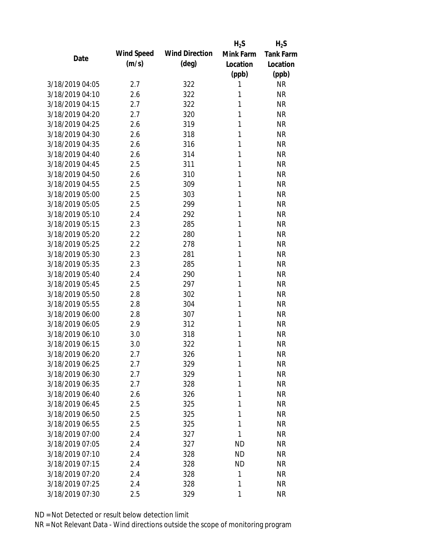|                 |            |                       | $H_2S$    | $H_2S$           |
|-----------------|------------|-----------------------|-----------|------------------|
| Date            | Wind Speed | <b>Wind Direction</b> | Mink Farm | <b>Tank Farm</b> |
|                 | (m/s)      | $(\text{deg})$        | Location  | Location         |
|                 |            |                       | (ppb)     | (ppb)            |
| 3/18/2019 04:05 | 2.7        | 322                   | 1         | <b>NR</b>        |
| 3/18/2019 04:10 | 2.6        | 322                   | 1         | <b>NR</b>        |
| 3/18/2019 04:15 | 2.7        | 322                   | 1         | <b>NR</b>        |
| 3/18/2019 04:20 | 2.7        | 320                   | 1         | <b>NR</b>        |
| 3/18/2019 04:25 | 2.6        | 319                   | 1         | <b>NR</b>        |
| 3/18/2019 04:30 | 2.6        | 318                   | 1         | <b>NR</b>        |
| 3/18/2019 04:35 | 2.6        | 316                   | 1         | <b>NR</b>        |
| 3/18/2019 04:40 | 2.6        | 314                   | 1         | <b>NR</b>        |
| 3/18/2019 04:45 | 2.5        | 311                   | 1         | <b>NR</b>        |
| 3/18/2019 04:50 | 2.6        | 310                   | 1         | <b>NR</b>        |
| 3/18/2019 04:55 | 2.5        | 309                   | 1         | <b>NR</b>        |
| 3/18/2019 05:00 | 2.5        | 303                   | 1         | <b>NR</b>        |
| 3/18/2019 05:05 | 2.5        | 299                   | 1         | <b>NR</b>        |
| 3/18/2019 05:10 | 2.4        | 292                   | 1         | <b>NR</b>        |
| 3/18/2019 05:15 | 2.3        | 285                   | 1         | <b>NR</b>        |
| 3/18/2019 05:20 | 2.2        | 280                   | 1         | <b>NR</b>        |
| 3/18/2019 05:25 | 2.2        | 278                   | 1         | <b>NR</b>        |
| 3/18/2019 05:30 | 2.3        | 281                   | 1         | <b>NR</b>        |
| 3/18/2019 05:35 | 2.3        | 285                   | 1         | <b>NR</b>        |
| 3/18/2019 05:40 | 2.4        | 290                   | 1         | <b>NR</b>        |
| 3/18/2019 05:45 | 2.5        | 297                   | 1         | <b>NR</b>        |
| 3/18/2019 05:50 | 2.8        | 302                   | 1         | <b>NR</b>        |
| 3/18/2019 05:55 | 2.8        | 304                   | 1         | <b>NR</b>        |
| 3/18/2019 06:00 | 2.8        | 307                   | 1         | <b>NR</b>        |
| 3/18/2019 06:05 | 2.9        | 312                   | 1         | <b>NR</b>        |
| 3/18/2019 06:10 | 3.0        | 318                   | 1         | <b>NR</b>        |
| 3/18/2019 06:15 | 3.0        | 322                   | 1         | <b>NR</b>        |
| 3/18/2019 06:20 | 2.7        | 326                   | 1         | <b>NR</b>        |
| 3/18/2019 06:25 | 2.7        | 329                   | 1         | <b>NR</b>        |
| 3/18/2019 06:30 | 2.7        | 329                   | 1         | <b>NR</b>        |
| 3/18/2019 06:35 | 2.7        | 328                   | 1         | <b>NR</b>        |
| 3/18/2019 06:40 | 2.6        | 326                   | 1         | <b>NR</b>        |
| 3/18/2019 06:45 | 2.5        | 325                   | 1         | <b>NR</b>        |
| 3/18/2019 06:50 | 2.5        | 325                   | 1         | <b>NR</b>        |
| 3/18/2019 06:55 | 2.5        | 325                   | 1         | <b>NR</b>        |
| 3/18/2019 07:00 | 2.4        | 327                   | 1         | <b>NR</b>        |
| 3/18/2019 07:05 | 2.4        | 327                   | <b>ND</b> | <b>NR</b>        |
| 3/18/2019 07:10 | 2.4        | 328                   | <b>ND</b> | <b>NR</b>        |
| 3/18/2019 07:15 | 2.4        | 328                   | <b>ND</b> | <b>NR</b>        |
| 3/18/2019 07:20 | 2.4        | 328                   | 1         | <b>NR</b>        |
| 3/18/2019 07:25 | 2.4        | 328                   | 1         | <b>NR</b>        |
| 3/18/2019 07:30 | 2.5        | 329                   | 1         | <b>NR</b>        |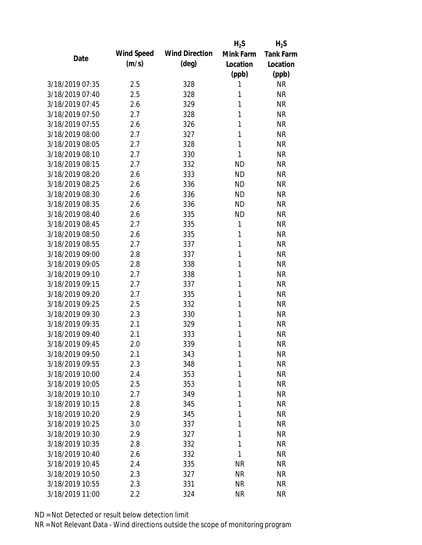|                 |            |                       | $H_2S$    | $H_2S$           |
|-----------------|------------|-----------------------|-----------|------------------|
| Date            | Wind Speed | <b>Wind Direction</b> | Mink Farm | <b>Tank Farm</b> |
|                 | (m/s)      | $(\text{deg})$        | Location  | Location         |
|                 |            |                       | (ppb)     | (ppb)            |
| 3/18/2019 07:35 | 2.5        | 328                   | 1         | <b>NR</b>        |
| 3/18/2019 07:40 | 2.5        | 328                   | 1         | <b>NR</b>        |
| 3/18/2019 07:45 | 2.6        | 329                   | 1         | <b>NR</b>        |
| 3/18/2019 07:50 | 2.7        | 328                   | 1         | <b>NR</b>        |
| 3/18/2019 07:55 | 2.6        | 326                   | 1         | <b>NR</b>        |
| 3/18/2019 08:00 | 2.7        | 327                   | 1         | <b>NR</b>        |
| 3/18/2019 08:05 | 2.7        | 328                   | 1         | <b>NR</b>        |
| 3/18/2019 08:10 | 2.7        | 330                   | 1         | <b>NR</b>        |
| 3/18/2019 08:15 | 2.7        | 332                   | <b>ND</b> | <b>NR</b>        |
| 3/18/2019 08:20 | 2.6        | 333                   | <b>ND</b> | <b>NR</b>        |
| 3/18/2019 08:25 | 2.6        | 336                   | <b>ND</b> | <b>NR</b>        |
| 3/18/2019 08:30 | 2.6        | 336                   | <b>ND</b> | <b>NR</b>        |
| 3/18/2019 08:35 | 2.6        | 336                   | <b>ND</b> | <b>NR</b>        |
| 3/18/2019 08:40 | 2.6        | 335                   | <b>ND</b> | <b>NR</b>        |
| 3/18/2019 08:45 | 2.7        | 335                   | 1         | <b>NR</b>        |
| 3/18/2019 08:50 | 2.6        | 335                   | 1         | <b>NR</b>        |
| 3/18/2019 08:55 | 2.7        | 337                   | 1         | <b>NR</b>        |
| 3/18/2019 09:00 | 2.8        | 337                   | 1         | <b>NR</b>        |
| 3/18/2019 09:05 | 2.8        | 338                   | 1         | <b>NR</b>        |
| 3/18/2019 09:10 | 2.7        | 338                   | 1         | <b>NR</b>        |
| 3/18/2019 09:15 | 2.7        | 337                   | 1         | <b>NR</b>        |
| 3/18/2019 09:20 | 2.7        | 335                   | 1         | <b>NR</b>        |
| 3/18/2019 09:25 | 2.5        | 332                   | 1         | <b>NR</b>        |
| 3/18/2019 09:30 | 2.3        | 330                   | 1         | <b>NR</b>        |
| 3/18/2019 09:35 | 2.1        | 329                   | 1         | <b>NR</b>        |
| 3/18/2019 09:40 | 2.1        | 333                   | 1         | <b>NR</b>        |
| 3/18/2019 09:45 | 2.0        | 339                   | 1         | <b>NR</b>        |
| 3/18/2019 09:50 | 2.1        | 343                   | 1         | <b>NR</b>        |
| 3/18/2019 09:55 | 2.3        | 348                   | 1         | <b>NR</b>        |
| 3/18/2019 10:00 | 2.4        | 353                   | 1         | <b>NR</b>        |
| 3/18/2019 10:05 | 2.5        | 353                   | 1         | <b>NR</b>        |
| 3/18/2019 10:10 | 2.7        | 349                   | 1         | <b>NR</b>        |
| 3/18/2019 10:15 | 2.8        | 345                   | 1         | <b>NR</b>        |
| 3/18/2019 10:20 | 2.9        | 345                   | 1         | <b>NR</b>        |
| 3/18/2019 10:25 | 3.0        | 337                   | 1         | <b>NR</b>        |
| 3/18/2019 10:30 | 2.9        | 327                   | 1         | <b>NR</b>        |
| 3/18/2019 10:35 | 2.8        | 332                   | 1         | <b>NR</b>        |
| 3/18/2019 10:40 | 2.6        | 332                   | 1         | <b>NR</b>        |
| 3/18/2019 10:45 | 2.4        | 335                   | <b>NR</b> | <b>NR</b>        |
| 3/18/2019 10:50 | 2.3        | 327                   | <b>NR</b> | <b>NR</b>        |
| 3/18/2019 10:55 | 2.3        | 331                   | <b>NR</b> | <b>NR</b>        |
| 3/18/2019 11:00 | 2.2        | 324                   | <b>NR</b> | <b>NR</b>        |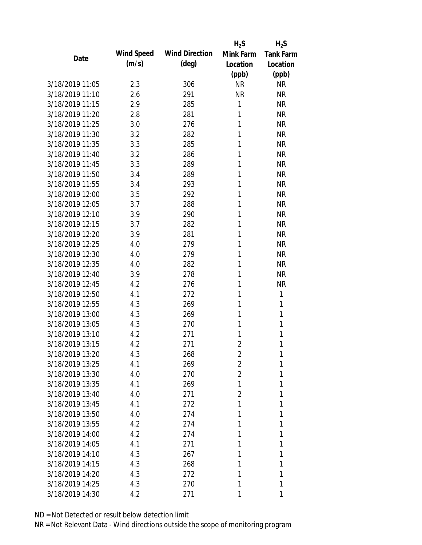|                 |            |                       | $H_2S$         | $H_2S$           |
|-----------------|------------|-----------------------|----------------|------------------|
| Date            | Wind Speed | <b>Wind Direction</b> | Mink Farm      | <b>Tank Farm</b> |
|                 | (m/s)      | $(\text{deg})$        | Location       | Location         |
|                 |            |                       | (ppb)          | (ppb)            |
| 3/18/2019 11:05 | 2.3        | 306                   | <b>NR</b>      | <b>NR</b>        |
| 3/18/2019 11:10 | 2.6        | 291                   | <b>NR</b>      | <b>NR</b>        |
| 3/18/2019 11:15 | 2.9        | 285                   | 1              | <b>NR</b>        |
| 3/18/2019 11:20 | 2.8        | 281                   | 1              | <b>NR</b>        |
| 3/18/2019 11:25 | 3.0        | 276                   | 1              | <b>NR</b>        |
| 3/18/2019 11:30 | 3.2        | 282                   | 1              | <b>NR</b>        |
| 3/18/2019 11:35 | 3.3        | 285                   | 1              | <b>NR</b>        |
| 3/18/2019 11:40 | 3.2        | 286                   | 1              | <b>NR</b>        |
| 3/18/2019 11:45 | 3.3        | 289                   | 1              | <b>NR</b>        |
| 3/18/2019 11:50 | 3.4        | 289                   | 1              | <b>NR</b>        |
| 3/18/2019 11:55 | 3.4        | 293                   | 1              | <b>NR</b>        |
| 3/18/2019 12:00 | 3.5        | 292                   | 1              | <b>NR</b>        |
| 3/18/2019 12:05 | 3.7        | 288                   | 1              | <b>NR</b>        |
| 3/18/2019 12:10 | 3.9        | 290                   | 1              | <b>NR</b>        |
| 3/18/2019 12:15 | 3.7        | 282                   | 1              | <b>NR</b>        |
| 3/18/2019 12:20 | 3.9        | 281                   | 1              | <b>NR</b>        |
| 3/18/2019 12:25 | 4.0        | 279                   | 1              | <b>NR</b>        |
| 3/18/2019 12:30 | 4.0        | 279                   | 1              | <b>NR</b>        |
| 3/18/2019 12:35 | 4.0        | 282                   | 1              | <b>NR</b>        |
| 3/18/2019 12:40 | 3.9        | 278                   | 1              | <b>NR</b>        |
| 3/18/2019 12:45 | 4.2        | 276                   | 1              | <b>NR</b>        |
| 3/18/2019 12:50 | 4.1        | 272                   | 1              | 1                |
| 3/18/2019 12:55 | 4.3        | 269                   | 1              | 1                |
| 3/18/2019 13:00 | 4.3        | 269                   | 1              | 1                |
| 3/18/2019 13:05 | 4.3        | 270                   | 1              | 1                |
| 3/18/2019 13:10 | 4.2        | 271                   | 1              | 1                |
| 3/18/2019 13:15 | 4.2        | 271                   | $\overline{2}$ | 1                |
| 3/18/2019 13:20 | 4.3        | 268                   | $\overline{2}$ | 1                |
| 3/18/2019 13:25 | 4.1        | 269                   | $\overline{2}$ | 1                |
| 3/18/2019 13:30 | 4.0        | 270                   | $\overline{2}$ | 1                |
| 3/18/2019 13:35 | 4.1        | 269                   | 1              | 1                |
| 3/18/2019 13:40 | 4.0        | 271                   | $\overline{2}$ | 1                |
| 3/18/2019 13:45 | 4.1        | 272                   | 1              | 1                |
| 3/18/2019 13:50 | 4.0        | 274                   | 1              | 1                |
| 3/18/2019 13:55 | 4.2        | 274                   | 1              | 1                |
| 3/18/2019 14:00 | 4.2        | 274                   | 1              | 1                |
| 3/18/2019 14:05 | 4.1        | 271                   | 1              | 1                |
| 3/18/2019 14:10 | 4.3        | 267                   | 1              | 1                |
| 3/18/2019 14:15 | 4.3        | 268                   | 1              | 1                |
| 3/18/2019 14:20 | 4.3        | 272                   | 1              | 1                |
| 3/18/2019 14:25 | 4.3        | 270                   | 1              | 1                |
| 3/18/2019 14:30 | 4.2        | 271                   | 1              | 1                |
|                 |            |                       |                |                  |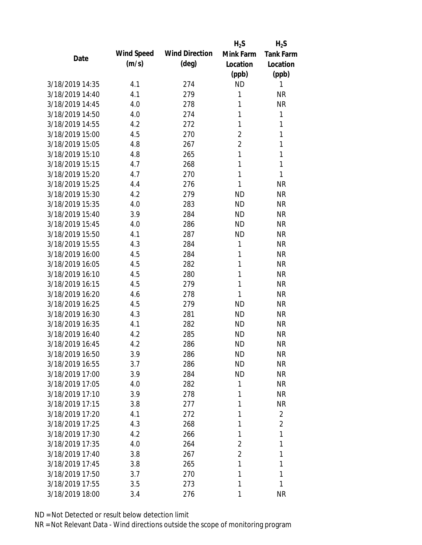|                 |            |                       | $H_2S$         | $H_2S$           |
|-----------------|------------|-----------------------|----------------|------------------|
| Date            | Wind Speed | <b>Wind Direction</b> | Mink Farm      | <b>Tank Farm</b> |
|                 | (m/s)      | $(\text{deg})$        | Location       | Location         |
|                 |            |                       | (ppb)          | (ppb)            |
| 3/18/2019 14:35 | 4.1        | 274                   | <b>ND</b>      | 1                |
| 3/18/2019 14:40 | 4.1        | 279                   | 1              | <b>NR</b>        |
| 3/18/2019 14:45 | 4.0        | 278                   | 1              | <b>NR</b>        |
| 3/18/2019 14:50 | 4.0        | 274                   | 1              | 1                |
| 3/18/2019 14:55 | 4.2        | 272                   | 1              | 1                |
| 3/18/2019 15:00 | 4.5        | 270                   | $\overline{2}$ | 1                |
| 3/18/2019 15:05 | 4.8        | 267                   | 2              | 1                |
| 3/18/2019 15:10 | 4.8        | 265                   | 1              | 1                |
| 3/18/2019 15:15 | 4.7        | 268                   | 1              | $\mathbf{1}$     |
| 3/18/2019 15:20 | 4.7        | 270                   | 1              | $\mathbf{1}$     |
| 3/18/2019 15:25 | 4.4        | 276                   | 1              | <b>NR</b>        |
| 3/18/2019 15:30 | 4.2        | 279                   | <b>ND</b>      | <b>NR</b>        |
| 3/18/2019 15:35 | 4.0        | 283                   | <b>ND</b>      | <b>NR</b>        |
| 3/18/2019 15:40 | 3.9        | 284                   | <b>ND</b>      | <b>NR</b>        |
| 3/18/2019 15:45 | 4.0        | 286                   | <b>ND</b>      | <b>NR</b>        |
| 3/18/2019 15:50 | 4.1        | 287                   | <b>ND</b>      | <b>NR</b>        |
| 3/18/2019 15:55 | 4.3        | 284                   | 1              | <b>NR</b>        |
| 3/18/2019 16:00 | 4.5        | 284                   | 1              | <b>NR</b>        |
| 3/18/2019 16:05 | 4.5        | 282                   | 1              | <b>NR</b>        |
| 3/18/2019 16:10 | 4.5        | 280                   | 1              | <b>NR</b>        |
| 3/18/2019 16:15 | 4.5        | 279                   | 1              | <b>NR</b>        |
| 3/18/2019 16:20 | 4.6        | 278                   | 1              | <b>NR</b>        |
| 3/18/2019 16:25 | 4.5        | 279                   | <b>ND</b>      | <b>NR</b>        |
| 3/18/2019 16:30 | 4.3        | 281                   | <b>ND</b>      | <b>NR</b>        |
| 3/18/2019 16:35 | 4.1        | 282                   | <b>ND</b>      | <b>NR</b>        |
| 3/18/2019 16:40 | 4.2        | 285                   | <b>ND</b>      | <b>NR</b>        |
| 3/18/2019 16:45 | 4.2        | 286                   | <b>ND</b>      | <b>NR</b>        |
| 3/18/2019 16:50 | 3.9        | 286                   | ND             | <b>NR</b>        |
| 3/18/2019 16:55 | 3.7        | 286                   | <b>ND</b>      | <b>NR</b>        |
| 3/18/2019 17:00 | 3.9        | 284                   | <b>ND</b>      | <b>NR</b>        |
| 3/18/2019 17:05 | 4.0        | 282                   | 1              | <b>NR</b>        |
| 3/18/2019 17:10 | 3.9        | 278                   | 1              | <b>NR</b>        |
| 3/18/2019 17:15 | 3.8        | 277                   | 1              | <b>NR</b>        |
| 3/18/2019 17:20 | 4.1        | 272                   | 1              | $\overline{2}$   |
| 3/18/2019 17:25 | 4.3        | 268                   | 1              | 2                |
| 3/18/2019 17:30 | 4.2        | 266                   | 1              | 1                |
| 3/18/2019 17:35 | 4.0        | 264                   | 2              | 1                |
| 3/18/2019 17:40 | 3.8        | 267                   | 2              | 1                |
| 3/18/2019 17:45 | 3.8        | 265                   | 1              | 1                |
| 3/18/2019 17:50 | 3.7        | 270                   | 1              | 1                |
| 3/18/2019 17:55 | 3.5        | 273                   | 1              | 1                |
| 3/18/2019 18:00 | 3.4        | 276                   | 1              | <b>NR</b>        |
|                 |            |                       |                |                  |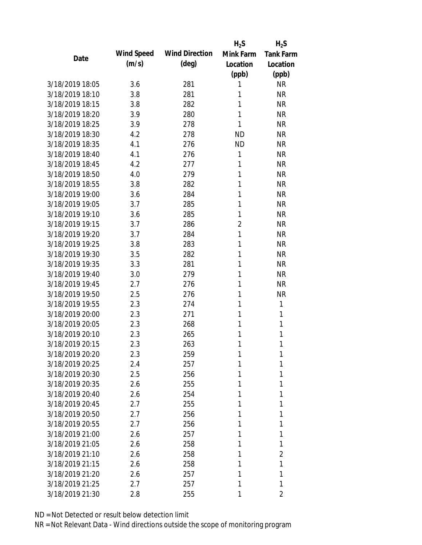|                 |            |                       | $H_2S$         | $H_2S$           |
|-----------------|------------|-----------------------|----------------|------------------|
| Date            | Wind Speed | <b>Wind Direction</b> | Mink Farm      | <b>Tank Farm</b> |
|                 | (m/s)      | $(\text{deg})$        | Location       | Location         |
|                 |            |                       | (ppb)          | (ppb)            |
| 3/18/2019 18:05 | 3.6        | 281                   | 1              | <b>NR</b>        |
| 3/18/2019 18:10 | 3.8        | 281                   | 1              | <b>NR</b>        |
| 3/18/2019 18:15 | 3.8        | 282                   | 1              | <b>NR</b>        |
| 3/18/2019 18:20 | 3.9        | 280                   | 1              | <b>NR</b>        |
| 3/18/2019 18:25 | 3.9        | 278                   | 1              | <b>NR</b>        |
| 3/18/2019 18:30 | 4.2        | 278                   | <b>ND</b>      | <b>NR</b>        |
| 3/18/2019 18:35 | 4.1        | 276                   | <b>ND</b>      | <b>NR</b>        |
| 3/18/2019 18:40 | 4.1        | 276                   | 1              | <b>NR</b>        |
| 3/18/2019 18:45 | 4.2        | 277                   | 1              | <b>NR</b>        |
| 3/18/2019 18:50 | 4.0        | 279                   | 1              | <b>NR</b>        |
| 3/18/2019 18:55 | 3.8        | 282                   | 1              | <b>NR</b>        |
| 3/18/2019 19:00 | 3.6        | 284                   | 1              | <b>NR</b>        |
| 3/18/2019 19:05 | 3.7        | 285                   | 1              | <b>NR</b>        |
| 3/18/2019 19:10 | 3.6        | 285                   | 1              | <b>NR</b>        |
| 3/18/2019 19:15 | 3.7        | 286                   | $\overline{2}$ | <b>NR</b>        |
| 3/18/2019 19:20 | 3.7        | 284                   | 1              | <b>NR</b>        |
| 3/18/2019 19:25 | 3.8        | 283                   | 1              | <b>NR</b>        |
| 3/18/2019 19:30 | 3.5        | 282                   | 1              | <b>NR</b>        |
| 3/18/2019 19:35 | 3.3        | 281                   | 1              | <b>NR</b>        |
| 3/18/2019 19:40 | 3.0        | 279                   | 1              | <b>NR</b>        |
| 3/18/2019 19:45 | 2.7        | 276                   | 1              | <b>NR</b>        |
| 3/18/2019 19:50 | 2.5        | 276                   | 1              | <b>NR</b>        |
| 3/18/2019 19:55 | 2.3        | 274                   | 1              | $\mathbf{1}$     |
| 3/18/2019 20:00 | 2.3        | 271                   | 1              | 1                |
| 3/18/2019 20:05 | 2.3        | 268                   | 1              | 1                |
| 3/18/2019 20:10 | 2.3        | 265                   | 1              | 1                |
| 3/18/2019 20:15 | 2.3        | 263                   | 1              | 1                |
| 3/18/2019 20:20 | 2.3        | 259                   | 1              | 1                |
| 3/18/2019 20:25 | 2.4        | 257                   | 1              | 1                |
| 3/18/2019 20:30 | 2.5        | 256                   | 1              | 1                |
| 3/18/2019 20:35 | 2.6        | 255                   | 1              | 1                |
| 3/18/2019 20:40 | 2.6        | 254                   | 1              | 1                |
| 3/18/2019 20:45 | 2.7        | 255                   | 1              | 1                |
| 3/18/2019 20:50 | 2.7        | 256                   | 1              | 1                |
| 3/18/2019 20:55 | 2.7        | 256                   | 1              | 1                |
| 3/18/2019 21:00 | 2.6        | 257                   | 1              | 1                |
| 3/18/2019 21:05 | 2.6        | 258                   | 1              | 1                |
| 3/18/2019 21:10 | 2.6        | 258                   | 1              | 2                |
| 3/18/2019 21:15 | 2.6        | 258                   | 1              | 1                |
| 3/18/2019 21:20 | 2.6        | 257                   | 1              | 1                |
| 3/18/2019 21:25 | 2.7        | 257                   | 1              | 1                |
| 3/18/2019 21:30 | 2.8        | 255                   | 1              | 2                |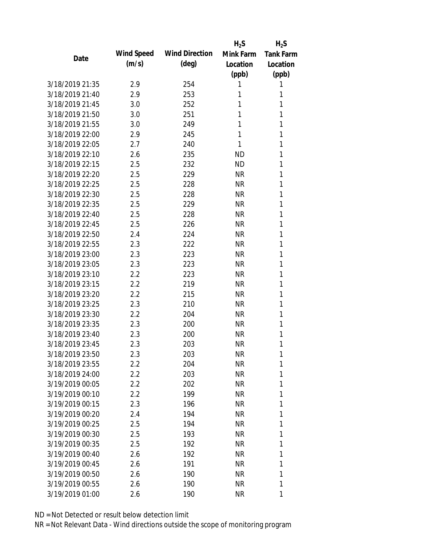|                 |            |                       | $H_2S$    | $H_2S$           |
|-----------------|------------|-----------------------|-----------|------------------|
| Date            | Wind Speed | <b>Wind Direction</b> | Mink Farm | <b>Tank Farm</b> |
|                 | (m/s)      | $(\text{deg})$        | Location  | Location         |
|                 |            |                       | (ppb)     | (ppb)            |
| 3/18/2019 21:35 | 2.9        | 254                   | 1         | 1                |
| 3/18/2019 21:40 | 2.9        | 253                   | 1         | 1                |
| 3/18/2019 21:45 | 3.0        | 252                   | 1         | 1                |
| 3/18/2019 21:50 | 3.0        | 251                   | 1         | 1                |
| 3/18/2019 21:55 | 3.0        | 249                   | 1         | 1                |
| 3/18/2019 22:00 | 2.9        | 245                   | 1         | 1                |
| 3/18/2019 22:05 | 2.7        | 240                   | 1         | 1                |
| 3/18/2019 22:10 | 2.6        | 235                   | <b>ND</b> | 1                |
| 3/18/2019 22:15 | 2.5        | 232                   | <b>ND</b> | 1                |
| 3/18/2019 22:20 | 2.5        | 229                   | <b>NR</b> | 1                |
| 3/18/2019 22:25 | 2.5        | 228                   | <b>NR</b> | 1                |
| 3/18/2019 22:30 | 2.5        | 228                   | <b>NR</b> | 1                |
| 3/18/2019 22:35 | 2.5        | 229                   | <b>NR</b> | 1                |
| 3/18/2019 22:40 | 2.5        | 228                   | <b>NR</b> | 1                |
| 3/18/2019 22:45 | 2.5        | 226                   | <b>NR</b> | 1                |
| 3/18/2019 22:50 | 2.4        | 224                   | <b>NR</b> | 1                |
| 3/18/2019 22:55 | 2.3        | 222                   | <b>NR</b> | 1                |
| 3/18/2019 23:00 | 2.3        | 223                   | <b>NR</b> | 1                |
| 3/18/2019 23:05 | 2.3        | 223                   | <b>NR</b> | 1                |
| 3/18/2019 23:10 | 2.2        | 223                   | <b>NR</b> | 1                |
| 3/18/2019 23:15 | 2.2        | 219                   | <b>NR</b> | 1                |
| 3/18/2019 23:20 | 2.2        | 215                   | <b>NR</b> | 1                |
| 3/18/2019 23:25 | 2.3        | 210                   | <b>NR</b> | 1                |
| 3/18/2019 23:30 | 2.2        | 204                   | <b>NR</b> | 1                |
| 3/18/2019 23:35 | 2.3        | 200                   | <b>NR</b> | 1                |
| 3/18/2019 23:40 | 2.3        | 200                   | <b>NR</b> | 1                |
| 3/18/2019 23:45 | 2.3        | 203                   | <b>NR</b> | 1                |
| 3/18/2019 23:50 | 2.3        | 203                   | <b>NR</b> | 1                |
| 3/18/2019 23:55 | 2.2        | 204                   | <b>NR</b> | 1                |
| 3/18/2019 24:00 | $2.2\,$    | 203                   | <b>NR</b> | 1                |
| 3/19/2019 00:05 | 2.2        | 202                   | <b>NR</b> | 1                |
| 3/19/2019 00:10 | 2.2        | 199                   | <b>NR</b> | 1                |
| 3/19/2019 00:15 | 2.3        | 196                   | <b>NR</b> | 1                |
| 3/19/2019 00:20 | 2.4        | 194                   | <b>NR</b> | 1                |
| 3/19/2019 00:25 | 2.5        | 194                   | <b>NR</b> | 1                |
| 3/19/2019 00:30 | 2.5        | 193                   | <b>NR</b> | 1                |
| 3/19/2019 00:35 | 2.5        | 192                   | <b>NR</b> | 1                |
| 3/19/2019 00:40 | 2.6        | 192                   | <b>NR</b> | 1                |
| 3/19/2019 00:45 | 2.6        | 191                   | <b>NR</b> | 1                |
| 3/19/2019 00:50 | 2.6        | 190                   | <b>NR</b> | 1                |
| 3/19/2019 00:55 | 2.6        | 190                   | <b>NR</b> | 1                |
| 3/19/2019 01:00 | 2.6        | 190                   | <b>NR</b> | 1                |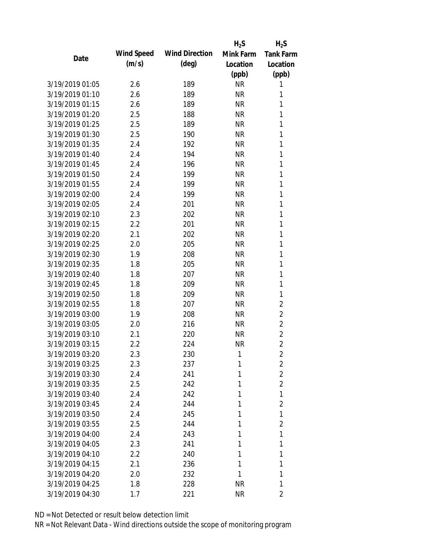|                 |            |                       | $H_2S$    | $H_2S$           |
|-----------------|------------|-----------------------|-----------|------------------|
| Date            | Wind Speed | <b>Wind Direction</b> | Mink Farm | <b>Tank Farm</b> |
|                 | (m/s)      | $(\text{deg})$        | Location  | Location         |
|                 |            |                       | (ppb)     | (ppb)            |
| 3/19/2019 01:05 | 2.6        | 189                   | <b>NR</b> | 1                |
| 3/19/2019 01:10 | 2.6        | 189                   | <b>NR</b> | 1                |
| 3/19/2019 01:15 | 2.6        | 189                   | <b>NR</b> | 1                |
| 3/19/2019 01:20 | 2.5        | 188                   | <b>NR</b> | 1                |
| 3/19/2019 01:25 | 2.5        | 189                   | <b>NR</b> | 1                |
| 3/19/2019 01:30 | 2.5        | 190                   | <b>NR</b> | 1                |
| 3/19/2019 01:35 | 2.4        | 192                   | <b>NR</b> | 1                |
| 3/19/2019 01:40 | 2.4        | 194                   | <b>NR</b> | 1                |
| 3/19/2019 01:45 | 2.4        | 196                   | <b>NR</b> | 1                |
| 3/19/2019 01:50 | 2.4        | 199                   | <b>NR</b> | 1                |
| 3/19/2019 01:55 | 2.4        | 199                   | <b>NR</b> | 1                |
| 3/19/2019 02:00 | 2.4        | 199                   | <b>NR</b> | 1                |
| 3/19/2019 02:05 | 2.4        | 201                   | <b>NR</b> | 1                |
| 3/19/2019 02:10 | 2.3        | 202                   | <b>NR</b> | 1                |
| 3/19/2019 02:15 | 2.2        | 201                   | <b>NR</b> | 1                |
| 3/19/2019 02:20 | 2.1        | 202                   | <b>NR</b> | 1                |
| 3/19/2019 02:25 | 2.0        | 205                   | <b>NR</b> | 1                |
| 3/19/2019 02:30 | 1.9        | 208                   | <b>NR</b> | 1                |
| 3/19/2019 02:35 | 1.8        | 205                   | <b>NR</b> | 1                |
| 3/19/2019 02:40 | 1.8        | 207                   | <b>NR</b> | 1                |
| 3/19/2019 02:45 | 1.8        | 209                   | <b>NR</b> | 1                |
| 3/19/2019 02:50 | 1.8        | 209                   | <b>NR</b> | 1                |
| 3/19/2019 02:55 | 1.8        | 207                   | <b>NR</b> | $\overline{2}$   |
| 3/19/2019 03:00 | 1.9        | 208                   | <b>NR</b> | $\overline{2}$   |
| 3/19/2019 03:05 | 2.0        | 216                   | <b>NR</b> | $\overline{2}$   |
| 3/19/2019 03:10 | 2.1        | 220                   | <b>NR</b> | $\overline{2}$   |
| 3/19/2019 03:15 | 2.2        | 224                   | <b>NR</b> | $\overline{2}$   |
| 3/19/2019 03:20 | 2.3        | 230                   | 1         | $\overline{2}$   |
| 3/19/2019 03:25 | 2.3        | 237                   | 1         | $\overline{2}$   |
| 3/19/2019 03:30 | 2.4        | 241                   | 1         | $\overline{2}$   |
| 3/19/2019 03:35 | 2.5        | 242                   | 1         | $\overline{2}$   |
| 3/19/2019 03:40 | 2.4        | 242                   | 1         | 1                |
| 3/19/2019 03:45 | 2.4        | 244                   | 1         | $\overline{2}$   |
| 3/19/2019 03:50 | 2.4        | 245                   | 1         | 1                |
| 3/19/2019 03:55 | 2.5        | 244                   | 1         | $\overline{2}$   |
| 3/19/2019 04:00 | 2.4        | 243                   | 1         | 1                |
| 3/19/2019 04:05 | 2.3        | 241                   | 1         | 1                |
| 3/19/2019 04:10 | $2.2\,$    | 240                   | 1         | 1                |
| 3/19/2019 04:15 | 2.1        | 236                   | 1         | 1                |
| 3/19/2019 04:20 | 2.0        | 232                   | 1         | 1                |
| 3/19/2019 04:25 | 1.8        | 228                   | <b>NR</b> | 1                |
| 3/19/2019 04:30 | 1.7        | 221                   | <b>NR</b> | 2                |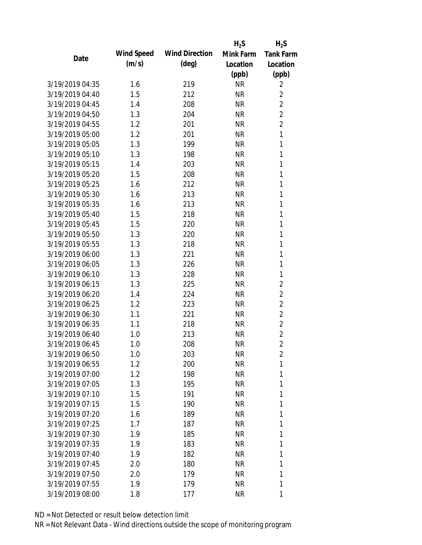|                 |            |                       | $H_2S$    | $H_2S$           |
|-----------------|------------|-----------------------|-----------|------------------|
| Date            | Wind Speed | <b>Wind Direction</b> | Mink Farm | <b>Tank Farm</b> |
|                 | (m/s)      | $(\text{deg})$        | Location  | Location         |
|                 |            |                       | (ppb)     | (ppb)            |
| 3/19/2019 04:35 | 1.6        | 219                   | <b>NR</b> | 2                |
| 3/19/2019 04:40 | 1.5        | 212                   | <b>NR</b> | $\overline{2}$   |
| 3/19/2019 04:45 | 1.4        | 208                   | <b>NR</b> | $\overline{2}$   |
| 3/19/2019 04:50 | 1.3        | 204                   | <b>NR</b> | $\overline{2}$   |
| 3/19/2019 04:55 | 1.2        | 201                   | <b>NR</b> | $\overline{2}$   |
| 3/19/2019 05:00 | 1.2        | 201                   | <b>NR</b> | 1                |
| 3/19/2019 05:05 | 1.3        | 199                   | <b>NR</b> | 1                |
| 3/19/2019 05:10 | 1.3        | 198                   | <b>NR</b> | 1                |
| 3/19/2019 05:15 | 1.4        | 203                   | <b>NR</b> | 1                |
| 3/19/2019 05:20 | 1.5        | 208                   | <b>NR</b> | 1                |
| 3/19/2019 05:25 | 1.6        | 212                   | <b>NR</b> | 1                |
| 3/19/2019 05:30 | 1.6        | 213                   | <b>NR</b> | 1                |
| 3/19/2019 05:35 | 1.6        | 213                   | <b>NR</b> | 1                |
| 3/19/2019 05:40 | 1.5        | 218                   | <b>NR</b> | 1                |
| 3/19/2019 05:45 | 1.5        | 220                   | <b>NR</b> | 1                |
| 3/19/2019 05:50 | 1.3        | 220                   | <b>NR</b> | 1                |
| 3/19/2019 05:55 | 1.3        | 218                   | <b>NR</b> | 1                |
| 3/19/2019 06:00 | 1.3        | 221                   | <b>NR</b> | 1                |
| 3/19/2019 06:05 | 1.3        | 226                   | <b>NR</b> | 1                |
| 3/19/2019 06:10 | 1.3        | 228                   | <b>NR</b> | 1                |
| 3/19/2019 06:15 | 1.3        | 225                   | <b>NR</b> | $\overline{2}$   |
| 3/19/2019 06:20 | 1.4        | 224                   | <b>NR</b> | $\overline{2}$   |
| 3/19/2019 06:25 | 1.2        | 223                   | <b>NR</b> | $\overline{2}$   |
| 3/19/2019 06:30 | 1.1        | 221                   | <b>NR</b> | $\overline{2}$   |
| 3/19/2019 06:35 | 1.1        | 218                   | <b>NR</b> | $\overline{2}$   |
| 3/19/2019 06:40 | 1.0        | 213                   | <b>NR</b> | $\overline{2}$   |
| 3/19/2019 06:45 | 1.0        | 208                   | <b>NR</b> | $\overline{2}$   |
| 3/19/2019 06:50 | 1.0        | 203                   | <b>NR</b> | $\overline{2}$   |
| 3/19/2019 06:55 | 1.2        | 200                   | <b>NR</b> | 1                |
| 3/19/2019 07:00 | 1.2        | 198                   | <b>NR</b> | 1                |
| 3/19/2019 07:05 | 1.3        | 195                   | <b>NR</b> | 1                |
| 3/19/2019 07:10 | 1.5        | 191                   | <b>NR</b> | 1                |
| 3/19/2019 07:15 | 1.5        | 190                   | <b>NR</b> | 1                |
| 3/19/2019 07:20 | 1.6        | 189                   | <b>NR</b> | 1                |
| 3/19/2019 07:25 | 1.7        | 187                   | <b>NR</b> | 1                |
| 3/19/2019 07:30 | 1.9        | 185                   | <b>NR</b> | 1                |
| 3/19/2019 07:35 | 1.9        | 183                   | <b>NR</b> | 1                |
| 3/19/2019 07:40 | 1.9        | 182                   | <b>NR</b> | 1                |
| 3/19/2019 07:45 | 2.0        | 180                   | <b>NR</b> | 1                |
| 3/19/2019 07:50 | 2.0        | 179                   | <b>NR</b> | 1                |
| 3/19/2019 07:55 | 1.9        | 179                   | <b>NR</b> | 1                |
| 3/19/2019 08:00 | 1.8        | 177                   | <b>NR</b> | 1                |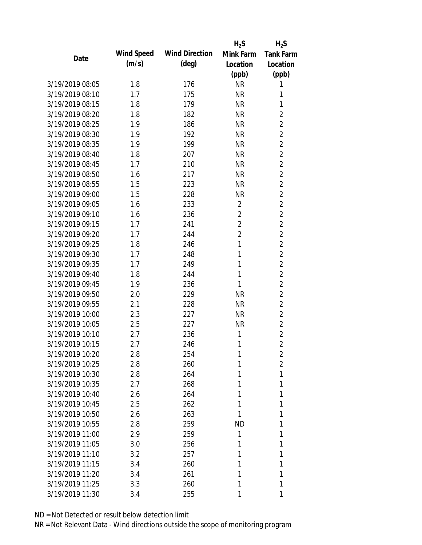|                 |            |                       | $H_2S$         | $H_2S$           |
|-----------------|------------|-----------------------|----------------|------------------|
| Date            | Wind Speed | <b>Wind Direction</b> | Mink Farm      | <b>Tank Farm</b> |
|                 | (m/s)      | $(\text{deg})$        | Location       | Location         |
|                 |            |                       | (ppb)          | (ppb)            |
| 3/19/2019 08:05 | 1.8        | 176                   | <b>NR</b>      | 1                |
| 3/19/2019 08:10 | 1.7        | 175                   | <b>NR</b>      | 1                |
| 3/19/2019 08:15 | 1.8        | 179                   | <b>NR</b>      | 1                |
| 3/19/2019 08:20 | 1.8        | 182                   | <b>NR</b>      | $\overline{2}$   |
| 3/19/2019 08:25 | 1.9        | 186                   | <b>NR</b>      | $\overline{2}$   |
| 3/19/2019 08:30 | 1.9        | 192                   | <b>NR</b>      | $\overline{2}$   |
| 3/19/2019 08:35 | 1.9        | 199                   | <b>NR</b>      | $\overline{2}$   |
| 3/19/2019 08:40 | 1.8        | 207                   | <b>NR</b>      | $\overline{2}$   |
| 3/19/2019 08:45 | 1.7        | 210                   | <b>NR</b>      | $\overline{2}$   |
| 3/19/2019 08:50 | 1.6        | 217                   | <b>NR</b>      | $\overline{2}$   |
| 3/19/2019 08:55 | 1.5        | 223                   | <b>NR</b>      | $\overline{2}$   |
| 3/19/2019 09:00 | 1.5        | 228                   | <b>NR</b>      | $\overline{2}$   |
| 3/19/2019 09:05 | 1.6        | 233                   | $\overline{2}$ | $\overline{2}$   |
| 3/19/2019 09:10 | 1.6        | 236                   | $\overline{2}$ | $\overline{2}$   |
| 3/19/2019 09:15 | 1.7        | 241                   | $\overline{2}$ | $\overline{2}$   |
| 3/19/2019 09:20 | 1.7        | 244                   | $\overline{2}$ | $\overline{2}$   |
| 3/19/2019 09:25 | 1.8        | 246                   | 1              | $\overline{2}$   |
| 3/19/2019 09:30 | 1.7        | 248                   | 1              | $\overline{2}$   |
| 3/19/2019 09:35 | 1.7        | 249                   | 1              | $\overline{2}$   |
| 3/19/2019 09:40 | 1.8        | 244                   | 1              | $\overline{2}$   |
| 3/19/2019 09:45 | 1.9        | 236                   | 1              | $\overline{2}$   |
| 3/19/2019 09:50 | 2.0        | 229                   | <b>NR</b>      | $\overline{2}$   |
| 3/19/2019 09:55 | 2.1        | 228                   | <b>NR</b>      | $\overline{2}$   |
| 3/19/2019 10:00 | 2.3        | 227                   | <b>NR</b>      | $\overline{2}$   |
| 3/19/2019 10:05 | 2.5        | 227                   | <b>NR</b>      | $\overline{2}$   |
| 3/19/2019 10:10 | 2.7        | 236                   | 1              | $\overline{2}$   |
| 3/19/2019 10:15 | 2.7        | 246                   | 1              | $\overline{2}$   |
| 3/19/2019 10:20 | 2.8        | 254                   | 1              | 2                |
| 3/19/2019 10:25 | 2.8        | 260                   | 1              | $\overline{2}$   |
| 3/19/2019 10:30 | 2.8        | 264                   | 1              | 1                |
| 3/19/2019 10:35 | 2.7        | 268                   | 1              | 1                |
| 3/19/2019 10:40 | 2.6        | 264                   | 1              | 1                |
| 3/19/2019 10:45 | 2.5        | 262                   | 1              | 1                |
| 3/19/2019 10:50 | 2.6        | 263                   | 1              | 1                |
| 3/19/2019 10:55 | 2.8        | 259                   | <b>ND</b>      | 1                |
| 3/19/2019 11:00 | 2.9        | 259                   | 1              | 1                |
| 3/19/2019 11:05 | 3.0        | 256                   | 1              | 1                |
| 3/19/2019 11:10 | 3.2        | 257                   | 1              | 1                |
| 3/19/2019 11:15 | 3.4        | 260                   | 1              | 1                |
| 3/19/2019 11:20 | 3.4        | 261                   | 1              | 1                |
| 3/19/2019 11:25 | 3.3        | 260                   | 1              | 1                |
| 3/19/2019 11:30 | 3.4        | 255                   |                | 1                |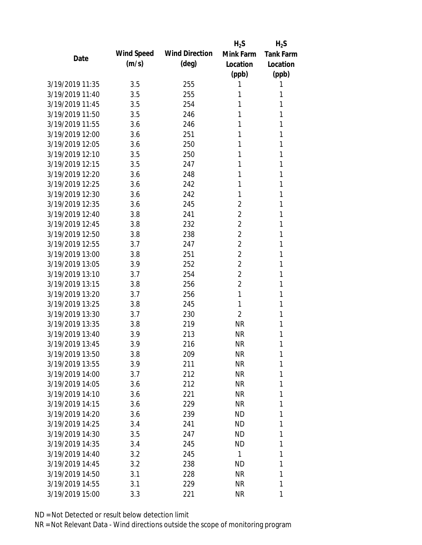|                 |            |                       | $H_2S$         | $H_2S$           |
|-----------------|------------|-----------------------|----------------|------------------|
| Date            | Wind Speed | <b>Wind Direction</b> | Mink Farm      | <b>Tank Farm</b> |
|                 | (m/s)      | $(\text{deg})$        | Location       | Location         |
|                 |            |                       | (ppb)          | (ppb)            |
| 3/19/2019 11:35 | 3.5        | 255                   | 1              | 1                |
| 3/19/2019 11:40 | 3.5        | 255                   | 1              | 1                |
| 3/19/2019 11:45 | 3.5        | 254                   | 1              | 1                |
| 3/19/2019 11:50 | 3.5        | 246                   | 1              | 1                |
| 3/19/2019 11:55 | 3.6        | 246                   | 1              | 1                |
| 3/19/2019 12:00 | 3.6        | 251                   | 1              | 1                |
| 3/19/2019 12:05 | 3.6        | 250                   | 1              | 1                |
| 3/19/2019 12:10 | 3.5        | 250                   | 1              | 1                |
| 3/19/2019 12:15 | 3.5        | 247                   | 1              | 1                |
| 3/19/2019 12:20 | 3.6        | 248                   | 1              | 1                |
| 3/19/2019 12:25 | 3.6        | 242                   | 1              | 1                |
| 3/19/2019 12:30 | 3.6        | 242                   | 1              | 1                |
| 3/19/2019 12:35 | 3.6        | 245                   | 2              | 1                |
| 3/19/2019 12:40 | 3.8        | 241                   | $\overline{2}$ | 1                |
| 3/19/2019 12:45 | 3.8        | 232                   | $\overline{2}$ | 1                |
| 3/19/2019 12:50 | 3.8        | 238                   | 2              | 1                |
| 3/19/2019 12:55 | 3.7        | 247                   | $\overline{2}$ | 1                |
| 3/19/2019 13:00 | 3.8        | 251                   | $\overline{2}$ | 1                |
| 3/19/2019 13:05 | 3.9        | 252                   | $\overline{2}$ | 1                |
| 3/19/2019 13:10 | 3.7        | 254                   | $\overline{2}$ | 1                |
| 3/19/2019 13:15 | 3.8        | 256                   | 2              | 1                |
| 3/19/2019 13:20 | 3.7        | 256                   | 1              | 1                |
| 3/19/2019 13:25 | 3.8        | 245                   | 1              | 1                |
| 3/19/2019 13:30 | 3.7        | 230                   | 2              | 1                |
| 3/19/2019 13:35 | 3.8        | 219                   | <b>NR</b>      | 1                |
| 3/19/2019 13:40 | 3.9        | 213                   | <b>NR</b>      | 1                |
| 3/19/2019 13:45 | 3.9        | 216                   | <b>NR</b>      | 1                |
| 3/19/2019 13:50 | 3.8        | 209                   | <b>NR</b>      | 1                |
| 3/19/2019 13:55 | 3.9        | 211                   | <b>NR</b>      | 1                |
| 3/19/2019 14:00 | 3.7        | 212                   | <b>NR</b>      | 1                |
| 3/19/2019 14:05 | 3.6        | 212                   | <b>NR</b>      | 1                |
| 3/19/2019 14:10 | 3.6        | 221                   | <b>NR</b>      | 1                |
| 3/19/2019 14:15 | 3.6        | 229                   | <b>NR</b>      | 1                |
| 3/19/2019 14:20 | 3.6        | 239                   | <b>ND</b>      | 1                |
| 3/19/2019 14:25 | 3.4        | 241                   | <b>ND</b>      | 1                |
| 3/19/2019 14:30 | 3.5        | 247                   | <b>ND</b>      | 1                |
| 3/19/2019 14:35 | 3.4        | 245                   | ND             | 1                |
| 3/19/2019 14:40 | 3.2        | 245                   | 1              | 1                |
| 3/19/2019 14:45 | 3.2        | 238                   | <b>ND</b>      | 1                |
| 3/19/2019 14:50 | 3.1        | 228                   | <b>NR</b>      | 1                |
| 3/19/2019 14:55 | 3.1        | 229                   | <b>NR</b>      | 1                |
| 3/19/2019 15:00 | 3.3        | 221                   | <b>NR</b>      | 1                |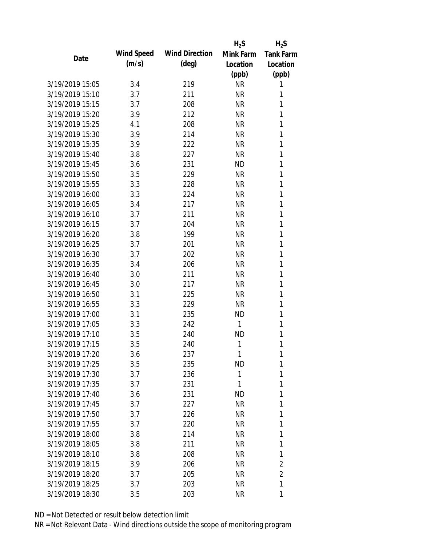|                 |            |                       | $H_2S$       | $H_2S$           |
|-----------------|------------|-----------------------|--------------|------------------|
| Date            | Wind Speed | <b>Wind Direction</b> | Mink Farm    | <b>Tank Farm</b> |
|                 | (m/s)      | $(\text{deg})$        | Location     | Location         |
|                 |            |                       | (ppb)        | (ppb)            |
| 3/19/2019 15:05 | 3.4        | 219                   | <b>NR</b>    | 1                |
| 3/19/2019 15:10 | 3.7        | 211                   | <b>NR</b>    | 1                |
| 3/19/2019 15:15 | 3.7        | 208                   | <b>NR</b>    | 1                |
| 3/19/2019 15:20 | 3.9        | 212                   | <b>NR</b>    | 1                |
| 3/19/2019 15:25 | 4.1        | 208                   | <b>NR</b>    | 1                |
| 3/19/2019 15:30 | 3.9        | 214                   | <b>NR</b>    | 1                |
| 3/19/2019 15:35 | 3.9        | 222                   | <b>NR</b>    | 1                |
| 3/19/2019 15:40 | 3.8        | 227                   | <b>NR</b>    | 1                |
| 3/19/2019 15:45 | 3.6        | 231                   | <b>ND</b>    | 1                |
| 3/19/2019 15:50 | 3.5        | 229                   | <b>NR</b>    | 1                |
| 3/19/2019 15:55 | 3.3        | 228                   | <b>NR</b>    | 1                |
| 3/19/2019 16:00 | 3.3        | 224                   | <b>NR</b>    | 1                |
| 3/19/2019 16:05 | 3.4        | 217                   | <b>NR</b>    | 1                |
| 3/19/2019 16:10 | 3.7        | 211                   | <b>NR</b>    | 1                |
| 3/19/2019 16:15 | 3.7        | 204                   | <b>NR</b>    | 1                |
| 3/19/2019 16:20 | 3.8        | 199                   | <b>NR</b>    | 1                |
| 3/19/2019 16:25 | 3.7        | 201                   | <b>NR</b>    | 1                |
| 3/19/2019 16:30 | 3.7        | 202                   | <b>NR</b>    | 1                |
| 3/19/2019 16:35 | 3.4        | 206                   | <b>NR</b>    | 1                |
| 3/19/2019 16:40 | 3.0        | 211                   | <b>NR</b>    | 1                |
| 3/19/2019 16:45 | 3.0        | 217                   | <b>NR</b>    | 1                |
| 3/19/2019 16:50 | 3.1        | 225                   | <b>NR</b>    | 1                |
| 3/19/2019 16:55 | 3.3        | 229                   | <b>NR</b>    | 1                |
| 3/19/2019 17:00 | 3.1        | 235                   | <b>ND</b>    | 1                |
| 3/19/2019 17:05 | 3.3        | 242                   | $\mathbf{1}$ | 1                |
| 3/19/2019 17:10 | 3.5        | 240                   | <b>ND</b>    | 1                |
| 3/19/2019 17:15 | 3.5        | 240                   | 1            | 1                |
| 3/19/2019 17:20 | 3.6        | 237                   | 1            | 1                |
| 3/19/2019 17:25 | 3.5        | 235                   | <b>ND</b>    | 1                |
| 3/19/2019 17:30 | 3.7        | 236                   | 1            | 1                |
| 3/19/2019 17:35 | 3.7        | 231                   | 1            | 1                |
| 3/19/2019 17:40 | 3.6        | 231                   | <b>ND</b>    | 1                |
| 3/19/2019 17:45 | 3.7        | 227                   | <b>NR</b>    | 1                |
| 3/19/2019 17:50 | 3.7        | 226                   | <b>NR</b>    | 1                |
| 3/19/2019 17:55 | 3.7        | 220                   | <b>NR</b>    | 1                |
| 3/19/2019 18:00 | 3.8        | 214                   | <b>NR</b>    | 1                |
| 3/19/2019 18:05 | 3.8        | 211                   | <b>NR</b>    | 1                |
| 3/19/2019 18:10 | 3.8        | 208                   | <b>NR</b>    | 1                |
| 3/19/2019 18:15 | 3.9        | 206                   | <b>NR</b>    | 2                |
| 3/19/2019 18:20 | 3.7        | 205                   | <b>NR</b>    | $\overline{2}$   |
| 3/19/2019 18:25 | 3.7        | 203                   | <b>NR</b>    | 1                |
| 3/19/2019 18:30 | 3.5        | 203                   | <b>NR</b>    | 1                |
|                 |            |                       |              |                  |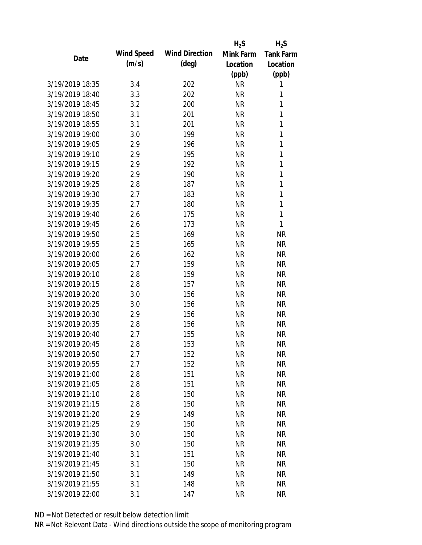|                                    |            |                       | $H_2S$    | $H_2S$       |
|------------------------------------|------------|-----------------------|-----------|--------------|
| Date                               | Wind Speed | <b>Wind Direction</b> | Mink Farm | Tank Farm    |
|                                    | (m/s)      | $(\text{deg})$        | Location  | Location     |
|                                    |            |                       | (ppb)     | (ppb)        |
| 3/19/2019 18:35                    | 3.4        | 202                   | <b>NR</b> | 1            |
| 3/19/2019 18:40                    | 3.3        | 202                   | <b>NR</b> | 1            |
| 3/19/2019 18:45                    | 3.2        | 200                   | <b>NR</b> | $\mathbf{1}$ |
| 3/19/2019 18:50                    | 3.1        | 201                   | <b>NR</b> | $\mathbf{1}$ |
| 3/19/2019 18:55                    | 3.1        | 201                   | <b>NR</b> | 1            |
| 3/19/2019 19:00                    | 3.0        | 199                   | <b>NR</b> | 1            |
| 3/19/2019 19:05                    | 2.9        | 196                   | <b>NR</b> | 1            |
| 3/19/2019 19:10                    | 2.9        | 195                   | <b>NR</b> | $\mathbf{1}$ |
| 3/19/2019 19:15                    | 2.9        | 192                   | <b>NR</b> | $\mathbf{1}$ |
| 3/19/2019 19:20                    | 2.9        | 190                   | <b>NR</b> | 1            |
| 3/19/2019 19:25                    | 2.8        | 187                   | <b>NR</b> | 1            |
| 3/19/2019 19:30                    | 2.7        | 183                   | <b>NR</b> | $\mathbf{1}$ |
| 3/19/2019 19:35                    | 2.7        | 180                   | <b>NR</b> | $\mathbf{1}$ |
| 3/19/2019 19:40                    | 2.6        | 175                   | <b>NR</b> | 1            |
| 3/19/2019 19:45                    | 2.6        | 173                   | <b>NR</b> | 1            |
| 3/19/2019 19:50                    | 2.5        | 169                   | <b>NR</b> | <b>NR</b>    |
| 3/19/2019 19:55                    | 2.5        | 165                   | <b>NR</b> | <b>NR</b>    |
| 3/19/2019 20:00                    | 2.6        | 162                   | <b>NR</b> | <b>NR</b>    |
| 3/19/2019 20:05                    | 2.7        | 159                   | <b>NR</b> | <b>NR</b>    |
| 3/19/2019 20:10                    | 2.8        | 159                   | <b>NR</b> | <b>NR</b>    |
| 3/19/2019 20:15                    | 2.8        | 157                   | <b>NR</b> | <b>NR</b>    |
| 3/19/2019 20:20                    | 3.0        | 156                   | <b>NR</b> | <b>NR</b>    |
| 3/19/2019 20:25                    | 3.0        | 156                   | <b>NR</b> | <b>NR</b>    |
| 3/19/2019 20:30                    | 2.9        | 156                   | <b>NR</b> | <b>NR</b>    |
| 3/19/2019 20:35                    | 2.8        | 156                   | <b>NR</b> | <b>NR</b>    |
| 3/19/2019 20:40                    | 2.7        | 155                   | <b>NR</b> | <b>NR</b>    |
| 3/19/2019 20:45                    | 2.8        | 153                   | <b>NR</b> | <b>NR</b>    |
| 3/19/2019 20:50                    | 2.7        | 152                   | <b>NR</b> | <b>NR</b>    |
| 3/19/2019 20:55                    | 2.7        | 152                   | <b>NR</b> | <b>NR</b>    |
| 3/19/2019 21:00                    | 2.8        | 151                   | <b>NR</b> | <b>NR</b>    |
| 3/19/2019 21:05                    | 2.8        | 151                   | <b>NR</b> | <b>NR</b>    |
| 3/19/2019 21:10                    | 2.8        | 150                   | <b>NR</b> | <b>NR</b>    |
| 3/19/2019 21:15                    | 2.8        | 150                   | <b>NR</b> | <b>NR</b>    |
| 3/19/2019 21:20                    | 2.9        | 149                   | <b>NR</b> | <b>NR</b>    |
| 3/19/2019 21:25                    | 2.9        | 150                   | <b>NR</b> | <b>NR</b>    |
| 3/19/2019 21:30                    | 3.0        | 150                   | <b>NR</b> | <b>NR</b>    |
| 3/19/2019 21:35                    | 3.0        | 150                   | <b>NR</b> | <b>NR</b>    |
| 3/19/2019 21:40                    | 3.1        | 151                   | <b>NR</b> | <b>NR</b>    |
|                                    |            |                       |           |              |
| 3/19/2019 21:45<br>3/19/2019 21:50 | 3.1        | 150                   | <b>NR</b> | <b>NR</b>    |
|                                    | 3.1        | 149                   | <b>NR</b> | <b>NR</b>    |
| 3/19/2019 21:55                    | 3.1        | 148                   | <b>NR</b> | <b>NR</b>    |
| 3/19/2019 22:00                    | 3.1        | 147                   | <b>NR</b> | <b>NR</b>    |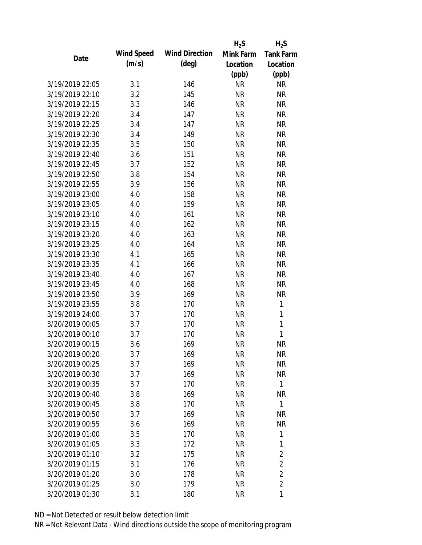|            |                       | $H_2S$    | $H_2S$           |
|------------|-----------------------|-----------|------------------|
| Wind Speed | <b>Wind Direction</b> | Mink Farm | <b>Tank Farm</b> |
| (m/s)      | $(\text{deg})$        | Location  | Location         |
|            |                       | (ppb)     | (ppb)            |
| 3.1        | 146                   | <b>NR</b> | <b>NR</b>        |
| 3.2        | 145                   | <b>NR</b> | <b>NR</b>        |
| 3.3        | 146                   | <b>NR</b> | <b>NR</b>        |
| 3.4        | 147                   | <b>NR</b> | <b>NR</b>        |
| 3.4        | 147                   | <b>NR</b> | <b>NR</b>        |
| 3.4        | 149                   | <b>NR</b> | <b>NR</b>        |
| 3.5        | 150                   | <b>NR</b> | <b>NR</b>        |
| 3.6        | 151                   | <b>NR</b> | <b>NR</b>        |
| 3.7        | 152                   | <b>NR</b> | <b>NR</b>        |
| 3.8        | 154                   | <b>NR</b> | <b>NR</b>        |
| 3.9        | 156                   | <b>NR</b> | <b>NR</b>        |
| 4.0        | 158                   | <b>NR</b> | <b>NR</b>        |
| 4.0        | 159                   | <b>NR</b> | <b>NR</b>        |
| 4.0        | 161                   | <b>NR</b> | <b>NR</b>        |
| 4.0        | 162                   | <b>NR</b> | <b>NR</b>        |
| 4.0        | 163                   | <b>NR</b> | <b>NR</b>        |
| 4.0        | 164                   | <b>NR</b> | <b>NR</b>        |
| 4.1        | 165                   | <b>NR</b> | <b>NR</b>        |
| 4.1        | 166                   | <b>NR</b> | <b>NR</b>        |
| 4.0        | 167                   | <b>NR</b> | <b>NR</b>        |
| 4.0        | 168                   | <b>NR</b> | <b>NR</b>        |
| 3.9        | 169                   | <b>NR</b> | <b>NR</b>        |
| 3.8        | 170                   | <b>NR</b> | 1                |
| 3.7        | 170                   | <b>NR</b> | 1                |
| 3.7        | 170                   | <b>NR</b> | 1                |
| 3.7        | 170                   | <b>NR</b> | 1                |
| 3.6        | 169                   | <b>NR</b> | <b>NR</b>        |
| 3.7        | 169                   | <b>NR</b> | <b>NR</b>        |
| 3.7        | 169                   | <b>NR</b> | <b>NR</b>        |
| 3.7        | 169                   | <b>NR</b> | <b>NR</b>        |
| 3.7        | 170                   | <b>NR</b> | 1                |
| 3.8        | 169                   | <b>NR</b> | <b>NR</b>        |
| 3.8        | 170                   | <b>NR</b> | 1                |
| 3.7        | 169                   | <b>NR</b> | <b>NR</b>        |
| 3.6        | 169                   | <b>NR</b> | <b>NR</b>        |
| 3.5        | 170                   | <b>NR</b> | 1                |
| 3.3        | 172                   | <b>NR</b> | 1                |
| 3.2        | 175                   | <b>NR</b> | $\overline{2}$   |
| 3.1        | 176                   | <b>NR</b> | $\overline{2}$   |
| 3.0        | 178                   | <b>NR</b> | $\overline{2}$   |
| 3.0        | 179                   | <b>NR</b> | $\overline{2}$   |
| 3.1        | 180                   | <b>NR</b> | 1                |
|            |                       |           |                  |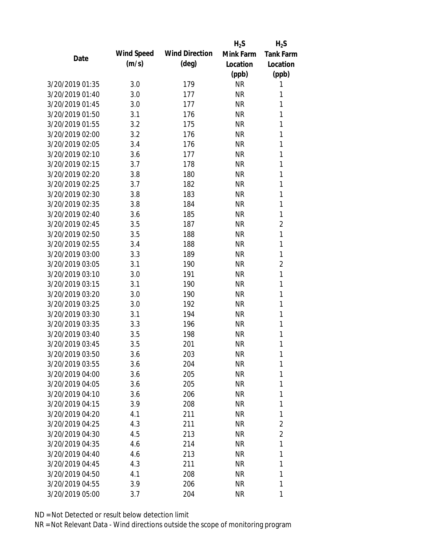|                 |            |                       | $H_2S$    | $H_2S$           |
|-----------------|------------|-----------------------|-----------|------------------|
| Date            | Wind Speed | <b>Wind Direction</b> | Mink Farm | <b>Tank Farm</b> |
|                 | (m/s)      | $(\text{deg})$        | Location  | Location         |
|                 |            |                       | (ppb)     | (ppb)            |
| 3/20/2019 01:35 | 3.0        | 179                   | <b>NR</b> | 1                |
| 3/20/2019 01:40 | 3.0        | 177                   | <b>NR</b> | 1                |
| 3/20/2019 01:45 | 3.0        | 177                   | <b>NR</b> | 1                |
| 3/20/2019 01:50 | 3.1        | 176                   | <b>NR</b> | 1                |
| 3/20/2019 01:55 | 3.2        | 175                   | <b>NR</b> | 1                |
| 3/20/2019 02:00 | 3.2        | 176                   | <b>NR</b> | 1                |
| 3/20/2019 02:05 | 3.4        | 176                   | <b>NR</b> | 1                |
| 3/20/2019 02:10 | 3.6        | 177                   | <b>NR</b> | 1                |
| 3/20/2019 02:15 | 3.7        | 178                   | <b>NR</b> | 1                |
| 3/20/2019 02:20 | 3.8        | 180                   | <b>NR</b> | 1                |
| 3/20/2019 02:25 | 3.7        | 182                   | <b>NR</b> | 1                |
| 3/20/2019 02:30 | 3.8        | 183                   | <b>NR</b> | 1                |
| 3/20/2019 02:35 | 3.8        | 184                   | <b>NR</b> | 1                |
| 3/20/2019 02:40 | 3.6        | 185                   | <b>NR</b> | 1                |
| 3/20/2019 02:45 | 3.5        | 187                   | <b>NR</b> | $\overline{2}$   |
| 3/20/2019 02:50 | 3.5        | 188                   | <b>NR</b> | 1                |
| 3/20/2019 02:55 | 3.4        | 188                   | <b>NR</b> | 1                |
| 3/20/2019 03:00 | 3.3        | 189                   | <b>NR</b> | $\mathbf{1}$     |
| 3/20/2019 03:05 | 3.1        | 190                   | <b>NR</b> | $\overline{2}$   |
| 3/20/2019 03:10 | 3.0        | 191                   | <b>NR</b> | 1                |
| 3/20/2019 03:15 | 3.1        | 190                   | <b>NR</b> | 1                |
| 3/20/2019 03:20 | 3.0        | 190                   | <b>NR</b> | 1                |
| 3/20/2019 03:25 | 3.0        | 192                   | <b>NR</b> | 1                |
| 3/20/2019 03:30 | 3.1        | 194                   | <b>NR</b> | 1                |
| 3/20/2019 03:35 | 3.3        | 196                   | <b>NR</b> | 1                |
| 3/20/2019 03:40 | 3.5        | 198                   | <b>NR</b> | 1                |
| 3/20/2019 03:45 | 3.5        | 201                   | <b>NR</b> | 1                |
| 3/20/2019 03:50 | 3.6        | 203                   | <b>NR</b> | 1                |
| 3/20/2019 03:55 | 3.6        | 204                   | <b>NR</b> | 1                |
| 3/20/2019 04:00 | 3.6        | 205                   | <b>NR</b> | 1                |
| 3/20/2019 04:05 | 3.6        | 205                   | <b>NR</b> | 1                |
| 3/20/2019 04:10 | 3.6        | 206                   | <b>NR</b> | 1                |
| 3/20/2019 04:15 | 3.9        | 208                   | <b>NR</b> | 1                |
| 3/20/2019 04:20 | 4.1        | 211                   | <b>NR</b> | 1                |
| 3/20/2019 04:25 | 4.3        | 211                   | <b>NR</b> | $\overline{2}$   |
| 3/20/2019 04:30 | 4.5        | 213                   | <b>NR</b> | $\overline{2}$   |
| 3/20/2019 04:35 | 4.6        | 214                   | <b>NR</b> | 1                |
| 3/20/2019 04:40 | 4.6        | 213                   | <b>NR</b> | 1                |
| 3/20/2019 04:45 | 4.3        | 211                   | <b>NR</b> | 1                |
| 3/20/2019 04:50 | 4.1        | 208                   | <b>NR</b> | 1                |
| 3/20/2019 04:55 | 3.9        | 206                   | <b>NR</b> | 1                |
| 3/20/2019 05:00 |            |                       |           |                  |
|                 | 3.7        | 204                   | <b>NR</b> | 1                |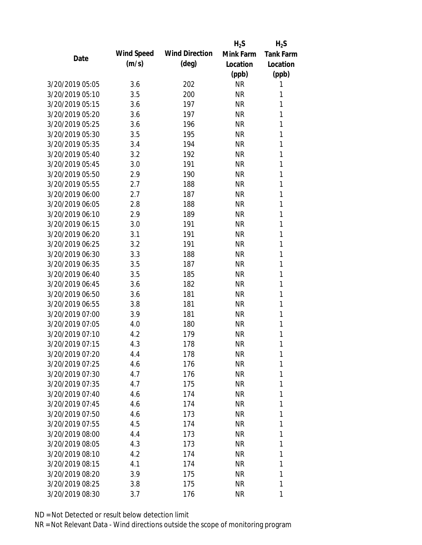|                 |            |                       | $H_2S$    | $H_2S$           |
|-----------------|------------|-----------------------|-----------|------------------|
| Date            | Wind Speed | <b>Wind Direction</b> | Mink Farm | <b>Tank Farm</b> |
|                 | (m/s)      | $(\text{deg})$        | Location  | Location         |
|                 |            |                       | (ppb)     | (ppb)            |
| 3/20/2019 05:05 | 3.6        | 202                   | <b>NR</b> | 1                |
| 3/20/2019 05:10 | 3.5        | 200                   | <b>NR</b> | 1                |
| 3/20/2019 05:15 | 3.6        | 197                   | <b>NR</b> | 1                |
| 3/20/2019 05:20 | 3.6        | 197                   | <b>NR</b> | 1                |
| 3/20/2019 05:25 | 3.6        | 196                   | <b>NR</b> | 1                |
| 3/20/2019 05:30 | 3.5        | 195                   | <b>NR</b> | 1                |
| 3/20/2019 05:35 | 3.4        | 194                   | <b>NR</b> | 1                |
| 3/20/2019 05:40 | 3.2        | 192                   | <b>NR</b> | 1                |
| 3/20/2019 05:45 | 3.0        | 191                   | <b>NR</b> | 1                |
| 3/20/2019 05:50 | 2.9        | 190                   | <b>NR</b> | 1                |
| 3/20/2019 05:55 | 2.7        | 188                   | <b>NR</b> | 1                |
| 3/20/2019 06:00 | 2.7        | 187                   | <b>NR</b> | 1                |
| 3/20/2019 06:05 | 2.8        | 188                   | <b>NR</b> | 1                |
| 3/20/2019 06:10 | 2.9        | 189                   | <b>NR</b> | 1                |
| 3/20/2019 06:15 | 3.0        | 191                   | <b>NR</b> | 1                |
| 3/20/2019 06:20 | 3.1        | 191                   | <b>NR</b> | 1                |
| 3/20/2019 06:25 | 3.2        | 191                   | <b>NR</b> | 1                |
| 3/20/2019 06:30 | 3.3        | 188                   | <b>NR</b> | 1                |
| 3/20/2019 06:35 | 3.5        | 187                   | <b>NR</b> | 1                |
| 3/20/2019 06:40 | 3.5        | 185                   | <b>NR</b> | 1                |
| 3/20/2019 06:45 | 3.6        | 182                   | <b>NR</b> | 1                |
| 3/20/2019 06:50 | 3.6        | 181                   | <b>NR</b> | 1                |
| 3/20/2019 06:55 | 3.8        | 181                   | <b>NR</b> | 1                |
| 3/20/2019 07:00 | 3.9        | 181                   | <b>NR</b> | 1                |
| 3/20/2019 07:05 | 4.0        | 180                   | <b>NR</b> | 1                |
| 3/20/2019 07:10 | 4.2        | 179                   | <b>NR</b> | 1                |
| 3/20/2019 07:15 | 4.3        | 178                   | <b>NR</b> | 1                |
| 3/20/2019 07:20 | 4.4        | 178                   | <b>NR</b> | 1                |
| 3/20/2019 07:25 | 4.6        | 176                   | <b>NR</b> | 1                |
| 3/20/2019 07:30 | 4.7        | 176                   | <b>NR</b> | 1                |
| 3/20/2019 07:35 | 4.7        | 175                   | <b>NR</b> | 1                |
| 3/20/2019 07:40 | 4.6        | 174                   | <b>NR</b> | 1                |
| 3/20/2019 07:45 | 4.6        | 174                   | <b>NR</b> | 1                |
| 3/20/2019 07:50 | 4.6        | 173                   | <b>NR</b> | 1                |
| 3/20/2019 07:55 | 4.5        | 174                   | <b>NR</b> | 1                |
| 3/20/2019 08:00 | 4.4        | 173                   | <b>NR</b> | 1                |
| 3/20/2019 08:05 | 4.3        | 173                   | <b>NR</b> | 1                |
| 3/20/2019 08:10 | 4.2        | 174                   | <b>NR</b> | 1                |
| 3/20/2019 08:15 | 4.1        | 174                   | <b>NR</b> | 1                |
| 3/20/2019 08:20 | 3.9        | 175                   | <b>NR</b> | 1                |
| 3/20/2019 08:25 | 3.8        | 175                   | <b>NR</b> | 1                |
| 3/20/2019 08:30 | 3.7        | 176                   | <b>NR</b> | 1                |
|                 |            |                       |           |                  |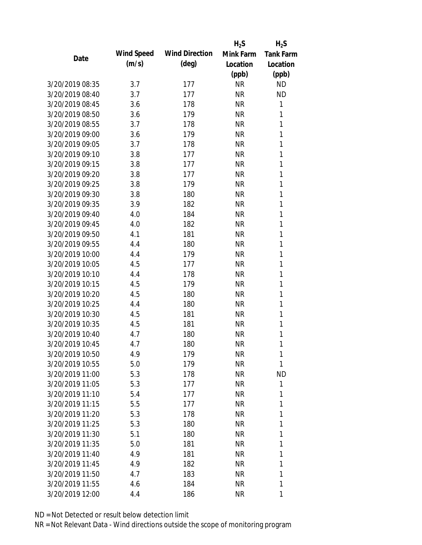|                 |            |                       | $H_2S$    | $H_2S$           |
|-----------------|------------|-----------------------|-----------|------------------|
|                 | Wind Speed | <b>Wind Direction</b> | Mink Farm | <b>Tank Farm</b> |
| Date            | (m/s)      | $(\text{deg})$        | Location  | Location         |
|                 |            |                       | (ppb)     | (ppb)            |
| 3/20/2019 08:35 | 3.7        | 177                   | <b>NR</b> | <b>ND</b>        |
| 3/20/2019 08:40 | 3.7        | 177                   | <b>NR</b> | <b>ND</b>        |
| 3/20/2019 08:45 | 3.6        | 178                   | <b>NR</b> | 1                |
| 3/20/2019 08:50 | 3.6        | 179                   | <b>NR</b> | 1                |
| 3/20/2019 08:55 | 3.7        | 178                   | <b>NR</b> | 1                |
| 3/20/2019 09:00 | 3.6        | 179                   | <b>NR</b> | 1                |
| 3/20/2019 09:05 | 3.7        | 178                   | <b>NR</b> | 1                |
| 3/20/2019 09:10 | 3.8        | 177                   | <b>NR</b> | $\mathbf{1}$     |
| 3/20/2019 09:15 | 3.8        | 177                   | <b>NR</b> | 1                |
| 3/20/2019 09:20 | 3.8        | 177                   | <b>NR</b> | 1                |
| 3/20/2019 09:25 | 3.8        | 179                   | <b>NR</b> | 1                |
| 3/20/2019 09:30 | 3.8        | 180                   | <b>NR</b> | 1                |
| 3/20/2019 09:35 | 3.9        | 182                   | <b>NR</b> | 1                |
| 3/20/2019 09:40 | 4.0        | 184                   | <b>NR</b> | 1                |
| 3/20/2019 09:45 | 4.0        | 182                   | <b>NR</b> | 1                |
| 3/20/2019 09:50 | 4.1        | 181                   | <b>NR</b> | 1                |
| 3/20/2019 09:55 | 4.4        | 180                   | <b>NR</b> | 1                |
| 3/20/2019 10:00 | 4.4        | 179                   | <b>NR</b> | 1                |
| 3/20/2019 10:05 | 4.5        | 177                   | <b>NR</b> | 1                |
| 3/20/2019 10:10 | 4.4        | 178                   | <b>NR</b> | 1                |
| 3/20/2019 10:15 | 4.5        | 179                   | <b>NR</b> | 1                |
| 3/20/2019 10:20 | 4.5        | 180                   | <b>NR</b> | 1                |
| 3/20/2019 10:25 | 4.4        | 180                   | <b>NR</b> | 1                |
| 3/20/2019 10:30 | 4.5        | 181                   | <b>NR</b> | 1                |
| 3/20/2019 10:35 | 4.5        | 181                   | <b>NR</b> | 1                |
| 3/20/2019 10:40 | 4.7        | 180                   | <b>NR</b> | 1                |
| 3/20/2019 10:45 | 4.7        | 180                   | <b>NR</b> | 1                |
| 3/20/2019 10:50 | 4.9        | 179                   | <b>NR</b> | 1                |
| 3/20/2019 10:55 | 5.0        | 179                   | <b>NR</b> | 1                |
| 3/20/2019 11:00 | 5.3        | 178                   | <b>NR</b> | <b>ND</b>        |
| 3/20/2019 11:05 | 5.3        | 177                   | <b>NR</b> | 1                |
| 3/20/2019 11:10 | 5.4        | 177                   | <b>NR</b> | 1                |
| 3/20/2019 11:15 | 5.5        | 177                   | <b>NR</b> | 1                |
| 3/20/2019 11:20 | 5.3        | 178                   | <b>NR</b> | 1                |
| 3/20/2019 11:25 | 5.3        | 180                   | <b>NR</b> | 1                |
| 3/20/2019 11:30 | 5.1        | 180                   | <b>NR</b> | 1                |
| 3/20/2019 11:35 | 5.0        | 181                   | <b>NR</b> | 1                |
| 3/20/2019 11:40 | 4.9        | 181                   | <b>NR</b> | 1                |
| 3/20/2019 11:45 | 4.9        | 182                   | <b>NR</b> | 1                |
| 3/20/2019 11:50 | 4.7        | 183                   | <b>NR</b> | 1                |
| 3/20/2019 11:55 | 4.6        | 184                   | <b>NR</b> | 1                |
| 3/20/2019 12:00 | 4.4        | 186                   | <b>NR</b> | 1                |
|                 |            |                       |           |                  |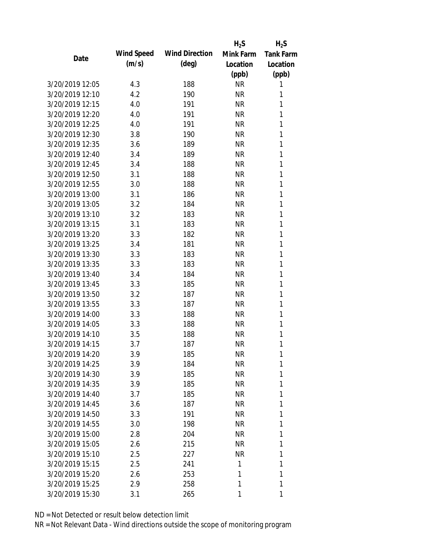|                 |            |                       | $H_2S$    | $H_2S$           |
|-----------------|------------|-----------------------|-----------|------------------|
| Date            | Wind Speed | <b>Wind Direction</b> | Mink Farm | <b>Tank Farm</b> |
|                 | (m/s)      | $(\text{deg})$        | Location  | Location         |
|                 |            |                       | (ppb)     | (ppb)            |
| 3/20/2019 12:05 | 4.3        | 188                   | <b>NR</b> | 1                |
| 3/20/2019 12:10 | 4.2        | 190                   | <b>NR</b> | 1                |
| 3/20/2019 12:15 | 4.0        | 191                   | <b>NR</b> | 1                |
| 3/20/2019 12:20 | 4.0        | 191                   | <b>NR</b> | 1                |
| 3/20/2019 12:25 | 4.0        | 191                   | <b>NR</b> | 1                |
| 3/20/2019 12:30 | 3.8        | 190                   | <b>NR</b> | 1                |
| 3/20/2019 12:35 | 3.6        | 189                   | <b>NR</b> | 1                |
| 3/20/2019 12:40 | 3.4        | 189                   | <b>NR</b> | 1                |
| 3/20/2019 12:45 | 3.4        | 188                   | <b>NR</b> | 1                |
| 3/20/2019 12:50 | 3.1        | 188                   | <b>NR</b> | 1                |
| 3/20/2019 12:55 | 3.0        | 188                   | <b>NR</b> | 1                |
| 3/20/2019 13:00 | 3.1        | 186                   | <b>NR</b> | 1                |
| 3/20/2019 13:05 | 3.2        | 184                   | <b>NR</b> | 1                |
| 3/20/2019 13:10 | 3.2        | 183                   | <b>NR</b> | 1                |
| 3/20/2019 13:15 | 3.1        | 183                   | <b>NR</b> | 1                |
| 3/20/2019 13:20 | 3.3        | 182                   | <b>NR</b> | 1                |
| 3/20/2019 13:25 | 3.4        | 181                   | <b>NR</b> | 1                |
| 3/20/2019 13:30 | 3.3        | 183                   | <b>NR</b> | 1                |
| 3/20/2019 13:35 | 3.3        | 183                   | <b>NR</b> | 1                |
| 3/20/2019 13:40 | 3.4        | 184                   | <b>NR</b> | 1                |
| 3/20/2019 13:45 | 3.3        | 185                   | <b>NR</b> | 1                |
| 3/20/2019 13:50 | 3.2        | 187                   | <b>NR</b> | 1                |
| 3/20/2019 13:55 | 3.3        | 187                   | <b>NR</b> | 1                |
| 3/20/2019 14:00 | 3.3        | 188                   | <b>NR</b> | 1                |
| 3/20/2019 14:05 | 3.3        | 188                   | <b>NR</b> | 1                |
| 3/20/2019 14:10 | 3.5        | 188                   | <b>NR</b> | 1                |
| 3/20/2019 14:15 | 3.7        | 187                   | <b>NR</b> | 1                |
| 3/20/2019 14:20 | 3.9        | 185                   | <b>NR</b> | 1                |
| 3/20/2019 14:25 | 3.9        | 184                   | <b>NR</b> | 1                |
| 3/20/2019 14:30 | 3.9        | 185                   | <b>NR</b> | 1                |
| 3/20/2019 14:35 | 3.9        | 185                   | <b>NR</b> | 1                |
| 3/20/2019 14:40 | 3.7        | 185                   | <b>NR</b> | 1                |
| 3/20/2019 14:45 | 3.6        | 187                   | <b>NR</b> | 1                |
| 3/20/2019 14:50 | 3.3        | 191                   | <b>NR</b> | 1                |
| 3/20/2019 14:55 | 3.0        | 198                   | <b>NR</b> | 1                |
| 3/20/2019 15:00 | 2.8        | 204                   | <b>NR</b> | 1                |
| 3/20/2019 15:05 | 2.6        | 215                   | <b>NR</b> | 1                |
| 3/20/2019 15:10 | 2.5        | 227                   | <b>NR</b> | 1                |
| 3/20/2019 15:15 | 2.5        | 241                   | 1         | 1                |
| 3/20/2019 15:20 | 2.6        | 253                   | 1         | 1                |
| 3/20/2019 15:25 | 2.9        | 258                   | 1         | 1                |
| 3/20/2019 15:30 | 3.1        | 265                   | 1         | 1                |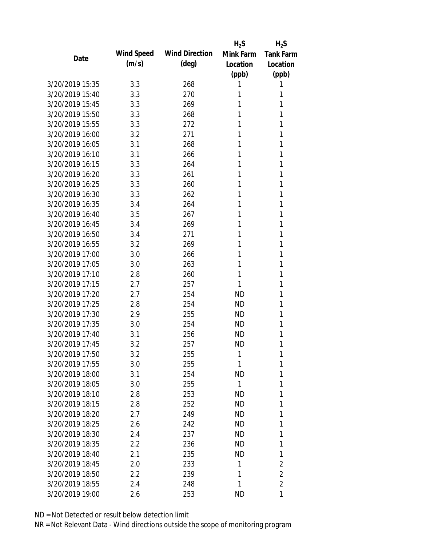|                 |            |                       | $H_2S$    | $H_2S$           |
|-----------------|------------|-----------------------|-----------|------------------|
| Date            | Wind Speed | <b>Wind Direction</b> | Mink Farm | <b>Tank Farm</b> |
|                 | (m/s)      | $(\text{deg})$        | Location  | Location         |
|                 |            |                       | (ppb)     | (ppb)            |
| 3/20/2019 15:35 | 3.3        | 268                   | 1         | 1                |
| 3/20/2019 15:40 | 3.3        | 270                   | 1         | 1                |
| 3/20/2019 15:45 | 3.3        | 269                   | 1         | 1                |
| 3/20/2019 15:50 | 3.3        | 268                   | 1         | 1                |
| 3/20/2019 15:55 | 3.3        | 272                   | 1         | 1                |
| 3/20/2019 16:00 | 3.2        | 271                   | 1         | 1                |
| 3/20/2019 16:05 | 3.1        | 268                   | 1         | 1                |
| 3/20/2019 16:10 | 3.1        | 266                   | 1         | 1                |
| 3/20/2019 16:15 | 3.3        | 264                   | 1         | 1                |
| 3/20/2019 16:20 | 3.3        | 261                   | 1         | 1                |
| 3/20/2019 16:25 | 3.3        | 260                   | 1         | 1                |
| 3/20/2019 16:30 | 3.3        | 262                   | 1         | 1                |
| 3/20/2019 16:35 | 3.4        | 264                   | 1         | 1                |
| 3/20/2019 16:40 | 3.5        | 267                   | 1         | 1                |
| 3/20/2019 16:45 | 3.4        | 269                   | 1         | 1                |
| 3/20/2019 16:50 | 3.4        | 271                   | 1         | 1                |
| 3/20/2019 16:55 | 3.2        | 269                   | 1         | 1                |
| 3/20/2019 17:00 | 3.0        | 266                   | 1         | 1                |
| 3/20/2019 17:05 | 3.0        | 263                   | 1         | 1                |
| 3/20/2019 17:10 | 2.8        | 260                   | 1         | 1                |
| 3/20/2019 17:15 | 2.7        | 257                   | 1         | 1                |
| 3/20/2019 17:20 | 2.7        | 254                   | <b>ND</b> | 1                |
| 3/20/2019 17:25 | 2.8        | 254                   | <b>ND</b> | 1                |
| 3/20/2019 17:30 | 2.9        | 255                   | <b>ND</b> | 1                |
| 3/20/2019 17:35 | 3.0        | 254                   | <b>ND</b> | 1                |
| 3/20/2019 17:40 | 3.1        | 256                   | <b>ND</b> | 1                |
| 3/20/2019 17:45 | 3.2        | 257                   | <b>ND</b> | 1                |
| 3/20/2019 17:50 | 3.2        | 255                   | 1         | 1                |
| 3/20/2019 17:55 | 3.0        | 255                   | 1         | 1                |
| 3/20/2019 18:00 | 3.1        | 254                   | <b>ND</b> | 1                |
| 3/20/2019 18:05 | 3.0        | 255                   | 1         | 1                |
| 3/20/2019 18:10 | 2.8        | 253                   | <b>ND</b> | 1                |
| 3/20/2019 18:15 | 2.8        | 252                   | <b>ND</b> | 1                |
| 3/20/2019 18:20 | 2.7        | 249                   | <b>ND</b> | 1                |
| 3/20/2019 18:25 | 2.6        | 242                   | <b>ND</b> | 1                |
| 3/20/2019 18:30 | 2.4        | 237                   | <b>ND</b> | 1                |
| 3/20/2019 18:35 | 2.2        | 236                   | ND        | 1                |
| 3/20/2019 18:40 | 2.1        | 235                   | <b>ND</b> | 1                |
| 3/20/2019 18:45 | 2.0        | 233                   | 1         | $\overline{2}$   |
| 3/20/2019 18:50 | 2.2        | 239                   | 1         | $\overline{2}$   |
| 3/20/2019 18:55 | 2.4        | 248                   | 1         | $\overline{2}$   |
| 3/20/2019 19:00 | 2.6        | 253                   | <b>ND</b> | 1                |
|                 |            |                       |           |                  |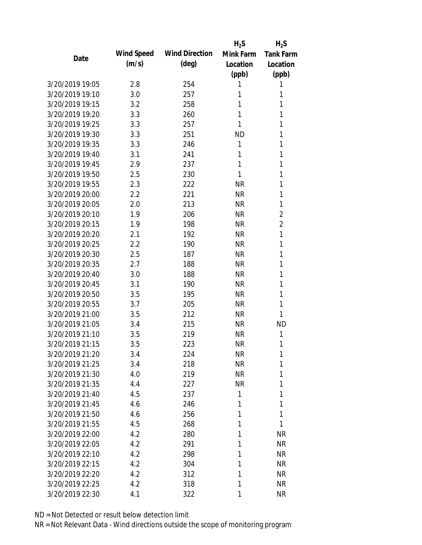|                 |            |                       | $H_2S$    | $H_2S$           |
|-----------------|------------|-----------------------|-----------|------------------|
| Date            | Wind Speed | <b>Wind Direction</b> | Mink Farm | <b>Tank Farm</b> |
|                 | (m/s)      | $(\text{deg})$        | Location  | Location         |
|                 |            |                       | (ppb)     | (ppb)            |
| 3/20/2019 19:05 | 2.8        | 254                   | 1         | 1                |
| 3/20/2019 19:10 | 3.0        | 257                   | 1         | 1                |
| 3/20/2019 19:15 | 3.2        | 258                   | 1         | 1                |
| 3/20/2019 19:20 | 3.3        | 260                   | 1         | 1                |
| 3/20/2019 19:25 | 3.3        | 257                   | 1         | 1                |
| 3/20/2019 19:30 | 3.3        | 251                   | ND        | 1                |
| 3/20/2019 19:35 | 3.3        | 246                   | 1         | 1                |
| 3/20/2019 19:40 | 3.1        | 241                   | 1         | 1                |
| 3/20/2019 19:45 | 2.9        | 237                   | 1         | 1                |
| 3/20/2019 19:50 | 2.5        | 230                   | 1         | 1                |
| 3/20/2019 19:55 | 2.3        | 222                   | <b>NR</b> | 1                |
| 3/20/2019 20:00 | 2.2        | 221                   | <b>NR</b> | 1                |
| 3/20/2019 20:05 | 2.0        | 213                   | <b>NR</b> | 1                |
| 3/20/2019 20:10 | 1.9        | 206                   | <b>NR</b> | $\overline{2}$   |
| 3/20/2019 20:15 | 1.9        | 198                   | <b>NR</b> | 2                |
| 3/20/2019 20:20 | 2.1        | 192                   | <b>NR</b> | $\mathbf{1}$     |
| 3/20/2019 20:25 | 2.2        | 190                   | <b>NR</b> | 1                |
| 3/20/2019 20:30 | 2.5        | 187                   | <b>NR</b> | 1                |
| 3/20/2019 20:35 | 2.7        | 188                   | <b>NR</b> | 1                |
| 3/20/2019 20:40 | 3.0        | 188                   | <b>NR</b> | 1                |
| 3/20/2019 20:45 | 3.1        | 190                   | <b>NR</b> | 1                |
| 3/20/2019 20:50 | 3.5        | 195                   | <b>NR</b> | 1                |
| 3/20/2019 20:55 | 3.7        | 205                   | <b>NR</b> | 1                |
| 3/20/2019 21:00 | 3.5        | 212                   | <b>NR</b> | 1                |
| 3/20/2019 21:05 | 3.4        | 215                   | <b>NR</b> | <b>ND</b>        |
| 3/20/2019 21:10 | 3.5        | 219                   | <b>NR</b> | 1                |
| 3/20/2019 21:15 | 3.5        | 223                   | <b>NR</b> | 1                |
| 3/20/2019 21:20 | 3.4        | 224                   | <b>NR</b> | 1                |
| 3/20/2019 21:25 | 3.4        | 218                   | <b>NR</b> | 1                |
| 3/20/2019 21:30 | 4.0        | 219                   | <b>NR</b> | 1                |
| 3/20/2019 21:35 | 4.4        | 227                   | <b>NR</b> | 1                |
| 3/20/2019 21:40 | 4.5        | 237                   | 1         | 1                |
| 3/20/2019 21:45 | 4.6        | 246                   | 1         | 1                |
| 3/20/2019 21:50 | 4.6        | 256                   | 1         | 1                |
| 3/20/2019 21:55 | 4.5        | 268                   | 1         | 1                |
| 3/20/2019 22:00 | 4.2        | 280                   | 1         | <b>NR</b>        |
| 3/20/2019 22:05 | 4.2        | 291                   | 1         | <b>NR</b>        |
| 3/20/2019 22:10 | 4.2        | 298                   | 1         | <b>NR</b>        |
| 3/20/2019 22:15 | 4.2        | 304                   | 1         | <b>NR</b>        |
| 3/20/2019 22:20 | 4.2        | 312                   | 1         | <b>NR</b>        |
| 3/20/2019 22:25 | 4.2        | 318                   | 1         | <b>NR</b>        |
| 3/20/2019 22:30 | 4.1        | 322                   | 1         | <b>NR</b>        |
|                 |            |                       |           |                  |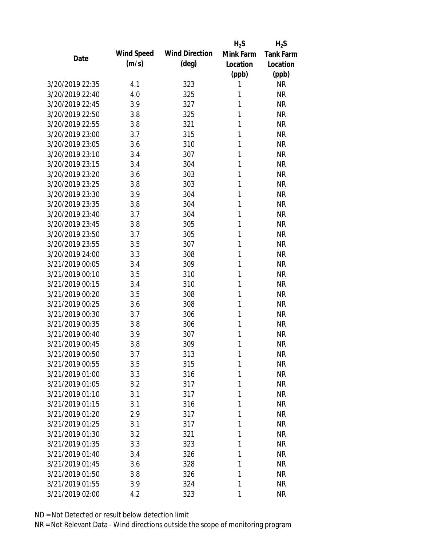|                 |            |                       | $H_2S$    | $H_2S$           |
|-----------------|------------|-----------------------|-----------|------------------|
| Date            | Wind Speed | <b>Wind Direction</b> | Mink Farm | <b>Tank Farm</b> |
|                 | (m/s)      | $(\text{deg})$        | Location  | Location         |
|                 |            |                       | (ppb)     | (ppb)            |
| 3/20/2019 22:35 | 4.1        | 323                   | 1         | <b>NR</b>        |
| 3/20/2019 22:40 | 4.0        | 325                   | 1         | <b>NR</b>        |
| 3/20/2019 22:45 | 3.9        | 327                   | 1         | <b>NR</b>        |
| 3/20/2019 22:50 | 3.8        | 325                   | 1         | <b>NR</b>        |
| 3/20/2019 22:55 | 3.8        | 321                   | 1         | <b>NR</b>        |
| 3/20/2019 23:00 | 3.7        | 315                   | 1         | <b>NR</b>        |
| 3/20/2019 23:05 | 3.6        | 310                   | 1         | <b>NR</b>        |
| 3/20/2019 23:10 | 3.4        | 307                   | 1         | <b>NR</b>        |
| 3/20/2019 23:15 | 3.4        | 304                   | 1         | <b>NR</b>        |
| 3/20/2019 23:20 | 3.6        | 303                   | 1         | <b>NR</b>        |
| 3/20/2019 23:25 | 3.8        | 303                   | 1         | <b>NR</b>        |
| 3/20/2019 23:30 | 3.9        | 304                   | 1         | <b>NR</b>        |
| 3/20/2019 23:35 | 3.8        | 304                   | 1         | <b>NR</b>        |
| 3/20/2019 23:40 | 3.7        | 304                   | 1         | <b>NR</b>        |
| 3/20/2019 23:45 | 3.8        | 305                   | 1         | <b>NR</b>        |
| 3/20/2019 23:50 | 3.7        | 305                   | 1         | <b>NR</b>        |
| 3/20/2019 23:55 | 3.5        | 307                   | 1         | <b>NR</b>        |
| 3/20/2019 24:00 | 3.3        | 308                   | 1         | <b>NR</b>        |
| 3/21/2019 00:05 | 3.4        | 309                   | 1         | <b>NR</b>        |
| 3/21/2019 00:10 | 3.5        | 310                   | 1         | <b>NR</b>        |
| 3/21/2019 00:15 | 3.4        | 310                   | 1         | <b>NR</b>        |
| 3/21/2019 00:20 | 3.5        | 308                   | 1         | <b>NR</b>        |
| 3/21/2019 00:25 | 3.6        | 308                   | 1         | <b>NR</b>        |
| 3/21/2019 00:30 | 3.7        | 306                   | 1         | <b>NR</b>        |
| 3/21/2019 00:35 | 3.8        | 306                   | 1         | <b>NR</b>        |
| 3/21/2019 00:40 | 3.9        | 307                   | 1         | <b>NR</b>        |
| 3/21/2019 00:45 | 3.8        | 309                   | 1         | <b>NR</b>        |
| 3/21/2019 00:50 | 3.7        | 313                   | 1         | <b>NR</b>        |
| 3/21/2019 00:55 | 3.5        | 315                   | 1         | <b>NR</b>        |
| 3/21/2019 01:00 | 3.3        | 316                   | 1         | <b>NR</b>        |
| 3/21/2019 01:05 | 3.2        | 317                   | 1         | <b>NR</b>        |
| 3/21/2019 01:10 | 3.1        | 317                   | 1         | <b>NR</b>        |
| 3/21/2019 01:15 | 3.1        | 316                   | 1         | <b>NR</b>        |
| 3/21/2019 01:20 | 2.9        | 317                   | 1         | <b>NR</b>        |
| 3/21/2019 01:25 | 3.1        | 317                   | 1         | <b>NR</b>        |
| 3/21/2019 01:30 | 3.2        | 321                   | 1         | <b>NR</b>        |
| 3/21/2019 01:35 | 3.3        | 323                   | 1         | <b>NR</b>        |
| 3/21/2019 01:40 | 3.4        | 326                   | 1         | <b>NR</b>        |
| 3/21/2019 01:45 | 3.6        | 328                   | 1         | <b>NR</b>        |
| 3/21/2019 01:50 | 3.8        | 326                   | 1         | <b>NR</b>        |
| 3/21/2019 01:55 | 3.9        | 324                   | 1         | <b>NR</b>        |
| 3/21/2019 02:00 | 4.2        | 323                   | 1         | <b>NR</b>        |
|                 |            |                       |           |                  |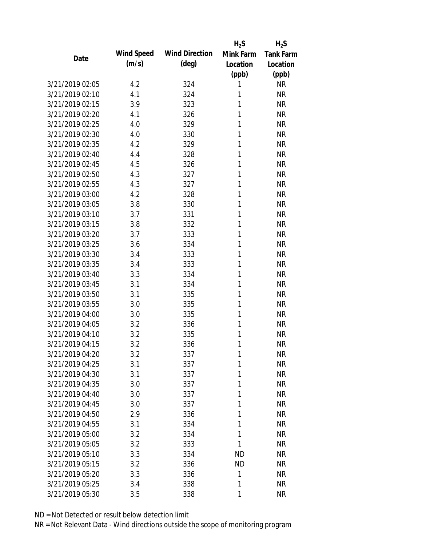|                 |            |                       | $H_2S$    | $H_2S$           |
|-----------------|------------|-----------------------|-----------|------------------|
| Date            | Wind Speed | <b>Wind Direction</b> | Mink Farm | <b>Tank Farm</b> |
|                 | (m/s)      | $(\text{deg})$        | Location  | Location         |
|                 |            |                       | (ppb)     | (ppb)            |
| 3/21/2019 02:05 | 4.2        | 324                   | 1         | <b>NR</b>        |
| 3/21/2019 02:10 | 4.1        | 324                   | 1         | <b>NR</b>        |
| 3/21/2019 02:15 | 3.9        | 323                   | 1         | <b>NR</b>        |
| 3/21/2019 02:20 | 4.1        | 326                   | 1         | <b>NR</b>        |
| 3/21/2019 02:25 | 4.0        | 329                   | 1         | <b>NR</b>        |
| 3/21/2019 02:30 | 4.0        | 330                   | 1         | <b>NR</b>        |
| 3/21/2019 02:35 | 4.2        | 329                   | 1         | <b>NR</b>        |
| 3/21/2019 02:40 | 4.4        | 328                   | 1         | <b>NR</b>        |
| 3/21/2019 02:45 | 4.5        | 326                   | 1         | <b>NR</b>        |
| 3/21/2019 02:50 | 4.3        | 327                   | 1         | <b>NR</b>        |
| 3/21/2019 02:55 | 4.3        | 327                   | 1         | <b>NR</b>        |
| 3/21/2019 03:00 | 4.2        | 328                   | 1         | <b>NR</b>        |
| 3/21/2019 03:05 | 3.8        | 330                   | 1         | <b>NR</b>        |
| 3/21/2019 03:10 | 3.7        | 331                   | 1         | <b>NR</b>        |
| 3/21/2019 03:15 | 3.8        | 332                   | 1         | <b>NR</b>        |
| 3/21/2019 03:20 | 3.7        | 333                   | 1         | <b>NR</b>        |
| 3/21/2019 03:25 | 3.6        | 334                   | 1         | <b>NR</b>        |
| 3/21/2019 03:30 | 3.4        | 333                   | 1         | <b>NR</b>        |
| 3/21/2019 03:35 | 3.4        | 333                   | 1         | <b>NR</b>        |
| 3/21/2019 03:40 | 3.3        | 334                   | 1         | <b>NR</b>        |
| 3/21/2019 03:45 | 3.1        | 334                   | 1         | <b>NR</b>        |
| 3/21/2019 03:50 | 3.1        | 335                   | 1         | <b>NR</b>        |
| 3/21/2019 03:55 | 3.0        | 335                   | 1         | <b>NR</b>        |
| 3/21/2019 04:00 | 3.0        | 335                   | 1         | <b>NR</b>        |
| 3/21/2019 04:05 | 3.2        | 336                   | 1         | <b>NR</b>        |
| 3/21/2019 04:10 | 3.2        | 335                   | 1         | <b>NR</b>        |
| 3/21/2019 04:15 | 3.2        | 336                   | 1         | <b>NR</b>        |
| 3/21/2019 04:20 | 3.2        | 337                   | 1         | <b>NR</b>        |
| 3/21/2019 04:25 | 3.1        | 337                   | 1         | <b>NR</b>        |
| 3/21/2019 04:30 | 3.1        | 337                   | 1         | <b>NR</b>        |
| 3/21/2019 04:35 | 3.0        | 337                   | 1         | <b>NR</b>        |
| 3/21/2019 04:40 | 3.0        | 337                   | 1         | <b>NR</b>        |
| 3/21/2019 04:45 | 3.0        | 337                   | 1         | <b>NR</b>        |
| 3/21/2019 04:50 | 2.9        | 336                   | 1         | <b>NR</b>        |
| 3/21/2019 04:55 | 3.1        | 334                   | 1         | <b>NR</b>        |
| 3/21/2019 05:00 | 3.2        | 334                   | 1         | <b>NR</b>        |
| 3/21/2019 05:05 | 3.2        | 333                   | 1         | <b>NR</b>        |
| 3/21/2019 05:10 | 3.3        | 334                   | <b>ND</b> | <b>NR</b>        |
| 3/21/2019 05:15 | 3.2        | 336                   | <b>ND</b> | <b>NR</b>        |
| 3/21/2019 05:20 | 3.3        | 336                   | 1         | <b>NR</b>        |
| 3/21/2019 05:25 | 3.4        | 338                   | 1         | <b>NR</b>        |
| 3/21/2019 05:30 | 3.5        | 338                   | 1         | <b>NR</b>        |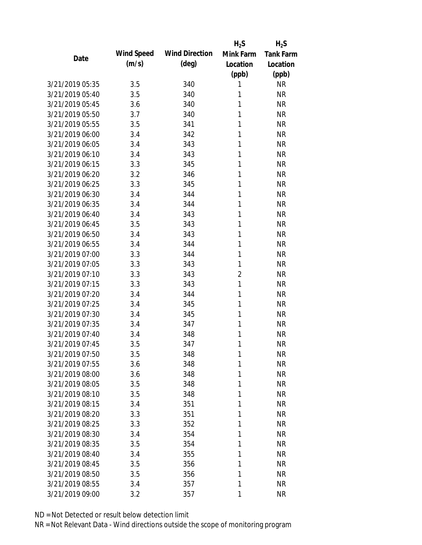|                 |            |                       | $H_2S$         | $H_2S$           |
|-----------------|------------|-----------------------|----------------|------------------|
| Date            | Wind Speed | <b>Wind Direction</b> | Mink Farm      | <b>Tank Farm</b> |
|                 | (m/s)      | $(\text{deg})$        | Location       | Location         |
|                 |            |                       | (ppb)          | (ppb)            |
| 3/21/2019 05:35 | 3.5        | 340                   | 1              | <b>NR</b>        |
| 3/21/2019 05:40 | 3.5        | 340                   | 1              | <b>NR</b>        |
| 3/21/2019 05:45 | 3.6        | 340                   | 1              | <b>NR</b>        |
| 3/21/2019 05:50 | 3.7        | 340                   | 1              | <b>NR</b>        |
| 3/21/2019 05:55 | 3.5        | 341                   | 1              | <b>NR</b>        |
| 3/21/2019 06:00 | 3.4        | 342                   | 1              | <b>NR</b>        |
| 3/21/2019 06:05 | 3.4        | 343                   | 1              | <b>NR</b>        |
| 3/21/2019 06:10 | 3.4        | 343                   | 1              | <b>NR</b>        |
| 3/21/2019 06:15 | 3.3        | 345                   | 1              | <b>NR</b>        |
| 3/21/2019 06:20 | 3.2        | 346                   | 1              | <b>NR</b>        |
| 3/21/2019 06:25 | 3.3        | 345                   | 1              | <b>NR</b>        |
| 3/21/2019 06:30 | 3.4        | 344                   | 1              | <b>NR</b>        |
| 3/21/2019 06:35 | 3.4        | 344                   | 1              | <b>NR</b>        |
| 3/21/2019 06:40 | 3.4        | 343                   | 1              | <b>NR</b>        |
| 3/21/2019 06:45 | 3.5        | 343                   | 1              | <b>NR</b>        |
| 3/21/2019 06:50 | 3.4        | 343                   | 1              | <b>NR</b>        |
| 3/21/2019 06:55 | 3.4        | 344                   | 1              | <b>NR</b>        |
| 3/21/2019 07:00 | 3.3        | 344                   | 1              | <b>NR</b>        |
| 3/21/2019 07:05 | 3.3        | 343                   | 1              | <b>NR</b>        |
| 3/21/2019 07:10 | 3.3        | 343                   | $\overline{2}$ | <b>NR</b>        |
| 3/21/2019 07:15 | 3.3        | 343                   | 1              | <b>NR</b>        |
| 3/21/2019 07:20 | 3.4        | 344                   | 1              | <b>NR</b>        |
| 3/21/2019 07:25 | 3.4        | 345                   | 1              | <b>NR</b>        |
| 3/21/2019 07:30 | 3.4        | 345                   | 1              | <b>NR</b>        |
| 3/21/2019 07:35 | 3.4        | 347                   | 1              | <b>NR</b>        |
| 3/21/2019 07:40 | 3.4        | 348                   | 1              | <b>NR</b>        |
| 3/21/2019 07:45 | 3.5        | 347                   | 1              | <b>NR</b>        |
| 3/21/2019 07:50 | 3.5        | 348                   | 1              | <b>NR</b>        |
| 3/21/2019 07:55 | 3.6        | 348                   | 1              | <b>NR</b>        |
| 3/21/2019 08:00 | 3.6        | 348                   | 1              | <b>NR</b>        |
| 3/21/2019 08:05 | 3.5        | 348                   | 1              | <b>NR</b>        |
| 3/21/2019 08:10 | 3.5        | 348                   | 1              | <b>NR</b>        |
| 3/21/2019 08:15 | 3.4        | 351                   | 1              | <b>NR</b>        |
| 3/21/2019 08:20 | 3.3        | 351                   | 1              | <b>NR</b>        |
| 3/21/2019 08:25 | 3.3        | 352                   | 1              | <b>NR</b>        |
| 3/21/2019 08:30 | 3.4        | 354                   | 1              | <b>NR</b>        |
| 3/21/2019 08:35 | 3.5        | 354                   | 1              | <b>NR</b>        |
| 3/21/2019 08:40 | 3.4        | 355                   | 1              | <b>NR</b>        |
| 3/21/2019 08:45 | 3.5        | 356                   | 1              | <b>NR</b>        |
| 3/21/2019 08:50 | 3.5        | 356                   | 1              | <b>NR</b>        |
| 3/21/2019 08:55 | 3.4        | 357                   | 1              | <b>NR</b>        |
| 3/21/2019 09:00 | 3.2        | 357                   | 1              | <b>NR</b>        |
|                 |            |                       |                |                  |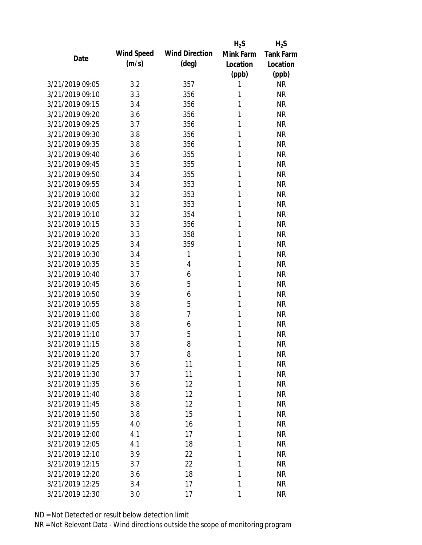|                 |            |                       | $H_2S$    | $H_2S$           |
|-----------------|------------|-----------------------|-----------|------------------|
| Date            | Wind Speed | <b>Wind Direction</b> | Mink Farm | <b>Tank Farm</b> |
|                 | (m/s)      | (deg)                 | Location  | Location         |
|                 |            |                       | (ppb)     | (ppb)            |
| 3/21/2019 09:05 | 3.2        | 357                   | 1         | <b>NR</b>        |
| 3/21/2019 09:10 | 3.3        | 356                   | 1         | <b>NR</b>        |
| 3/21/2019 09:15 | 3.4        | 356                   | 1         | <b>NR</b>        |
| 3/21/2019 09:20 | 3.6        | 356                   | 1         | <b>NR</b>        |
| 3/21/2019 09:25 | 3.7        | 356                   | 1         | <b>NR</b>        |
| 3/21/2019 09:30 | 3.8        | 356                   | 1         | <b>NR</b>        |
| 3/21/2019 09:35 | 3.8        | 356                   | 1         | <b>NR</b>        |
| 3/21/2019 09:40 | 3.6        | 355                   | 1         | <b>NR</b>        |
| 3/21/2019 09:45 | 3.5        | 355                   | 1         | <b>NR</b>        |
| 3/21/2019 09:50 | 3.4        | 355                   | 1         | <b>NR</b>        |
| 3/21/2019 09:55 | 3.4        | 353                   | 1         | <b>NR</b>        |
| 3/21/2019 10:00 | 3.2        | 353                   | 1         | <b>NR</b>        |
| 3/21/2019 10:05 | 3.1        | 353                   | 1         | <b>NR</b>        |
| 3/21/2019 10:10 | 3.2        | 354                   | 1         | <b>NR</b>        |
| 3/21/2019 10:15 | 3.3        | 356                   | 1         | <b>NR</b>        |
| 3/21/2019 10:20 | 3.3        | 358                   | 1         | <b>NR</b>        |
| 3/21/2019 10:25 | 3.4        | 359                   | 1         | <b>NR</b>        |
| 3/21/2019 10:30 | 3.4        | $\mathbf{1}$          | 1         | <b>NR</b>        |
| 3/21/2019 10:35 | 3.5        | 4                     | 1         | <b>NR</b>        |
| 3/21/2019 10:40 | 3.7        | 6                     | 1         | <b>NR</b>        |
| 3/21/2019 10:45 | 3.6        | 5                     | 1         | <b>NR</b>        |
| 3/21/2019 10:50 | 3.9        | 6                     | 1         | <b>NR</b>        |
| 3/21/2019 10:55 | 3.8        | 5                     | 1         | <b>NR</b>        |
| 3/21/2019 11:00 | 3.8        | 7                     | 1         | <b>NR</b>        |
| 3/21/2019 11:05 | 3.8        | 6                     | 1         | <b>NR</b>        |
| 3/21/2019 11:10 | 3.7        | 5                     | 1         | <b>NR</b>        |
| 3/21/2019 11:15 | 3.8        | 8                     | 1         | <b>NR</b>        |
| 3/21/2019 11:20 | 3.7        | 8                     | 1         | <b>NR</b>        |
| 3/21/2019 11:25 | 3.6        | 11                    | 1         | <b>NR</b>        |
| 3/21/2019 11:30 | 3.7        | 11                    | 1         | <b>NR</b>        |
| 3/21/2019 11:35 | 3.6        | 12                    | 1         | <b>NR</b>        |
| 3/21/2019 11:40 | 3.8        | 12                    | 1         | <b>NR</b>        |
| 3/21/2019 11:45 | 3.8        | 12                    | 1         | <b>NR</b>        |
| 3/21/2019 11:50 | 3.8        | 15                    | 1         | <b>NR</b>        |
| 3/21/2019 11:55 | 4.0        | 16                    | 1         | <b>NR</b>        |
| 3/21/2019 12:00 | 4.1        | 17                    | 1         | <b>NR</b>        |
| 3/21/2019 12:05 | 4.1        | 18                    | 1         | <b>NR</b>        |
| 3/21/2019 12:10 | 3.9        | 22                    | 1         | <b>NR</b>        |
| 3/21/2019 12:15 | 3.7        | 22                    | 1         | <b>NR</b>        |
| 3/21/2019 12:20 | 3.6        | 18                    | 1         | <b>NR</b>        |
| 3/21/2019 12:25 | 3.4        | 17                    | 1         | <b>NR</b>        |
| 3/21/2019 12:30 | 3.0        | 17                    | 1         | <b>NR</b>        |
|                 |            |                       |           |                  |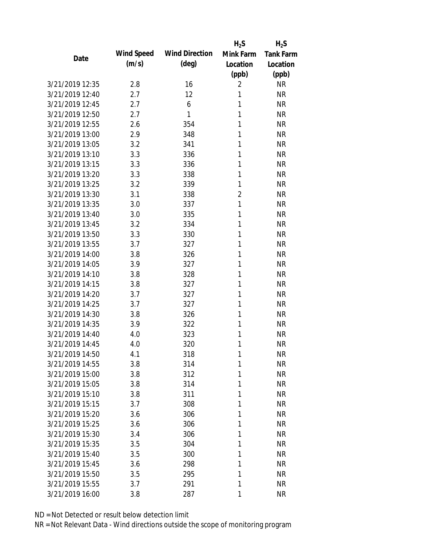|                 |            |                       | $H_2S$         | $H_2S$           |
|-----------------|------------|-----------------------|----------------|------------------|
| Date            | Wind Speed | <b>Wind Direction</b> | Mink Farm      | <b>Tank Farm</b> |
|                 | (m/s)      | $(\text{deg})$        | Location       | Location         |
|                 |            |                       | (ppb)          | (ppb)            |
| 3/21/2019 12:35 | 2.8        | 16                    | 2              | <b>NR</b>        |
| 3/21/2019 12:40 | 2.7        | 12                    | 1              | <b>NR</b>        |
| 3/21/2019 12:45 | 2.7        | 6                     | 1              | <b>NR</b>        |
| 3/21/2019 12:50 | 2.7        | 1                     | 1              | <b>NR</b>        |
| 3/21/2019 12:55 | 2.6        | 354                   | 1              | <b>NR</b>        |
| 3/21/2019 13:00 | 2.9        | 348                   | 1              | <b>NR</b>        |
| 3/21/2019 13:05 | 3.2        | 341                   | 1              | <b>NR</b>        |
| 3/21/2019 13:10 | 3.3        | 336                   | 1              | <b>NR</b>        |
| 3/21/2019 13:15 | 3.3        | 336                   | 1              | <b>NR</b>        |
| 3/21/2019 13:20 | 3.3        | 338                   | 1              | <b>NR</b>        |
| 3/21/2019 13:25 | 3.2        | 339                   | 1              | <b>NR</b>        |
| 3/21/2019 13:30 | 3.1        | 338                   | $\overline{2}$ | <b>NR</b>        |
| 3/21/2019 13:35 | 3.0        | 337                   | 1              | <b>NR</b>        |
| 3/21/2019 13:40 | 3.0        | 335                   | 1              | <b>NR</b>        |
| 3/21/2019 13:45 | 3.2        | 334                   | 1              | <b>NR</b>        |
| 3/21/2019 13:50 | 3.3        | 330                   | 1              | <b>NR</b>        |
| 3/21/2019 13:55 | 3.7        | 327                   | 1              | <b>NR</b>        |
| 3/21/2019 14:00 | 3.8        | 326                   | 1              | <b>NR</b>        |
| 3/21/2019 14:05 | 3.9        | 327                   | 1              | <b>NR</b>        |
| 3/21/2019 14:10 | 3.8        | 328                   | 1              | <b>NR</b>        |
| 3/21/2019 14:15 | 3.8        | 327                   | 1              | <b>NR</b>        |
| 3/21/2019 14:20 | 3.7        | 327                   | 1              | <b>NR</b>        |
| 3/21/2019 14:25 | 3.7        | 327                   | 1              | <b>NR</b>        |
| 3/21/2019 14:30 | 3.8        | 326                   | 1              | <b>NR</b>        |
| 3/21/2019 14:35 | 3.9        | 322                   | 1              | <b>NR</b>        |
| 3/21/2019 14:40 | 4.0        | 323                   | 1              | <b>NR</b>        |
| 3/21/2019 14:45 | 4.0        | 320                   | 1              | <b>NR</b>        |
| 3/21/2019 14:50 | 4.1        | 318                   | 1              | <b>NR</b>        |
| 3/21/2019 14:55 | 3.8        | 314                   | 1              | <b>NR</b>        |
| 3/21/2019 15:00 | 3.8        | 312                   | 1              | <b>NR</b>        |
| 3/21/2019 15:05 | 3.8        | 314                   | 1              | <b>NR</b>        |
| 3/21/2019 15:10 | 3.8        | 311                   | 1              | <b>NR</b>        |
| 3/21/2019 15:15 | 3.7        | 308                   | 1              | <b>NR</b>        |
| 3/21/2019 15:20 | 3.6        | 306                   | 1              | <b>NR</b>        |
| 3/21/2019 15:25 | 3.6        | 306                   | 1              | <b>NR</b>        |
| 3/21/2019 15:30 | 3.4        | 306                   | 1              | <b>NR</b>        |
| 3/21/2019 15:35 | 3.5        | 304                   | 1              | <b>NR</b>        |
| 3/21/2019 15:40 |            |                       | 1              | <b>NR</b>        |
| 3/21/2019 15:45 | 3.5<br>3.6 | 300<br>298            | 1              | <b>NR</b>        |
| 3/21/2019 15:50 |            | 295                   | 1              | <b>NR</b>        |
|                 | 3.5        |                       |                |                  |
| 3/21/2019 15:55 | 3.7        | 291                   | 1              | <b>NR</b>        |
| 3/21/2019 16:00 | 3.8        | 287                   | 1              | <b>NR</b>        |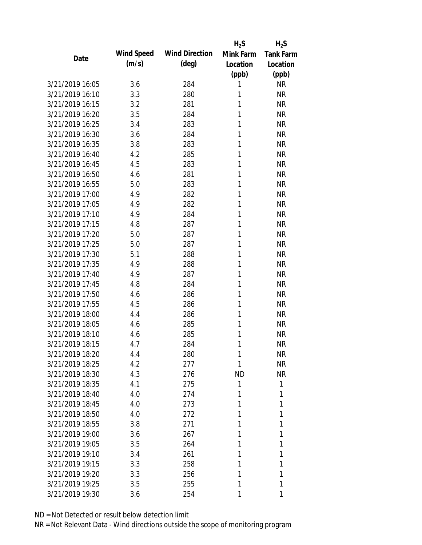|                 |            |                       | $H_2S$    | $H_2S$           |
|-----------------|------------|-----------------------|-----------|------------------|
| Date            | Wind Speed | <b>Wind Direction</b> | Mink Farm | <b>Tank Farm</b> |
|                 | (m/s)      | $(\text{deg})$        | Location  | Location         |
|                 |            |                       | (ppb)     | (ppb)            |
| 3/21/2019 16:05 | 3.6        | 284                   | 1         | <b>NR</b>        |
| 3/21/2019 16:10 | 3.3        | 280                   | 1         | <b>NR</b>        |
| 3/21/2019 16:15 | 3.2        | 281                   | 1         | <b>NR</b>        |
| 3/21/2019 16:20 | 3.5        | 284                   | 1         | <b>NR</b>        |
| 3/21/2019 16:25 | 3.4        | 283                   | 1         | <b>NR</b>        |
| 3/21/2019 16:30 | 3.6        | 284                   | 1         | <b>NR</b>        |
| 3/21/2019 16:35 | 3.8        | 283                   | 1         | <b>NR</b>        |
| 3/21/2019 16:40 | 4.2        | 285                   | 1         | <b>NR</b>        |
| 3/21/2019 16:45 | 4.5        | 283                   | 1         | <b>NR</b>        |
| 3/21/2019 16:50 | 4.6        | 281                   | 1         | <b>NR</b>        |
| 3/21/2019 16:55 | 5.0        | 283                   | 1         | <b>NR</b>        |
| 3/21/2019 17:00 | 4.9        | 282                   | 1         | <b>NR</b>        |
| 3/21/2019 17:05 | 4.9        | 282                   | 1         | <b>NR</b>        |
| 3/21/2019 17:10 | 4.9        | 284                   | 1         | <b>NR</b>        |
| 3/21/2019 17:15 | 4.8        | 287                   | 1         | <b>NR</b>        |
| 3/21/2019 17:20 | 5.0        | 287                   | 1         | <b>NR</b>        |
| 3/21/2019 17:25 | 5.0        | 287                   | 1         | <b>NR</b>        |
| 3/21/2019 17:30 | 5.1        | 288                   | 1         | <b>NR</b>        |
| 3/21/2019 17:35 | 4.9        | 288                   | 1         | <b>NR</b>        |
| 3/21/2019 17:40 | 4.9        | 287                   | 1         | <b>NR</b>        |
| 3/21/2019 17:45 | 4.8        | 284                   | 1         | <b>NR</b>        |
| 3/21/2019 17:50 | 4.6        | 286                   | 1         | <b>NR</b>        |
| 3/21/2019 17:55 | 4.5        | 286                   | 1         | <b>NR</b>        |
| 3/21/2019 18:00 | 4.4        | 286                   | 1         | <b>NR</b>        |
| 3/21/2019 18:05 | 4.6        | 285                   | 1         | <b>NR</b>        |
| 3/21/2019 18:10 | 4.6        | 285                   | 1         | <b>NR</b>        |
| 3/21/2019 18:15 | 4.7        | 284                   | 1         | <b>NR</b>        |
| 3/21/2019 18:20 | 4.4        | 280                   | 1         | <b>NR</b>        |
| 3/21/2019 18:25 | 4.2        | 277                   | 1         | <b>NR</b>        |
| 3/21/2019 18:30 | 4.3        | 276                   | <b>ND</b> | <b>NR</b>        |
| 3/21/2019 18:35 | 4.1        | 275                   | 1         | 1                |
| 3/21/2019 18:40 | 4.0        | 274                   | 1         | 1                |
| 3/21/2019 18:45 | 4.0        | 273                   | 1         | 1                |
| 3/21/2019 18:50 | 4.0        | 272                   | 1         | 1                |
| 3/21/2019 18:55 | 3.8        | 271                   | 1         | 1                |
| 3/21/2019 19:00 | 3.6        | 267                   | 1         | 1                |
| 3/21/2019 19:05 | 3.5        | 264                   | 1         | 1                |
| 3/21/2019 19:10 | 3.4        | 261                   | 1         | 1                |
| 3/21/2019 19:15 | 3.3        | 258                   | 1         | 1                |
| 3/21/2019 19:20 | 3.3        | 256                   | 1         | 1                |
| 3/21/2019 19:25 | 3.5        | 255                   | 1         | 1                |
| 3/21/2019 19:30 | 3.6        | 254                   | 1         | 1                |
|                 |            |                       |           |                  |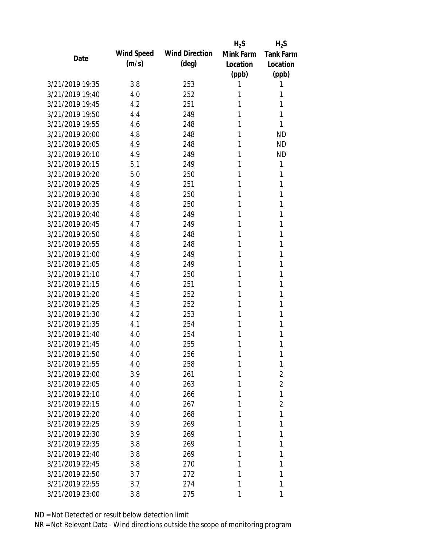|                 |            |                       | $H_2S$    | $H_2S$           |
|-----------------|------------|-----------------------|-----------|------------------|
| Date            | Wind Speed | <b>Wind Direction</b> | Mink Farm | <b>Tank Farm</b> |
|                 | (m/s)      | $(\text{deg})$        | Location  | Location         |
|                 |            |                       | (ppb)     | (ppb)            |
| 3/21/2019 19:35 | 3.8        | 253                   | 1         | 1                |
| 3/21/2019 19:40 | 4.0        | 252                   | 1         | 1                |
| 3/21/2019 19:45 | 4.2        | 251                   | 1         | 1                |
| 3/21/2019 19:50 | 4.4        | 249                   | 1         | 1                |
| 3/21/2019 19:55 | 4.6        | 248                   | 1         | 1                |
| 3/21/2019 20:00 | 4.8        | 248                   | 1         | <b>ND</b>        |
| 3/21/2019 20:05 | 4.9        | 248                   | 1         | <b>ND</b>        |
| 3/21/2019 20:10 | 4.9        | 249                   | 1         | <b>ND</b>        |
| 3/21/2019 20:15 | 5.1        | 249                   | 1         | 1                |
| 3/21/2019 20:20 | 5.0        | 250                   | 1         | 1                |
| 3/21/2019 20:25 | 4.9        | 251                   | 1         | 1                |
| 3/21/2019 20:30 | 4.8        | 250                   | 1         | 1                |
| 3/21/2019 20:35 | 4.8        | 250                   | 1         | 1                |
| 3/21/2019 20:40 | 4.8        | 249                   | 1         | 1                |
| 3/21/2019 20:45 | 4.7        | 249                   | 1         | 1                |
| 3/21/2019 20:50 | 4.8        | 248                   | 1         | 1                |
| 3/21/2019 20:55 | 4.8        | 248                   | 1         | 1                |
| 3/21/2019 21:00 | 4.9        | 249                   | 1         | 1                |
| 3/21/2019 21:05 | 4.8        | 249                   | 1         | 1                |
| 3/21/2019 21:10 | 4.7        | 250                   | 1         | 1                |
| 3/21/2019 21:15 | 4.6        | 251                   | 1         | 1                |
| 3/21/2019 21:20 | 4.5        | 252                   | 1         | 1                |
| 3/21/2019 21:25 | 4.3        | 252                   | 1         | 1                |
| 3/21/2019 21:30 | 4.2        | 253                   | 1         | 1                |
| 3/21/2019 21:35 | 4.1        | 254                   | 1         | 1                |
| 3/21/2019 21:40 | 4.0        | 254                   | 1         | 1                |
| 3/21/2019 21:45 | 4.0        | 255                   | 1         | 1                |
| 3/21/2019 21:50 | 4.0        | 256                   | 1         | 1                |
| 3/21/2019 21:55 | 4.0        | 258                   | 1         | 1                |
| 3/21/2019 22:00 | 3.9        | 261                   | 1         | $\overline{2}$   |
| 3/21/2019 22:05 | 4.0        | 263                   | 1         | $\overline{2}$   |
| 3/21/2019 22:10 | 4.0        | 266                   | 1         | 1                |
| 3/21/2019 22:15 | 4.0        | 267                   | 1         | $\overline{2}$   |
| 3/21/2019 22:20 | 4.0        | 268                   | 1         | 1                |
| 3/21/2019 22:25 | 3.9        | 269                   | 1         | 1                |
| 3/21/2019 22:30 | 3.9        | 269                   | 1         | 1                |
| 3/21/2019 22:35 | 3.8        | 269                   | 1         | 1                |
| 3/21/2019 22:40 | 3.8        | 269                   | 1         | 1                |
| 3/21/2019 22:45 | 3.8        | 270                   | 1         | 1                |
| 3/21/2019 22:50 | 3.7        | 272                   | 1         | 1                |
| 3/21/2019 22:55 | 3.7        | 274                   | 1         | 1                |
| 3/21/2019 23:00 | 3.8        | 275                   | 1         | 1                |
|                 |            |                       |           |                  |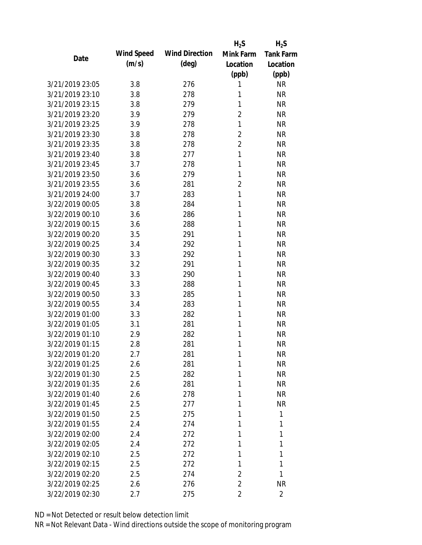|                 |            |                       | $H_2S$         | $H_2S$           |
|-----------------|------------|-----------------------|----------------|------------------|
| Date            | Wind Speed | <b>Wind Direction</b> | Mink Farm      | <b>Tank Farm</b> |
|                 | (m/s)      | $(\text{deg})$        | Location       | Location         |
|                 |            |                       | (ppb)          | (ppb)            |
| 3/21/2019 23:05 | 3.8        | 276                   | 1              | <b>NR</b>        |
| 3/21/2019 23:10 | 3.8        | 278                   | 1              | <b>NR</b>        |
| 3/21/2019 23:15 | 3.8        | 279                   | 1              | <b>NR</b>        |
| 3/21/2019 23:20 | 3.9        | 279                   | $\overline{2}$ | <b>NR</b>        |
| 3/21/2019 23:25 | 3.9        | 278                   | 1              | <b>NR</b>        |
| 3/21/2019 23:30 | 3.8        | 278                   | 2              | <b>NR</b>        |
| 3/21/2019 23:35 | 3.8        | 278                   | $\overline{2}$ | <b>NR</b>        |
| 3/21/2019 23:40 | 3.8        | 277                   | 1              | <b>NR</b>        |
| 3/21/2019 23:45 | 3.7        | 278                   | 1              | <b>NR</b>        |
| 3/21/2019 23:50 | 3.6        | 279                   | 1              | <b>NR</b>        |
| 3/21/2019 23:55 | 3.6        | 281                   | $\overline{2}$ | <b>NR</b>        |
| 3/21/2019 24:00 | 3.7        | 283                   | 1              | <b>NR</b>        |
| 3/22/2019 00:05 | 3.8        | 284                   | 1              | <b>NR</b>        |
| 3/22/2019 00:10 | 3.6        | 286                   | 1              | <b>NR</b>        |
| 3/22/2019 00:15 | 3.6        | 288                   | 1              | <b>NR</b>        |
| 3/22/2019 00:20 | 3.5        | 291                   | 1              | <b>NR</b>        |
| 3/22/2019 00:25 | 3.4        | 292                   | 1              | <b>NR</b>        |
| 3/22/2019 00:30 | 3.3        | 292                   | 1              | <b>NR</b>        |
| 3/22/2019 00:35 | 3.2        | 291                   | 1              | <b>NR</b>        |
| 3/22/2019 00:40 | 3.3        | 290                   | 1              | <b>NR</b>        |
| 3/22/2019 00:45 | 3.3        | 288                   | 1              | <b>NR</b>        |
| 3/22/2019 00:50 | 3.3        | 285                   | 1              | <b>NR</b>        |
| 3/22/2019 00:55 | 3.4        | 283                   | 1              | <b>NR</b>        |
| 3/22/2019 01:00 | 3.3        | 282                   | 1              | <b>NR</b>        |
| 3/22/2019 01:05 | 3.1        | 281                   | 1              | <b>NR</b>        |
| 3/22/2019 01:10 | 2.9        | 282                   | 1              | <b>NR</b>        |
| 3/22/2019 01:15 | 2.8        | 281                   | 1              | <b>NR</b>        |
| 3/22/2019 01:20 | 2.7        | 281                   | 1              | <b>NR</b>        |
| 3/22/2019 01:25 | 2.6        | 281                   | 1              | <b>NR</b>        |
| 3/22/2019 01:30 | 2.5        | 282                   | 1              | <b>NR</b>        |
| 3/22/2019 01:35 | 2.6        | 281                   | 1              | <b>NR</b>        |
| 3/22/2019 01:40 | 2.6        | 278                   | 1              | <b>NR</b>        |
| 3/22/2019 01:45 | 2.5        | 277                   | 1              | <b>NR</b>        |
| 3/22/2019 01:50 | 2.5        | 275                   | 1              | 1                |
| 3/22/2019 01:55 | 2.4        | 274                   | 1              | 1                |
| 3/22/2019 02:00 | 2.4        | 272                   | 1              | 1                |
| 3/22/2019 02:05 | 2.4        | 272                   | 1              | 1                |
| 3/22/2019 02:10 | 2.5        | 272                   | 1              | 1                |
| 3/22/2019 02:15 | 2.5        | 272                   | 1              | 1                |
| 3/22/2019 02:20 | 2.5        | 274                   | 2              | 1                |
| 3/22/2019 02:25 | 2.6        | 276                   | $\overline{2}$ | <b>NR</b>        |
| 3/22/2019 02:30 | 2.7        | 275                   | $\overline{2}$ | $\overline{2}$   |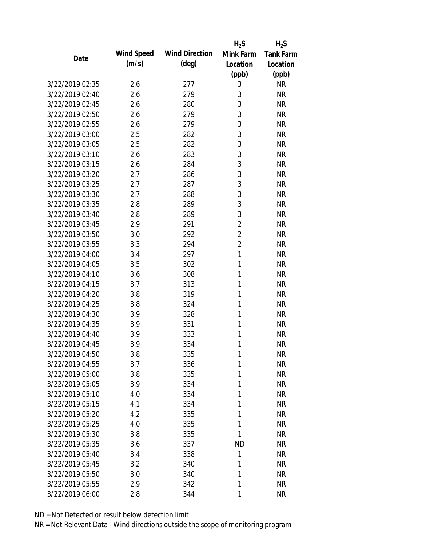|                 |            |                       | $H_2S$         | $H_2S$           |
|-----------------|------------|-----------------------|----------------|------------------|
| Date            | Wind Speed | <b>Wind Direction</b> | Mink Farm      | <b>Tank Farm</b> |
|                 | (m/s)      | $(\text{deg})$        | Location       | Location         |
|                 |            |                       | (ppb)          | (ppb)            |
| 3/22/2019 02:35 | 2.6        | 277                   | 3              | <b>NR</b>        |
| 3/22/2019 02:40 | 2.6        | 279                   | 3              | <b>NR</b>        |
| 3/22/2019 02:45 | 2.6        | 280                   | 3              | <b>NR</b>        |
| 3/22/2019 02:50 | 2.6        | 279                   | 3              | <b>NR</b>        |
| 3/22/2019 02:55 | 2.6        | 279                   | 3              | <b>NR</b>        |
| 3/22/2019 03:00 | 2.5        | 282                   | 3              | <b>NR</b>        |
| 3/22/2019 03:05 | 2.5        | 282                   | 3              | <b>NR</b>        |
| 3/22/2019 03:10 | 2.6        | 283                   | 3              | <b>NR</b>        |
| 3/22/2019 03:15 | 2.6        | 284                   | 3              | <b>NR</b>        |
| 3/22/2019 03:20 | 2.7        | 286                   | 3              | <b>NR</b>        |
| 3/22/2019 03:25 | 2.7        | 287                   | 3              | <b>NR</b>        |
| 3/22/2019 03:30 | 2.7        | 288                   | 3              | <b>NR</b>        |
| 3/22/2019 03:35 | 2.8        | 289                   | 3              | <b>NR</b>        |
| 3/22/2019 03:40 | 2.8        | 289                   | 3              | <b>NR</b>        |
| 3/22/2019 03:45 | 2.9        | 291                   | $\overline{2}$ | <b>NR</b>        |
| 3/22/2019 03:50 | 3.0        | 292                   | $\overline{2}$ | <b>NR</b>        |
| 3/22/2019 03:55 | 3.3        | 294                   | $\overline{2}$ | <b>NR</b>        |
| 3/22/2019 04:00 | 3.4        | 297                   | 1              | <b>NR</b>        |
| 3/22/2019 04:05 | 3.5        | 302                   | 1              | <b>NR</b>        |
| 3/22/2019 04:10 | 3.6        | 308                   | 1              | <b>NR</b>        |
| 3/22/2019 04:15 | 3.7        | 313                   | 1              | <b>NR</b>        |
| 3/22/2019 04:20 | 3.8        | 319                   | 1              | <b>NR</b>        |
| 3/22/2019 04:25 | 3.8        | 324                   | 1              | <b>NR</b>        |
| 3/22/2019 04:30 | 3.9        | 328                   | 1              | <b>NR</b>        |
| 3/22/2019 04:35 | 3.9        | 331                   | 1              | <b>NR</b>        |
| 3/22/2019 04:40 | 3.9        | 333                   | 1              | <b>NR</b>        |
| 3/22/2019 04:45 | 3.9        | 334                   | 1              | <b>NR</b>        |
| 3/22/2019 04:50 | 3.8        | 335                   | 1              | <b>NR</b>        |
| 3/22/2019 04:55 | 3.7        | 336                   | 1              | <b>NR</b>        |
| 3/22/2019 05:00 | 3.8        | 335                   | 1              | <b>NR</b>        |
| 3/22/2019 05:05 | 3.9        | 334                   | 1              | <b>NR</b>        |
| 3/22/2019 05:10 | 4.0        | 334                   | 1              | <b>NR</b>        |
| 3/22/2019 05:15 | 4.1        | 334                   | 1              | <b>NR</b>        |
| 3/22/2019 05:20 | 4.2        | 335                   | 1              | <b>NR</b>        |
| 3/22/2019 05:25 | 4.0        | 335                   | 1              | <b>NR</b>        |
| 3/22/2019 05:30 | 3.8        | 335                   | 1              | <b>NR</b>        |
| 3/22/2019 05:35 | 3.6        | 337                   | <b>ND</b>      | <b>NR</b>        |
| 3/22/2019 05:40 | 3.4        | 338                   | 1              | <b>NR</b>        |
| 3/22/2019 05:45 | 3.2        | 340                   | 1              | <b>NR</b>        |
| 3/22/2019 05:50 | 3.0        | 340                   | 1              | <b>NR</b>        |
| 3/22/2019 05:55 | 2.9        | 342                   | 1              | <b>NR</b>        |
| 3/22/2019 06:00 | 2.8        | 344                   | 1              | <b>NR</b>        |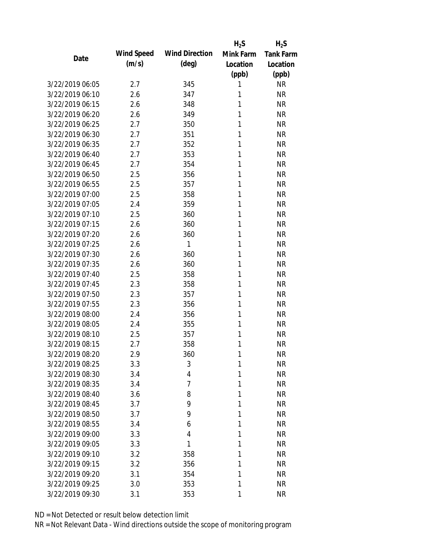|                 |            |                       | $H_2S$    | $H_2S$           |
|-----------------|------------|-----------------------|-----------|------------------|
| Date            | Wind Speed | <b>Wind Direction</b> | Mink Farm | <b>Tank Farm</b> |
|                 | (m/s)      | $(\text{deg})$        | Location  | Location         |
|                 |            |                       | (ppb)     | (ppb)            |
| 3/22/2019 06:05 | 2.7        | 345                   | 1         | <b>NR</b>        |
| 3/22/2019 06:10 | 2.6        | 347                   | 1         | <b>NR</b>        |
| 3/22/2019 06:15 | 2.6        | 348                   | 1         | <b>NR</b>        |
| 3/22/2019 06:20 | 2.6        | 349                   | 1         | <b>NR</b>        |
| 3/22/2019 06:25 | 2.7        | 350                   | 1         | <b>NR</b>        |
| 3/22/2019 06:30 | 2.7        | 351                   | 1         | <b>NR</b>        |
| 3/22/2019 06:35 | 2.7        | 352                   | 1         | <b>NR</b>        |
| 3/22/2019 06:40 | 2.7        | 353                   | 1         | <b>NR</b>        |
| 3/22/2019 06:45 | 2.7        | 354                   | 1         | <b>NR</b>        |
| 3/22/2019 06:50 | 2.5        | 356                   | 1         | <b>NR</b>        |
| 3/22/2019 06:55 | 2.5        | 357                   | 1         | <b>NR</b>        |
| 3/22/2019 07:00 | 2.5        | 358                   | 1         | <b>NR</b>        |
| 3/22/2019 07:05 | 2.4        | 359                   | 1         | <b>NR</b>        |
| 3/22/2019 07:10 | 2.5        | 360                   | 1         | <b>NR</b>        |
| 3/22/2019 07:15 | 2.6        | 360                   | 1         | <b>NR</b>        |
| 3/22/2019 07:20 | 2.6        | 360                   | 1         | <b>NR</b>        |
| 3/22/2019 07:25 | 2.6        | 1                     | 1         | <b>NR</b>        |
| 3/22/2019 07:30 | 2.6        | 360                   | 1         | <b>NR</b>        |
| 3/22/2019 07:35 | 2.6        | 360                   | 1         | <b>NR</b>        |
| 3/22/2019 07:40 | 2.5        | 358                   | 1         | <b>NR</b>        |
| 3/22/2019 07:45 | 2.3        | 358                   | 1         | <b>NR</b>        |
| 3/22/2019 07:50 | 2.3        | 357                   | 1         | <b>NR</b>        |
| 3/22/2019 07:55 | 2.3        | 356                   | 1         | <b>NR</b>        |
| 3/22/2019 08:00 | 2.4        | 356                   | 1         | <b>NR</b>        |
| 3/22/2019 08:05 | 2.4        | 355                   | 1         | <b>NR</b>        |
| 3/22/2019 08:10 | 2.5        | 357                   | 1         | <b>NR</b>        |
| 3/22/2019 08:15 | 2.7        | 358                   | 1         | <b>NR</b>        |
| 3/22/2019 08:20 | 2.9        | 360                   | 1         | <b>NR</b>        |
| 3/22/2019 08:25 | 3.3        | 3                     | 1         | <b>NR</b>        |
| 3/22/2019 08:30 | 3.4        | 4                     | 1         | <b>NR</b>        |
| 3/22/2019 08:35 | 3.4        | 7                     | 1         | <b>NR</b>        |
| 3/22/2019 08:40 | 3.6        | 8                     | 1         | <b>NR</b>        |
| 3/22/2019 08:45 | 3.7        | 9                     | 1         | <b>NR</b>        |
| 3/22/2019 08:50 | 3.7        | 9                     | 1         | <b>NR</b>        |
| 3/22/2019 08:55 | 3.4        | 6                     | 1         | <b>NR</b>        |
| 3/22/2019 09:00 | 3.3        | 4                     | 1         | <b>NR</b>        |
| 3/22/2019 09:05 | 3.3        | 1                     | 1         | <b>NR</b>        |
| 3/22/2019 09:10 | 3.2        | 358                   | 1         | <b>NR</b>        |
| 3/22/2019 09:15 | 3.2        | 356                   | 1         | <b>NR</b>        |
| 3/22/2019 09:20 | 3.1        | 354                   | 1         | <b>NR</b>        |
| 3/22/2019 09:25 | 3.0        | 353                   | 1         | <b>NR</b>        |
| 3/22/2019 09:30 | 3.1        | 353                   | 1         | <b>NR</b>        |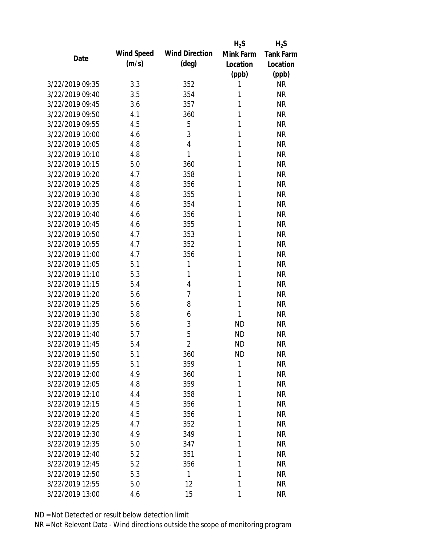|                 |            |                       | $H_2S$    | $H_2S$           |
|-----------------|------------|-----------------------|-----------|------------------|
| Date            | Wind Speed | <b>Wind Direction</b> | Mink Farm | <b>Tank Farm</b> |
|                 | (m/s)      | $(\text{deg})$        | Location  | Location         |
|                 |            |                       | (ppb)     | (ppb)            |
| 3/22/2019 09:35 | 3.3        | 352                   | 1         | <b>NR</b>        |
| 3/22/2019 09:40 | 3.5        | 354                   | 1         | <b>NR</b>        |
| 3/22/2019 09:45 | 3.6        | 357                   | 1         | <b>NR</b>        |
| 3/22/2019 09:50 | 4.1        | 360                   | 1         | <b>NR</b>        |
| 3/22/2019 09:55 | 4.5        | 5                     | 1         | <b>NR</b>        |
| 3/22/2019 10:00 | 4.6        | 3                     | 1         | <b>NR</b>        |
| 3/22/2019 10:05 | 4.8        | 4                     | 1         | <b>NR</b>        |
| 3/22/2019 10:10 | 4.8        | 1                     | 1         | <b>NR</b>        |
| 3/22/2019 10:15 | 5.0        | 360                   | 1         | <b>NR</b>        |
| 3/22/2019 10:20 | 4.7        | 358                   | 1         | <b>NR</b>        |
| 3/22/2019 10:25 | 4.8        | 356                   | 1         | <b>NR</b>        |
| 3/22/2019 10:30 | 4.8        | 355                   | 1         | <b>NR</b>        |
| 3/22/2019 10:35 | 4.6        | 354                   | 1         | <b>NR</b>        |
| 3/22/2019 10:40 | 4.6        | 356                   | 1         | <b>NR</b>        |
| 3/22/2019 10:45 | 4.6        | 355                   | 1         | <b>NR</b>        |
| 3/22/2019 10:50 | 4.7        | 353                   | 1         | <b>NR</b>        |
| 3/22/2019 10:55 | 4.7        | 352                   | 1         | <b>NR</b>        |
| 3/22/2019 11:00 | 4.7        | 356                   | 1         | <b>NR</b>        |
| 3/22/2019 11:05 | 5.1        | 1                     | 1         | <b>NR</b>        |
| 3/22/2019 11:10 | 5.3        | 1                     | 1         | <b>NR</b>        |
| 3/22/2019 11:15 | 5.4        | 4                     | 1         | <b>NR</b>        |
| 3/22/2019 11:20 | 5.6        | 7                     | 1         | <b>NR</b>        |
| 3/22/2019 11:25 | 5.6        | 8                     | 1         | <b>NR</b>        |
| 3/22/2019 11:30 | 5.8        | 6                     | 1         | <b>NR</b>        |
| 3/22/2019 11:35 | 5.6        | 3                     | <b>ND</b> | <b>NR</b>        |
| 3/22/2019 11:40 | 5.7        | 5                     | <b>ND</b> | <b>NR</b>        |
| 3/22/2019 11:45 | 5.4        | $\overline{2}$        | <b>ND</b> | <b>NR</b>        |
| 3/22/2019 11:50 | 5.1        | 360                   | <b>ND</b> | <b>NR</b>        |
| 3/22/2019 11:55 | 5.1        | 359                   | 1         | <b>NR</b>        |
| 3/22/2019 12:00 | 4.9        | 360                   | 1         | <b>NR</b>        |
| 3/22/2019 12:05 | 4.8        | 359                   | 1         | <b>NR</b>        |
| 3/22/2019 12:10 | 4.4        | 358                   | 1         | <b>NR</b>        |
| 3/22/2019 12:15 | 4.5        | 356                   | 1         | <b>NR</b>        |
| 3/22/2019 12:20 | 4.5        | 356                   | 1         | <b>NR</b>        |
| 3/22/2019 12:25 | 4.7        | 352                   | 1         | <b>NR</b>        |
| 3/22/2019 12:30 | 4.9        | 349                   | 1         | <b>NR</b>        |
| 3/22/2019 12:35 | 5.0        | 347                   | 1         | <b>NR</b>        |
| 3/22/2019 12:40 | 5.2        | 351                   | 1         | <b>NR</b>        |
| 3/22/2019 12:45 | 5.2        | 356                   | 1         | <b>NR</b>        |
| 3/22/2019 12:50 | 5.3        | 1                     | 1         | <b>NR</b>        |
| 3/22/2019 12:55 | 5.0        | 12                    | 1         | <b>NR</b>        |
| 3/22/2019 13:00 | 4.6        | 15                    | 1         | <b>NR</b>        |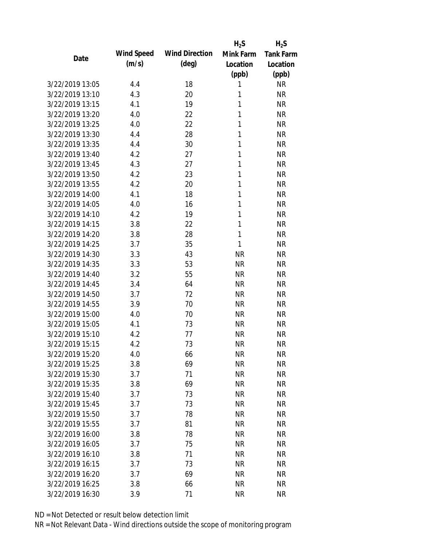|                 |            |                       | $H_2S$    | $H_2S$           |
|-----------------|------------|-----------------------|-----------|------------------|
| Date            | Wind Speed | <b>Wind Direction</b> | Mink Farm | <b>Tank Farm</b> |
|                 | (m/s)      | $(\text{deg})$        | Location  | Location         |
|                 |            |                       | (ppb)     | (ppb)            |
| 3/22/2019 13:05 | 4.4        | 18                    | 1         | <b>NR</b>        |
| 3/22/2019 13:10 | 4.3        | 20                    | 1         | <b>NR</b>        |
| 3/22/2019 13:15 | 4.1        | 19                    | 1         | <b>NR</b>        |
| 3/22/2019 13:20 | 4.0        | 22                    | 1         | <b>NR</b>        |
| 3/22/2019 13:25 | 4.0        | 22                    | 1         | <b>NR</b>        |
| 3/22/2019 13:30 | 4.4        | 28                    | 1         | <b>NR</b>        |
| 3/22/2019 13:35 | 4.4        | 30                    | 1         | <b>NR</b>        |
| 3/22/2019 13:40 | 4.2        | 27                    | 1         | <b>NR</b>        |
| 3/22/2019 13:45 | 4.3        | 27                    | 1         | <b>NR</b>        |
| 3/22/2019 13:50 | 4.2        | 23                    | 1         | <b>NR</b>        |
| 3/22/2019 13:55 | 4.2        | 20                    | 1         | <b>NR</b>        |
| 3/22/2019 14:00 | 4.1        | 18                    | 1         | <b>NR</b>        |
| 3/22/2019 14:05 | 4.0        | 16                    | 1         | <b>NR</b>        |
| 3/22/2019 14:10 | 4.2        | 19                    | 1         | <b>NR</b>        |
| 3/22/2019 14:15 | 3.8        | 22                    | 1         | <b>NR</b>        |
| 3/22/2019 14:20 | 3.8        | 28                    | 1         | <b>NR</b>        |
| 3/22/2019 14:25 | 3.7        | 35                    | 1         | <b>NR</b>        |
| 3/22/2019 14:30 | 3.3        | 43                    | <b>NR</b> | <b>NR</b>        |
| 3/22/2019 14:35 | 3.3        | 53                    | <b>NR</b> | <b>NR</b>        |
| 3/22/2019 14:40 | 3.2        | 55                    | <b>NR</b> | <b>NR</b>        |
| 3/22/2019 14:45 | 3.4        | 64                    | <b>NR</b> | <b>NR</b>        |
| 3/22/2019 14:50 | 3.7        | 72                    | <b>NR</b> | <b>NR</b>        |
| 3/22/2019 14:55 | 3.9        | 70                    | <b>NR</b> | <b>NR</b>        |
| 3/22/2019 15:00 | 4.0        | 70                    | <b>NR</b> | <b>NR</b>        |
| 3/22/2019 15:05 | 4.1        | 73                    | <b>NR</b> | <b>NR</b>        |
| 3/22/2019 15:10 | 4.2        | 77                    | <b>NR</b> | <b>NR</b>        |
| 3/22/2019 15:15 | 4.2        | 73                    | <b>NR</b> | <b>NR</b>        |
| 3/22/2019 15:20 | 4.0        | 66                    | <b>NR</b> | <b>NR</b>        |
| 3/22/2019 15:25 | 3.8        | 69                    | <b>NR</b> | <b>NR</b>        |
| 3/22/2019 15:30 | 3.7        | 71                    | <b>NR</b> | <b>NR</b>        |
| 3/22/2019 15:35 | 3.8        | 69                    | <b>NR</b> | <b>NR</b>        |
| 3/22/2019 15:40 | 3.7        | 73                    | <b>NR</b> | <b>NR</b>        |
| 3/22/2019 15:45 | 3.7        | 73                    | <b>NR</b> | <b>NR</b>        |
| 3/22/2019 15:50 | 3.7        | 78                    | <b>NR</b> | <b>NR</b>        |
| 3/22/2019 15:55 | 3.7        | 81                    | <b>NR</b> | <b>NR</b>        |
| 3/22/2019 16:00 | 3.8        | 78                    | <b>NR</b> | <b>NR</b>        |
| 3/22/2019 16:05 | 3.7        | 75                    | <b>NR</b> | <b>NR</b>        |
| 3/22/2019 16:10 | 3.8        | 71                    | <b>NR</b> | <b>NR</b>        |
| 3/22/2019 16:15 | 3.7        | 73                    | <b>NR</b> | <b>NR</b>        |
| 3/22/2019 16:20 | 3.7        | 69                    | <b>NR</b> | <b>NR</b>        |
| 3/22/2019 16:25 | 3.8        | 66                    | <b>NR</b> | <b>NR</b>        |
| 3/22/2019 16:30 | 3.9        | 71                    | <b>NR</b> | <b>NR</b>        |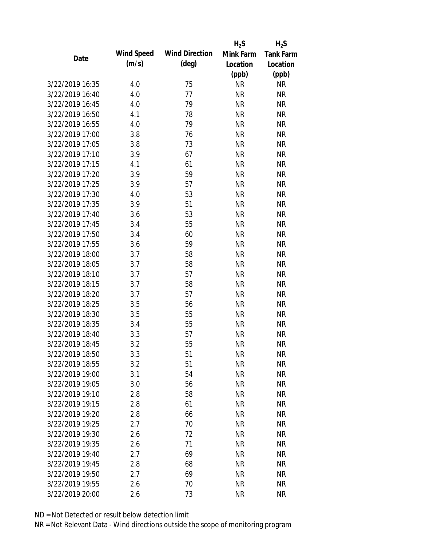|                 |            |                       | $H_2S$    | $H_2S$           |
|-----------------|------------|-----------------------|-----------|------------------|
| Date            | Wind Speed | <b>Wind Direction</b> | Mink Farm | <b>Tank Farm</b> |
|                 | (m/s)      | $(\text{deg})$        | Location  | Location         |
|                 |            |                       | (ppb)     | (ppb)            |
| 3/22/2019 16:35 | 4.0        | 75                    | <b>NR</b> | <b>NR</b>        |
| 3/22/2019 16:40 | 4.0        | 77                    | <b>NR</b> | <b>NR</b>        |
| 3/22/2019 16:45 | 4.0        | 79                    | <b>NR</b> | <b>NR</b>        |
| 3/22/2019 16:50 | 4.1        | 78                    | <b>NR</b> | <b>NR</b>        |
| 3/22/2019 16:55 | 4.0        | 79                    | <b>NR</b> | <b>NR</b>        |
| 3/22/2019 17:00 | 3.8        | 76                    | <b>NR</b> | <b>NR</b>        |
| 3/22/2019 17:05 | 3.8        | 73                    | <b>NR</b> | <b>NR</b>        |
| 3/22/2019 17:10 | 3.9        | 67                    | <b>NR</b> | <b>NR</b>        |
| 3/22/2019 17:15 | 4.1        | 61                    | <b>NR</b> | <b>NR</b>        |
| 3/22/2019 17:20 | 3.9        | 59                    | <b>NR</b> | <b>NR</b>        |
| 3/22/2019 17:25 | 3.9        | 57                    | <b>NR</b> | <b>NR</b>        |
| 3/22/2019 17:30 | 4.0        | 53                    | <b>NR</b> | <b>NR</b>        |
| 3/22/2019 17:35 | 3.9        | 51                    | <b>NR</b> | <b>NR</b>        |
| 3/22/2019 17:40 | 3.6        | 53                    | <b>NR</b> | <b>NR</b>        |
| 3/22/2019 17:45 | 3.4        | 55                    | <b>NR</b> | <b>NR</b>        |
| 3/22/2019 17:50 | 3.4        | 60                    | <b>NR</b> | <b>NR</b>        |
| 3/22/2019 17:55 | 3.6        | 59                    | <b>NR</b> | <b>NR</b>        |
| 3/22/2019 18:00 | 3.7        | 58                    | <b>NR</b> | <b>NR</b>        |
| 3/22/2019 18:05 | 3.7        | 58                    | <b>NR</b> | <b>NR</b>        |
| 3/22/2019 18:10 | 3.7        | 57                    | <b>NR</b> | <b>NR</b>        |
| 3/22/2019 18:15 | 3.7        | 58                    | <b>NR</b> | <b>NR</b>        |
| 3/22/2019 18:20 | 3.7        | 57                    | <b>NR</b> | <b>NR</b>        |
| 3/22/2019 18:25 | 3.5        | 56                    | <b>NR</b> | <b>NR</b>        |
| 3/22/2019 18:30 | 3.5        | 55                    | <b>NR</b> | <b>NR</b>        |
| 3/22/2019 18:35 | 3.4        | 55                    | <b>NR</b> | <b>NR</b>        |
| 3/22/2019 18:40 | 3.3        | 57                    | <b>NR</b> | <b>NR</b>        |
| 3/22/2019 18:45 | 3.2        | 55                    | <b>NR</b> | <b>NR</b>        |
| 3/22/2019 18:50 | 3.3        | 51                    | <b>NR</b> | <b>NR</b>        |
| 3/22/2019 18:55 | 3.2        | 51                    | <b>NR</b> | <b>NR</b>        |
| 3/22/2019 19:00 | 3.1        | 54                    | <b>NR</b> | <b>NR</b>        |
| 3/22/2019 19:05 | 3.0        | 56                    | <b>NR</b> | <b>NR</b>        |
| 3/22/2019 19:10 | 2.8        | 58                    | <b>NR</b> | <b>NR</b>        |
| 3/22/2019 19:15 | 2.8        | 61                    | <b>NR</b> | <b>NR</b>        |
| 3/22/2019 19:20 | 2.8        | 66                    | <b>NR</b> | <b>NR</b>        |
| 3/22/2019 19:25 | 2.7        | 70                    | <b>NR</b> | <b>NR</b>        |
| 3/22/2019 19:30 | 2.6        | 72                    | <b>NR</b> | <b>NR</b>        |
| 3/22/2019 19:35 |            |                       | <b>NR</b> | <b>NR</b>        |
|                 | 2.6        | 71                    |           |                  |
| 3/22/2019 19:40 | 2.7        | 69                    | <b>NR</b> | <b>NR</b>        |
| 3/22/2019 19:45 | 2.8        | 68                    | <b>NR</b> | <b>NR</b>        |
| 3/22/2019 19:50 | 2.7        | 69                    | <b>NR</b> | <b>NR</b>        |
| 3/22/2019 19:55 | 2.6        | 70                    | <b>NR</b> | <b>NR</b>        |
| 3/22/2019 20:00 | 2.6        | 73                    | <b>NR</b> | <b>NR</b>        |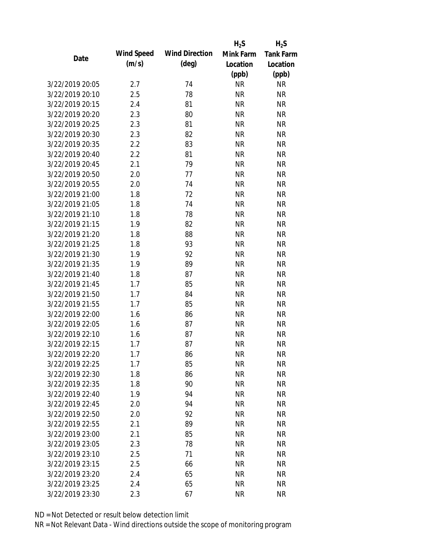|                 |            |                       | $H_2S$    | $H_2S$           |
|-----------------|------------|-----------------------|-----------|------------------|
| Date            | Wind Speed | <b>Wind Direction</b> | Mink Farm | <b>Tank Farm</b> |
|                 | (m/s)      | $(\text{deg})$        | Location  | Location         |
|                 |            |                       | (ppb)     | (ppb)            |
| 3/22/2019 20:05 | 2.7        | 74                    | <b>NR</b> | <b>NR</b>        |
| 3/22/2019 20:10 | 2.5        | 78                    | <b>NR</b> | <b>NR</b>        |
| 3/22/2019 20:15 | 2.4        | 81                    | <b>NR</b> | <b>NR</b>        |
| 3/22/2019 20:20 | 2.3        | 80                    | <b>NR</b> | <b>NR</b>        |
| 3/22/2019 20:25 | 2.3        | 81                    | <b>NR</b> | <b>NR</b>        |
| 3/22/2019 20:30 | 2.3        | 82                    | <b>NR</b> | <b>NR</b>        |
| 3/22/2019 20:35 | 2.2        | 83                    | <b>NR</b> | <b>NR</b>        |
| 3/22/2019 20:40 | 2.2        | 81                    | <b>NR</b> | <b>NR</b>        |
| 3/22/2019 20:45 | 2.1        | 79                    | <b>NR</b> | <b>NR</b>        |
| 3/22/2019 20:50 | 2.0        | 77                    | <b>NR</b> | <b>NR</b>        |
| 3/22/2019 20:55 | 2.0        | 74                    | <b>NR</b> | <b>NR</b>        |
| 3/22/2019 21:00 | 1.8        | 72                    | <b>NR</b> | <b>NR</b>        |
| 3/22/2019 21:05 | 1.8        | 74                    | <b>NR</b> | <b>NR</b>        |
| 3/22/2019 21:10 | 1.8        | 78                    | <b>NR</b> | <b>NR</b>        |
| 3/22/2019 21:15 | 1.9        | 82                    | <b>NR</b> | <b>NR</b>        |
| 3/22/2019 21:20 | 1.8        | 88                    | <b>NR</b> | <b>NR</b>        |
| 3/22/2019 21:25 | 1.8        | 93                    | <b>NR</b> | <b>NR</b>        |
| 3/22/2019 21:30 | 1.9        | 92                    | <b>NR</b> | <b>NR</b>        |
| 3/22/2019 21:35 | 1.9        | 89                    | <b>NR</b> | <b>NR</b>        |
| 3/22/2019 21:40 | 1.8        | 87                    | <b>NR</b> | <b>NR</b>        |
| 3/22/2019 21:45 | 1.7        | 85                    | <b>NR</b> | <b>NR</b>        |
| 3/22/2019 21:50 | 1.7        | 84                    | <b>NR</b> | <b>NR</b>        |
| 3/22/2019 21:55 | 1.7        | 85                    | <b>NR</b> | <b>NR</b>        |
| 3/22/2019 22:00 | 1.6        | 86                    | <b>NR</b> | <b>NR</b>        |
| 3/22/2019 22:05 | 1.6        | 87                    | <b>NR</b> | <b>NR</b>        |
| 3/22/2019 22:10 | 1.6        | 87                    | <b>NR</b> | <b>NR</b>        |
| 3/22/2019 22:15 | 1.7        | 87                    | <b>NR</b> | <b>NR</b>        |
| 3/22/2019 22:20 | 1.7        | 86                    | <b>NR</b> | <b>NR</b>        |
| 3/22/2019 22:25 | 1.7        | 85                    | <b>NR</b> | <b>NR</b>        |
| 3/22/2019 22:30 | 1.8        | 86                    | <b>NR</b> | <b>NR</b>        |
| 3/22/2019 22:35 | 1.8        | 90                    | <b>NR</b> | <b>NR</b>        |
| 3/22/2019 22:40 | 1.9        | 94                    | <b>NR</b> | <b>NR</b>        |
| 3/22/2019 22:45 | 2.0        | 94                    | <b>NR</b> | <b>NR</b>        |
| 3/22/2019 22:50 | 2.0        | 92                    | <b>NR</b> | <b>NR</b>        |
| 3/22/2019 22:55 |            |                       |           |                  |
|                 | 2.1        | 89                    | <b>NR</b> | <b>NR</b>        |
| 3/22/2019 23:00 | 2.1        | 85                    | <b>NR</b> | <b>NR</b>        |
| 3/22/2019 23:05 | 2.3        | 78                    | <b>NR</b> | <b>NR</b>        |
| 3/22/2019 23:10 | 2.5        | 71                    | <b>NR</b> | <b>NR</b>        |
| 3/22/2019 23:15 | 2.5        | 66                    | <b>NR</b> | <b>NR</b>        |
| 3/22/2019 23:20 | 2.4        | 65                    | <b>NR</b> | <b>NR</b>        |
| 3/22/2019 23:25 | 2.4        | 65                    | <b>NR</b> | <b>NR</b>        |
| 3/22/2019 23:30 | 2.3        | 67                    | <b>NR</b> | <b>NR</b>        |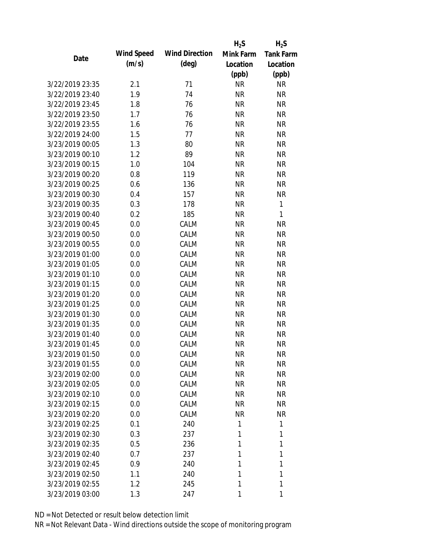|                 |            |                       | $H_2S$    | $H_2S$           |
|-----------------|------------|-----------------------|-----------|------------------|
| Date            | Wind Speed | <b>Wind Direction</b> | Mink Farm | <b>Tank Farm</b> |
|                 | (m/s)      | $(\text{deg})$        | Location  | Location         |
|                 |            |                       | (ppb)     | (ppb)            |
| 3/22/2019 23:35 | 2.1        | 71                    | <b>NR</b> | <b>NR</b>        |
| 3/22/2019 23:40 | 1.9        | 74                    | <b>NR</b> | <b>NR</b>        |
| 3/22/2019 23:45 | 1.8        | 76                    | <b>NR</b> | <b>NR</b>        |
| 3/22/2019 23:50 | 1.7        | 76                    | <b>NR</b> | <b>NR</b>        |
| 3/22/2019 23:55 | 1.6        | 76                    | <b>NR</b> | <b>NR</b>        |
| 3/22/2019 24:00 | 1.5        | 77                    | <b>NR</b> | <b>NR</b>        |
| 3/23/2019 00:05 | 1.3        | 80                    | <b>NR</b> | <b>NR</b>        |
| 3/23/2019 00:10 | 1.2        | 89                    | <b>NR</b> | <b>NR</b>        |
| 3/23/2019 00:15 | 1.0        | 104                   | <b>NR</b> | <b>NR</b>        |
| 3/23/2019 00:20 | 0.8        | 119                   | <b>NR</b> | <b>NR</b>        |
| 3/23/2019 00:25 | 0.6        | 136                   | <b>NR</b> | <b>NR</b>        |
| 3/23/2019 00:30 | 0.4        | 157                   | <b>NR</b> | <b>NR</b>        |
| 3/23/2019 00:35 | 0.3        | 178                   | <b>NR</b> | $\mathbf{1}$     |
| 3/23/2019 00:40 | 0.2        | 185                   | <b>NR</b> | 1                |
| 3/23/2019 00:45 | 0.0        | CALM                  | <b>NR</b> | <b>NR</b>        |
| 3/23/2019 00:50 | 0.0        | CALM                  | <b>NR</b> | <b>NR</b>        |
| 3/23/2019 00:55 | 0.0        | CALM                  | <b>NR</b> | <b>NR</b>        |
| 3/23/2019 01:00 | 0.0        | CALM                  | <b>NR</b> | <b>NR</b>        |
| 3/23/2019 01:05 | 0.0        | CALM                  | <b>NR</b> | <b>NR</b>        |
| 3/23/2019 01:10 | 0.0        | CALM                  | <b>NR</b> | <b>NR</b>        |
| 3/23/2019 01:15 | 0.0        | CALM                  | <b>NR</b> | <b>NR</b>        |
| 3/23/2019 01:20 | 0.0        | CALM                  | <b>NR</b> | <b>NR</b>        |
| 3/23/2019 01:25 | 0.0        | CALM                  | <b>NR</b> | <b>NR</b>        |
| 3/23/2019 01:30 | 0.0        | CALM                  | <b>NR</b> | <b>NR</b>        |
| 3/23/2019 01:35 | 0.0        | CALM                  | <b>NR</b> | <b>NR</b>        |
| 3/23/2019 01:40 | 0.0        | CALM                  | <b>NR</b> | <b>NR</b>        |
| 3/23/2019 01:45 | 0.0        | CALM                  | <b>NR</b> | <b>NR</b>        |
| 3/23/2019 01:50 | 0.0        | CALM                  | <b>NR</b> | <b>NR</b>        |
| 3/23/2019 01:55 | 0.0        | CALM                  | <b>NR</b> | <b>NR</b>        |
| 3/23/2019 02:00 | 0.0        | CALM                  | <b>NR</b> | <b>NR</b>        |
| 3/23/2019 02:05 | 0.0        | CALM                  | <b>NR</b> | <b>NR</b>        |
| 3/23/2019 02:10 | 0.0        | CALM                  | <b>NR</b> | <b>NR</b>        |
| 3/23/2019 02:15 | 0.0        | CALM                  | <b>NR</b> | <b>NR</b>        |
| 3/23/2019 02:20 | 0.0        | CALM                  | <b>NR</b> | <b>NR</b>        |
| 3/23/2019 02:25 | 0.1        | 240                   | 1         | 1                |
| 3/23/2019 02:30 | 0.3        | 237                   | 1         | 1                |
| 3/23/2019 02:35 | 0.5        | 236                   | 1         | 1                |
| 3/23/2019 02:40 | 0.7        | 237                   | 1         | 1                |
| 3/23/2019 02:45 | 0.9        | 240                   | 1         | 1                |
| 3/23/2019 02:50 | 1.1        | 240                   | 1         | 1                |
| 3/23/2019 02:55 | 1.2        | 245                   | 1         | 1                |
| 3/23/2019 03:00 | 1.3        | 247                   | 1         | 1                |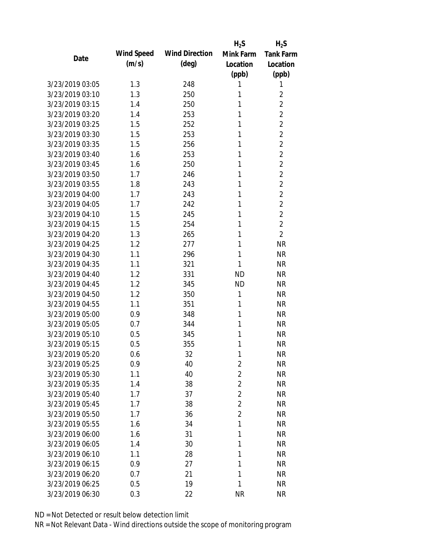|                 |            |                       | $H_2S$         | $H_2S$           |
|-----------------|------------|-----------------------|----------------|------------------|
| Date            | Wind Speed | <b>Wind Direction</b> | Mink Farm      | <b>Tank Farm</b> |
|                 | (m/s)      | (deg)                 | Location       | Location         |
|                 |            |                       | (ppb)          | (ppb)            |
| 3/23/2019 03:05 | 1.3        | 248                   | 1              | 1                |
| 3/23/2019 03:10 | 1.3        | 250                   | 1              | $\overline{2}$   |
| 3/23/2019 03:15 | 1.4        | 250                   | 1              | $\overline{2}$   |
| 3/23/2019 03:20 | 1.4        | 253                   | 1              | $\overline{2}$   |
| 3/23/2019 03:25 | 1.5        | 252                   | 1              | $\overline{2}$   |
| 3/23/2019 03:30 | 1.5        | 253                   | 1              | $\overline{2}$   |
| 3/23/2019 03:35 | 1.5        | 256                   | 1              | $\overline{2}$   |
| 3/23/2019 03:40 | 1.6        | 253                   | 1              | $\overline{2}$   |
| 3/23/2019 03:45 | 1.6        | 250                   | 1              | $\overline{2}$   |
| 3/23/2019 03:50 | 1.7        | 246                   | 1              | $\overline{2}$   |
| 3/23/2019 03:55 | 1.8        | 243                   | 1              | $\overline{2}$   |
| 3/23/2019 04:00 | 1.7        | 243                   | 1              | $\overline{2}$   |
| 3/23/2019 04:05 | 1.7        | 242                   | 1              | $\overline{2}$   |
| 3/23/2019 04:10 | 1.5        | 245                   | 1              | $\overline{2}$   |
| 3/23/2019 04:15 | 1.5        | 254                   | 1              | $\overline{2}$   |
| 3/23/2019 04:20 | 1.3        | 265                   | 1              | $\overline{2}$   |
| 3/23/2019 04:25 | 1.2        | 277                   | 1              | <b>NR</b>        |
| 3/23/2019 04:30 | 1.1        | 296                   | 1              | <b>NR</b>        |
| 3/23/2019 04:35 | 1.1        | 321                   | 1              | <b>NR</b>        |
| 3/23/2019 04:40 | 1.2        | 331                   | <b>ND</b>      | <b>NR</b>        |
| 3/23/2019 04:45 | 1.2        | 345                   | <b>ND</b>      | <b>NR</b>        |
| 3/23/2019 04:50 | 1.2        | 350                   | 1              | <b>NR</b>        |
| 3/23/2019 04:55 | 1.1        | 351                   | 1              | <b>NR</b>        |
| 3/23/2019 05:00 | 0.9        | 348                   | 1              | <b>NR</b>        |
| 3/23/2019 05:05 | 0.7        | 344                   | 1              | <b>NR</b>        |
| 3/23/2019 05:10 | 0.5        | 345                   | 1              | <b>NR</b>        |
| 3/23/2019 05:15 | 0.5        | 355                   | 1              | <b>NR</b>        |
| 3/23/2019 05:20 | 0.6        | 32                    | 1              | <b>NR</b>        |
| 3/23/2019 05:25 | 0.9        | 40                    | $\overline{2}$ | <b>NR</b>        |
| 3/23/2019 05:30 | 1.1        | 40                    | $\overline{2}$ | <b>NR</b>        |
| 3/23/2019 05:35 | 1.4        | 38                    | $\overline{2}$ | <b>NR</b>        |
| 3/23/2019 05:40 | 1.7        | 37                    | $\overline{2}$ | <b>NR</b>        |
| 3/23/2019 05:45 | 1.7        | 38                    | 2              | <b>NR</b>        |
| 3/23/2019 05:50 | 1.7        | 36                    | $\overline{2}$ | <b>NR</b>        |
| 3/23/2019 05:55 | 1.6        | 34                    | 1              | <b>NR</b>        |
| 3/23/2019 06:00 | 1.6        | 31                    | 1              | <b>NR</b>        |
| 3/23/2019 06:05 | 1.4        | 30                    | 1              | <b>NR</b>        |
| 3/23/2019 06:10 | 1.1        | 28                    | 1              | <b>NR</b>        |
| 3/23/2019 06:15 | 0.9        | 27                    | 1              | <b>NR</b>        |
| 3/23/2019 06:20 | 0.7        | 21                    | 1              | <b>NR</b>        |
| 3/23/2019 06:25 | 0.5        | 19                    | 1              | <b>NR</b>        |
| 3/23/2019 06:30 | 0.3        | 22                    | <b>NR</b>      | <b>NR</b>        |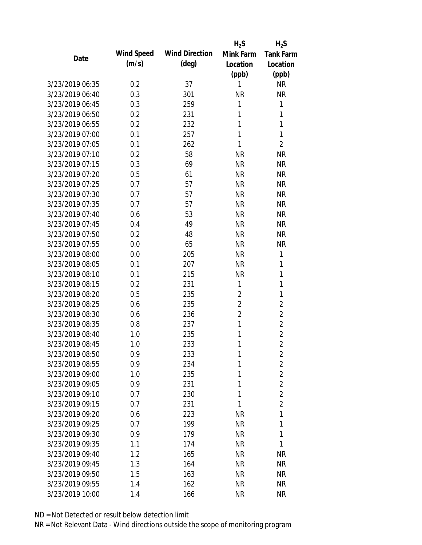|                                    |            |                       | $H_2S$         | $H_2S$           |
|------------------------------------|------------|-----------------------|----------------|------------------|
|                                    | Wind Speed | <b>Wind Direction</b> | Mink Farm      | <b>Tank Farm</b> |
| Date                               | (m/s)      | $(\text{deg})$        | Location       | Location         |
|                                    |            |                       | (ppb)          | (ppb)            |
| 3/23/2019 06:35                    | 0.2        | 37                    | 1              | <b>NR</b>        |
| 3/23/2019 06:40                    | 0.3        | 301                   | <b>NR</b>      | <b>NR</b>        |
| 3/23/2019 06:45                    | 0.3        | 259                   | 1              | 1                |
| 3/23/2019 06:50                    | 0.2        | 231                   | 1              | 1                |
| 3/23/2019 06:55                    | 0.2        | 232                   | 1              | 1                |
| 3/23/2019 07:00                    | 0.1        | 257                   | 1              | 1                |
| 3/23/2019 07:05                    | 0.1        | 262                   | 1              | $\overline{2}$   |
| 3/23/2019 07:10                    | 0.2        | 58                    | <b>NR</b>      | <b>NR</b>        |
| 3/23/2019 07:15                    | 0.3        | 69                    | <b>NR</b>      | <b>NR</b>        |
| 3/23/2019 07:20                    | 0.5        | 61                    | <b>NR</b>      | <b>NR</b>        |
| 3/23/2019 07:25                    | 0.7        | 57                    | <b>NR</b>      | <b>NR</b>        |
| 3/23/2019 07:30                    | 0.7        | 57                    | <b>NR</b>      | <b>NR</b>        |
| 3/23/2019 07:35                    | 0.7        | 57                    | <b>NR</b>      | <b>NR</b>        |
| 3/23/2019 07:40                    | 0.6        | 53                    | <b>NR</b>      | <b>NR</b>        |
| 3/23/2019 07:45                    | 0.4        | 49                    | <b>NR</b>      | <b>NR</b>        |
| 3/23/2019 07:50                    | 0.2        | 48                    | <b>NR</b>      | <b>NR</b>        |
| 3/23/2019 07:55                    | 0.0        | 65                    | <b>NR</b>      | <b>NR</b>        |
| 3/23/2019 08:00                    | 0.0        | 205                   | <b>NR</b>      | 1                |
| 3/23/2019 08:05                    | 0.1        | 207                   | <b>NR</b>      | 1                |
| 3/23/2019 08:10                    | 0.1        | 215                   | <b>NR</b>      | 1                |
| 3/23/2019 08:15                    | 0.2        | 231                   | 1              | 1                |
| 3/23/2019 08:20                    | 0.5        | 235                   | $\overline{2}$ | 1                |
| 3/23/2019 08:25                    | 0.6        | 235                   | $\overline{2}$ | $\overline{2}$   |
| 3/23/2019 08:30                    | 0.6        | 236                   | 2              | $\overline{2}$   |
| 3/23/2019 08:35                    | 0.8        | 237                   | 1              | $\overline{2}$   |
| 3/23/2019 08:40                    | 1.0        | 235                   | 1              | $\overline{2}$   |
| 3/23/2019 08:45                    | 1.0        | 233                   | 1              | $\overline{2}$   |
| 3/23/2019 08:50                    | 0.9        | 233                   | 1              | $\overline{2}$   |
| 3/23/2019 08:55                    | 0.9        | 234                   | 1              | $\overline{2}$   |
| 3/23/2019 09:00                    | 1.0        | 235                   | 1              | $\overline{2}$   |
| 3/23/2019 09:05                    | 0.9        | 231                   | 1              | $\overline{2}$   |
| 3/23/2019 09:10                    | 0.7        | 230                   | 1              | $\overline{2}$   |
| 3/23/2019 09:15                    | 0.7        | 231                   | 1              | $\overline{2}$   |
| 3/23/2019 09:20                    | 0.6        | 223                   | <b>NR</b>      | 1                |
| 3/23/2019 09:25                    | 0.7        | 199                   | <b>NR</b>      | 1                |
| 3/23/2019 09:30                    | 0.9        | 179                   | <b>NR</b>      | 1                |
| 3/23/2019 09:35                    | 1.1        | 174                   | <b>NR</b>      | 1                |
| 3/23/2019 09:40                    | 1.2        | 165                   | <b>NR</b>      | <b>NR</b>        |
|                                    |            |                       |                |                  |
| 3/23/2019 09:45<br>3/23/2019 09:50 | 1.3        | 164                   | <b>NR</b>      | <b>NR</b>        |
|                                    | 1.5        | 163                   | <b>NR</b>      | <b>NR</b>        |
| 3/23/2019 09:55                    | 1.4        | 162                   | <b>NR</b>      | <b>NR</b>        |
| 3/23/2019 10:00                    | 1.4        | 166                   | <b>NR</b>      | <b>NR</b>        |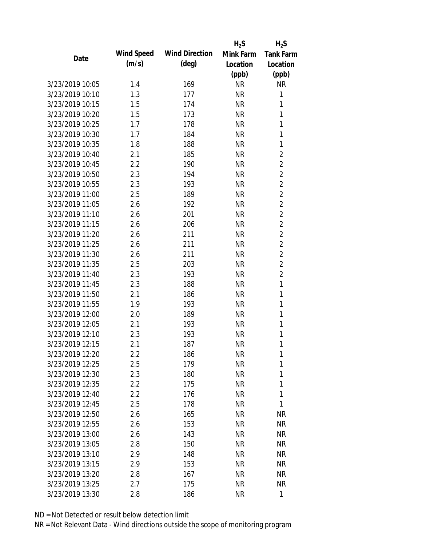|                 |            |                       | $H_2S$    | $H_2S$           |
|-----------------|------------|-----------------------|-----------|------------------|
| Date            | Wind Speed | <b>Wind Direction</b> | Mink Farm | <b>Tank Farm</b> |
|                 | (m/s)      | $(\text{deg})$        | Location  | Location         |
|                 |            |                       | (ppb)     | (ppb)            |
| 3/23/2019 10:05 | 1.4        | 169                   | <b>NR</b> | <b>NR</b>        |
| 3/23/2019 10:10 | 1.3        | 177                   | <b>NR</b> | 1                |
| 3/23/2019 10:15 | 1.5        | 174                   | <b>NR</b> | 1                |
| 3/23/2019 10:20 | 1.5        | 173                   | <b>NR</b> | 1                |
| 3/23/2019 10:25 | 1.7        | 178                   | <b>NR</b> | 1                |
| 3/23/2019 10:30 | 1.7        | 184                   | <b>NR</b> | 1                |
| 3/23/2019 10:35 | 1.8        | 188                   | <b>NR</b> | 1                |
| 3/23/2019 10:40 | 2.1        | 185                   | <b>NR</b> | $\overline{2}$   |
| 3/23/2019 10:45 | 2.2        | 190                   | <b>NR</b> | $\overline{2}$   |
| 3/23/2019 10:50 | 2.3        | 194                   | <b>NR</b> | $\overline{2}$   |
| 3/23/2019 10:55 | 2.3        | 193                   | <b>NR</b> | $\overline{2}$   |
| 3/23/2019 11:00 | 2.5        | 189                   | <b>NR</b> | $\overline{2}$   |
| 3/23/2019 11:05 | 2.6        | 192                   | <b>NR</b> | $\overline{2}$   |
| 3/23/2019 11:10 | 2.6        | 201                   | <b>NR</b> | $\overline{2}$   |
| 3/23/2019 11:15 | 2.6        | 206                   | <b>NR</b> | $\overline{2}$   |
| 3/23/2019 11:20 | 2.6        | 211                   | <b>NR</b> | $\overline{2}$   |
| 3/23/2019 11:25 | 2.6        | 211                   | <b>NR</b> | $\overline{2}$   |
| 3/23/2019 11:30 | 2.6        | 211                   | <b>NR</b> | $\overline{2}$   |
| 3/23/2019 11:35 | 2.5        | 203                   | <b>NR</b> | $\overline{2}$   |
| 3/23/2019 11:40 | 2.3        | 193                   | <b>NR</b> | $\overline{2}$   |
| 3/23/2019 11:45 | 2.3        | 188                   | <b>NR</b> | 1                |
| 3/23/2019 11:50 | 2.1        | 186                   | <b>NR</b> | 1                |
| 3/23/2019 11:55 | 1.9        | 193                   | <b>NR</b> | 1                |
| 3/23/2019 12:00 | 2.0        | 189                   | <b>NR</b> | 1                |
| 3/23/2019 12:05 | 2.1        | 193                   | <b>NR</b> | 1                |
| 3/23/2019 12:10 | 2.3        | 193                   | <b>NR</b> | 1                |
| 3/23/2019 12:15 | 2.1        | 187                   | <b>NR</b> | 1                |
| 3/23/2019 12:20 | 2.2        | 186                   | <b>NR</b> | 1                |
| 3/23/2019 12:25 | 2.5        | 179                   | <b>NR</b> | 1                |
| 3/23/2019 12:30 | 2.3        | 180                   | <b>NR</b> | 1                |
| 3/23/2019 12:35 | $2.2\,$    | 175                   | <b>NR</b> | 1                |
| 3/23/2019 12:40 | 2.2        | 176                   | <b>NR</b> | 1                |
| 3/23/2019 12:45 | 2.5        | 178                   | <b>NR</b> | 1                |
| 3/23/2019 12:50 | 2.6        | 165                   | <b>NR</b> | <b>NR</b>        |
| 3/23/2019 12:55 | 2.6        | 153                   | <b>NR</b> | <b>NR</b>        |
| 3/23/2019 13:00 | 2.6        | 143                   | <b>NR</b> | <b>NR</b>        |
| 3/23/2019 13:05 | 2.8        | 150                   | <b>NR</b> | <b>NR</b>        |
| 3/23/2019 13:10 | 2.9        | 148                   | <b>NR</b> | <b>NR</b>        |
| 3/23/2019 13:15 | 2.9        | 153                   | <b>NR</b> | <b>NR</b>        |
| 3/23/2019 13:20 | 2.8        | 167                   | <b>NR</b> | <b>NR</b>        |
| 3/23/2019 13:25 | 2.7        | 175                   | <b>NR</b> | <b>NR</b>        |
| 3/23/2019 13:30 | 2.8        | 186                   | <b>NR</b> | $\mathbf{1}$     |
|                 |            |                       |           |                  |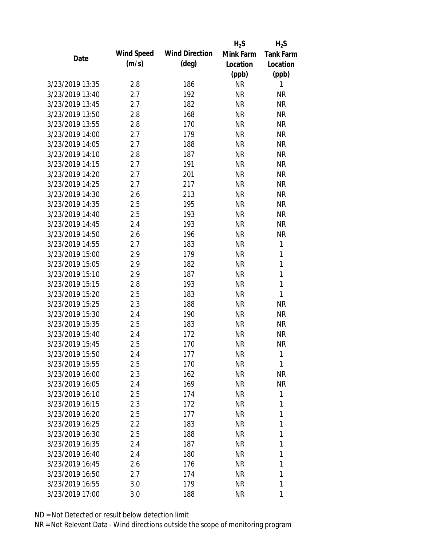|                 |            |                       | $H_2S$    | $H_2S$           |
|-----------------|------------|-----------------------|-----------|------------------|
| Date            | Wind Speed | <b>Wind Direction</b> | Mink Farm | <b>Tank Farm</b> |
|                 | (m/s)      | $(\text{deg})$        | Location  | Location         |
|                 |            |                       | (ppb)     | (ppb)            |
| 3/23/2019 13:35 | 2.8        | 186                   | <b>NR</b> | 1                |
| 3/23/2019 13:40 | 2.7        | 192                   | <b>NR</b> | <b>NR</b>        |
| 3/23/2019 13:45 | 2.7        | 182                   | <b>NR</b> | <b>NR</b>        |
| 3/23/2019 13:50 | 2.8        | 168                   | <b>NR</b> | <b>NR</b>        |
| 3/23/2019 13:55 | 2.8        | 170                   | <b>NR</b> | <b>NR</b>        |
| 3/23/2019 14:00 | 2.7        | 179                   | <b>NR</b> | <b>NR</b>        |
| 3/23/2019 14:05 | 2.7        | 188                   | <b>NR</b> | <b>NR</b>        |
| 3/23/2019 14:10 | 2.8        | 187                   | <b>NR</b> | <b>NR</b>        |
| 3/23/2019 14:15 | 2.7        | 191                   | <b>NR</b> | <b>NR</b>        |
| 3/23/2019 14:20 | 2.7        | 201                   | <b>NR</b> | <b>NR</b>        |
| 3/23/2019 14:25 | 2.7        | 217                   | <b>NR</b> | <b>NR</b>        |
| 3/23/2019 14:30 | 2.6        | 213                   | <b>NR</b> | <b>NR</b>        |
| 3/23/2019 14:35 | 2.5        | 195                   | <b>NR</b> | <b>NR</b>        |
| 3/23/2019 14:40 | 2.5        | 193                   | <b>NR</b> | <b>NR</b>        |
| 3/23/2019 14:45 | 2.4        | 193                   | <b>NR</b> | <b>NR</b>        |
| 3/23/2019 14:50 | 2.6        | 196                   | <b>NR</b> | <b>NR</b>        |
| 3/23/2019 14:55 | 2.7        | 183                   | <b>NR</b> | 1                |
| 3/23/2019 15:00 | 2.9        | 179                   | <b>NR</b> | 1                |
| 3/23/2019 15:05 | 2.9        | 182                   | <b>NR</b> | 1                |
| 3/23/2019 15:10 | 2.9        | 187                   | <b>NR</b> | 1                |
| 3/23/2019 15:15 | 2.8        | 193                   | <b>NR</b> | 1                |
| 3/23/2019 15:20 | 2.5        | 183                   | <b>NR</b> | $\mathbf{1}$     |
| 3/23/2019 15:25 | 2.3        | 188                   | <b>NR</b> | <b>NR</b>        |
| 3/23/2019 15:30 | 2.4        | 190                   | <b>NR</b> | <b>NR</b>        |
| 3/23/2019 15:35 | 2.5        | 183                   | <b>NR</b> | <b>NR</b>        |
| 3/23/2019 15:40 | 2.4        | 172                   | <b>NR</b> | <b>NR</b>        |
| 3/23/2019 15:45 | 2.5        | 170                   | <b>NR</b> | <b>NR</b>        |
| 3/23/2019 15:50 | 2.4        | 177                   | <b>NR</b> | 1                |
| 3/23/2019 15:55 | 2.5        | 170                   | <b>NR</b> | 1                |
| 3/23/2019 16:00 | 2.3        | 162                   | <b>NR</b> | <b>NR</b>        |
| 3/23/2019 16:05 | 2.4        | 169                   | <b>NR</b> | <b>NR</b>        |
| 3/23/2019 16:10 | 2.5        | 174                   | <b>NR</b> | 1                |
| 3/23/2019 16:15 | 2.3        | 172                   | <b>NR</b> | 1                |
| 3/23/2019 16:20 | 2.5        | 177                   | <b>NR</b> | 1                |
| 3/23/2019 16:25 | 2.2        | 183                   | <b>NR</b> | 1                |
| 3/23/2019 16:30 | 2.5        | 188                   | <b>NR</b> | 1                |
| 3/23/2019 16:35 | 2.4        | 187                   | <b>NR</b> | 1                |
| 3/23/2019 16:40 | 2.4        | 180                   | <b>NR</b> | 1                |
| 3/23/2019 16:45 | 2.6        | 176                   | <b>NR</b> | 1                |
| 3/23/2019 16:50 | 2.7        | 174                   | <b>NR</b> | 1                |
| 3/23/2019 16:55 |            | 179                   | <b>NR</b> | 1                |
|                 | 3.0        |                       |           |                  |
| 3/23/2019 17:00 | 3.0        | 188                   | <b>NR</b> | 1                |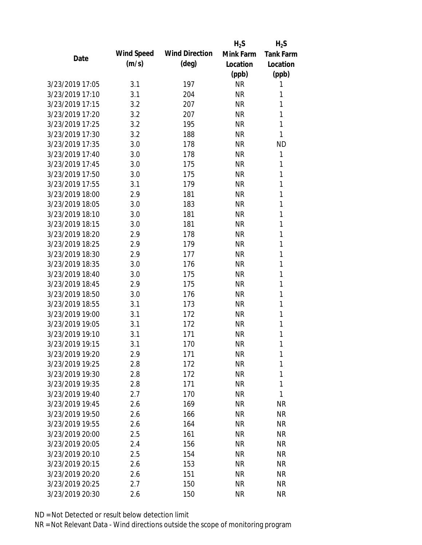|                 |            |                       | $H_2S$    | $H_2S$           |
|-----------------|------------|-----------------------|-----------|------------------|
| Date            | Wind Speed | <b>Wind Direction</b> | Mink Farm | <b>Tank Farm</b> |
|                 | (m/s)      | $(\text{deg})$        | Location  | Location         |
|                 |            |                       | (ppb)     | (ppb)            |
| 3/23/2019 17:05 | 3.1        | 197                   | <b>NR</b> | 1                |
| 3/23/2019 17:10 | 3.1        | 204                   | <b>NR</b> | 1                |
| 3/23/2019 17:15 | 3.2        | 207                   | <b>NR</b> | 1                |
| 3/23/2019 17:20 | 3.2        | 207                   | <b>NR</b> | 1                |
| 3/23/2019 17:25 | 3.2        | 195                   | <b>NR</b> | 1                |
| 3/23/2019 17:30 | 3.2        | 188                   | <b>NR</b> | 1                |
| 3/23/2019 17:35 | 3.0        | 178                   | <b>NR</b> | <b>ND</b>        |
| 3/23/2019 17:40 | 3.0        | 178                   | <b>NR</b> | 1                |
| 3/23/2019 17:45 | 3.0        | 175                   | <b>NR</b> | 1                |
| 3/23/2019 17:50 | 3.0        | 175                   | <b>NR</b> | 1                |
| 3/23/2019 17:55 | 3.1        | 179                   | <b>NR</b> | 1                |
| 3/23/2019 18:00 | 2.9        | 181                   | <b>NR</b> | 1                |
| 3/23/2019 18:05 | 3.0        | 183                   | <b>NR</b> | 1                |
| 3/23/2019 18:10 | 3.0        | 181                   | <b>NR</b> | 1                |
| 3/23/2019 18:15 | 3.0        | 181                   | <b>NR</b> | 1                |
| 3/23/2019 18:20 | 2.9        | 178                   | <b>NR</b> | 1                |
| 3/23/2019 18:25 | 2.9        | 179                   | <b>NR</b> | 1                |
| 3/23/2019 18:30 | 2.9        | 177                   | <b>NR</b> | 1                |
| 3/23/2019 18:35 | 3.0        | 176                   | <b>NR</b> | 1                |
| 3/23/2019 18:40 | 3.0        | 175                   | <b>NR</b> | 1                |
| 3/23/2019 18:45 | 2.9        | 175                   | <b>NR</b> | 1                |
| 3/23/2019 18:50 | 3.0        | 176                   | <b>NR</b> | 1                |
| 3/23/2019 18:55 | 3.1        | 173                   | <b>NR</b> | 1                |
| 3/23/2019 19:00 | 3.1        | 172                   | <b>NR</b> | 1                |
| 3/23/2019 19:05 | 3.1        | 172                   | <b>NR</b> | 1                |
| 3/23/2019 19:10 | 3.1        | 171                   | <b>NR</b> | 1                |
| 3/23/2019 19:15 | 3.1        | 170                   | <b>NR</b> | 1                |
| 3/23/2019 19:20 | 2.9        | 171                   | <b>NR</b> | 1                |
| 3/23/2019 19:25 | 2.8        | 172                   | <b>NR</b> | 1                |
| 3/23/2019 19:30 | 2.8        | 172                   | <b>NR</b> | 1                |
| 3/23/2019 19:35 | 2.8        | 171                   | <b>NR</b> | 1                |
| 3/23/2019 19:40 | 2.7        | 170                   | <b>NR</b> | 1                |
| 3/23/2019 19:45 | 2.6        | 169                   | <b>NR</b> | <b>NR</b>        |
| 3/23/2019 19:50 | 2.6        | 166                   | <b>NR</b> | <b>NR</b>        |
| 3/23/2019 19:55 | 2.6        | 164                   | <b>NR</b> | <b>NR</b>        |
| 3/23/2019 20:00 | 2.5        | 161                   | <b>NR</b> | <b>NR</b>        |
| 3/23/2019 20:05 | 2.4        | 156                   | <b>NR</b> | <b>NR</b>        |
| 3/23/2019 20:10 | 2.5        | 154                   | <b>NR</b> | <b>NR</b>        |
| 3/23/2019 20:15 | 2.6        | 153                   | <b>NR</b> | <b>NR</b>        |
| 3/23/2019 20:20 | 2.6        | 151                   | <b>NR</b> | <b>NR</b>        |
| 3/23/2019 20:25 | 2.7        | 150                   | <b>NR</b> | <b>NR</b>        |
| 3/23/2019 20:30 | 2.6        | 150                   | <b>NR</b> | <b>NR</b>        |
|                 |            |                       |           |                  |